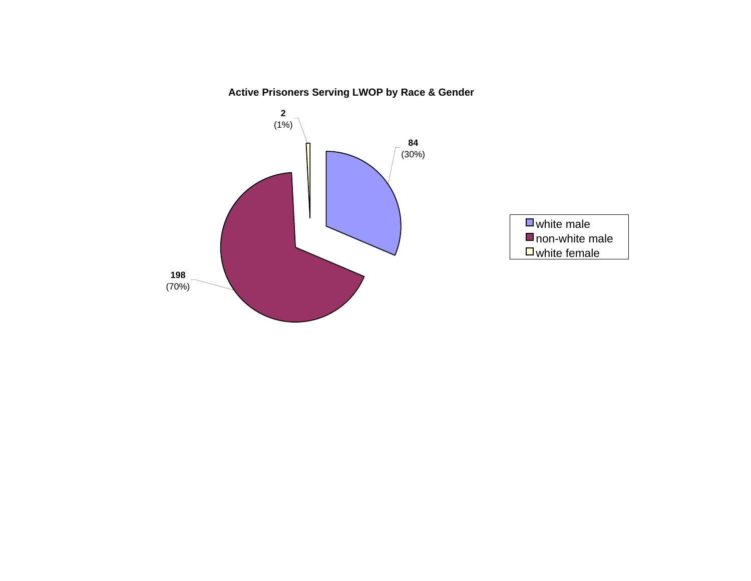### **Active Prisoners Serving LWOP by Race & Gender**

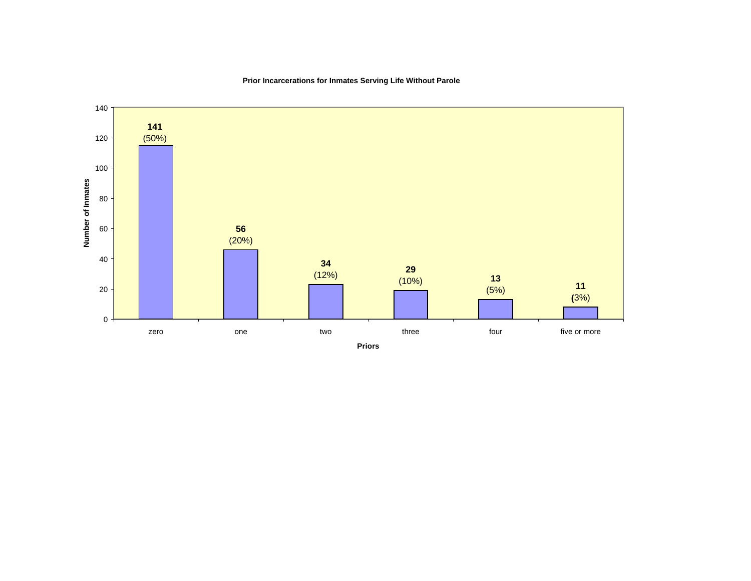

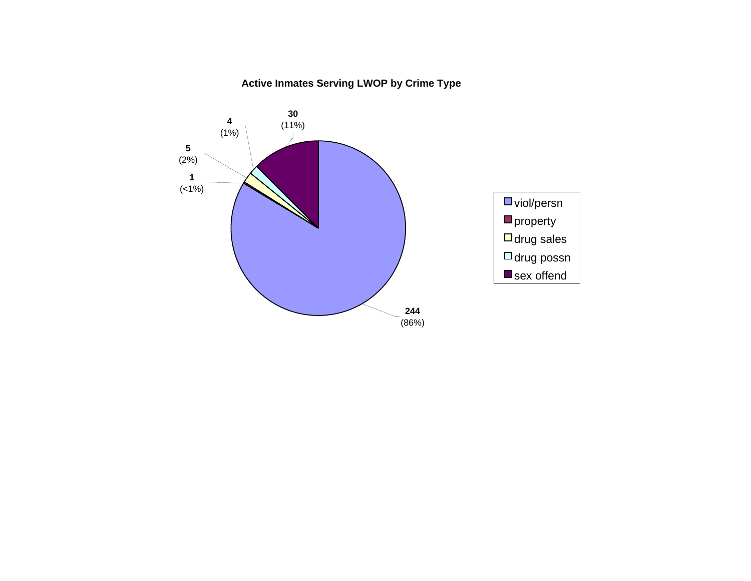### **Active Inmates Serving LWOP by Crime Type**

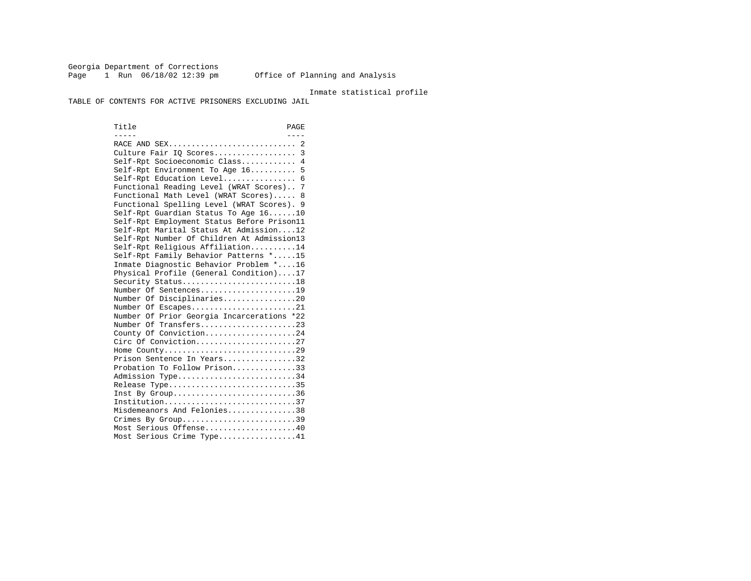Georgia Department of Corrections Page 1 Run  $06/18/02$  12:39 pm Office of Planning and Analysis

#### Inmate statistical profile

TABLE OF CONTENTS FOR ACTIVE PRISONERS EXCLUDING JAIL

Title PAGE ----- ---- RACE AND SEX............................ 2 Culture Fair IQ Scores.................. 3 Self-Rpt Socioeconomic Class............ 4 Self-Rpt Environment To Age 16.......... 5 Self-Rpt Education Level................ 6 Functional Reading Level (WRAT Scores).. 7 Functional Math Level (WRAT Scores)..... 8 Functional Spelling Level (WRAT Scores). 9 Self-Rpt Guardian Status To Age 16......10 Self-Rpt Employment Status Before Prison11 Self-Rpt Marital Status At Admission....12 Self-Rpt Number Of Children At Admission13 Self-Rpt Religious Affiliation..........14 Self-Rpt Family Behavior Patterns \*.....15 Inmate Diagnostic Behavior Problem \*....16 Physical Profile (General Condition)....17 Security Status...........................18 Number Of Sentences.....................19 Number Of Disciplinaries................20 Number Of Escapes........................21 Number Of Prior Georgia Incarcerations \*22 Number Of Transfers.....................23 County Of Conviction....................24 Circ Of Conviction......................27 Home County.............................29 Prison Sentence In Years................32 Probation To Follow Prison..............33Admission Type............................34 Release Type..............................35 Inst By Group..............................36 Institution.............................37 Misdemeanors And Felonies...............38 Crimes By Group.............................39 Most Serious Offense....................40 Most Serious Crime Type.................41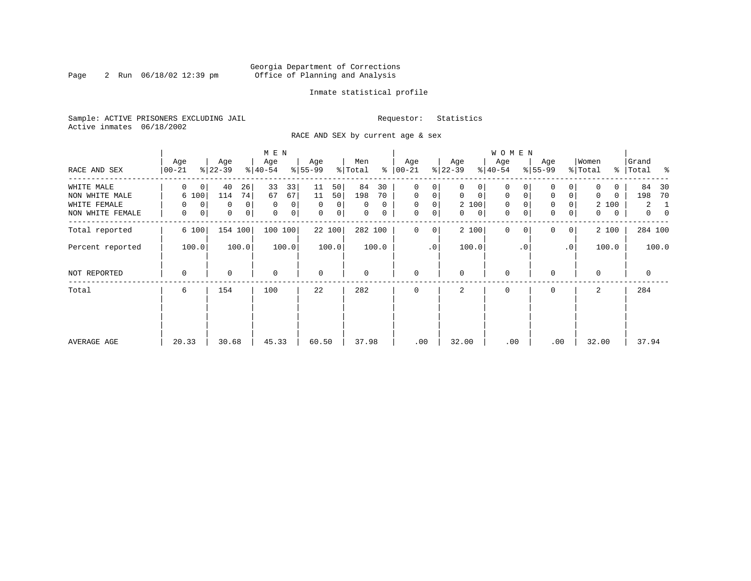#### Georgia Department of Corrections Page 2 Run 06/18/02 12:39 pm Office of Planning and Analysis

#### Inmate statistical profile

Sample: ACTIVE PRISONERS EXCLUDING JAIL **Requestor:** Statistics Active inmates 06/18/2002

RACE AND SEX by current age & sex

|                  |                    |                             | M E N                       |                   |                |                      |                   | <b>WOMEN</b>               |                               |                   |                                  |
|------------------|--------------------|-----------------------------|-----------------------------|-------------------|----------------|----------------------|-------------------|----------------------------|-------------------------------|-------------------|----------------------------------|
| RACE AND SEX     | Age<br>$ 00 - 21 $ | Age<br>$ 22-39 $            | Age<br>$ 40-54 $            | Age<br>$8 55-99$  | Men<br>% Total | Age<br>$8   00 - 21$ | Age<br>$ 22-39 $  | Age<br>$ 40-54 $           | Age<br>$8 55-99$              | Women<br>% Total  | Grand<br>%   Total<br>ႜ          |
| WHITE MALE       | $\Omega$<br>0      | 26<br>40                    | 33<br>33                    | 50<br>11          | 84<br>30       | 0<br>0               | 0<br>0            | 0                          |                               | 0                 | 84<br>- 30                       |
| NON WHITE MALE   | 6 100              | 74<br>114                   | 67<br>67                    | 11<br>50          | 198<br>70      | $\mathbf 0$<br>0     | 0<br>$\mathbf{0}$ | 0<br>0                     | $\mathbf 0$<br>0              | 0<br>0            | 70<br>198                        |
| WHITE FEMALE     | $\mathbf 0$<br>0   | 0<br>0                      | $\mathbf 0$<br>0            | $\Omega$<br>0     | $\Omega$<br>0  | 0<br>0               | 2 100             | 0                          | $\mathbf 0$<br>0              | 2 100             | 2<br>1                           |
| NON WHITE FEMALE | 0<br>0             | $\mathbf 0$<br>$\mathsf{O}$ | $\mathbf 0$<br>$\mathsf{O}$ | $\mathbf 0$<br> 0 | 0<br>0         | $\mathbf 0$<br>0     | $\mathbf{0}$<br>0 | $\mathbf 0$<br>$\mathbf 0$ | $\mathbf 0$<br>$\overline{0}$ | $\mathbf{0}$<br>0 | $\overline{0}$<br>$\overline{0}$ |
| Total reported   | 6 100              | 154 100                     | 100 100                     | 22 100            | 282 100        | $\mathbf 0$<br>0     | 2 100             | $\mathbf{0}$<br>$\Omega$   | $\Omega$<br>0 <sup>1</sup>    | 2 100             | 284 100                          |
| Percent reported | 100.0              | 100.0                       | 100.0                       | 100.0             | 100.0          | $\cdot$ 0            | 100.0             | $\cdot$ 0                  | .0 <sup>1</sup>               | 100.0             | 100.0                            |
| NOT REPORTED     | 0                  | $\Omega$                    | $\mathbf 0$                 | $\mathbf 0$       | 0              | $\mathbf 0$          | $\Omega$          | 0                          |                               | $\Omega$          | $\mathbf 0$                      |
| Total            | 6                  | 154                         | 100                         | 22                | 282            | $\Omega$             | 2                 | 0                          | $\Omega$                      | 2                 | 284                              |
|                  |                    |                             |                             |                   |                |                      |                   |                            |                               |                   |                                  |
|                  |                    |                             |                             |                   |                |                      |                   |                            |                               |                   |                                  |
| AVERAGE AGE      | 20.33              | 30.68                       | 45.33                       | 60.50             | 37.98          | .00                  | 32.00             | .00                        | .00                           | 32.00             | 37.94                            |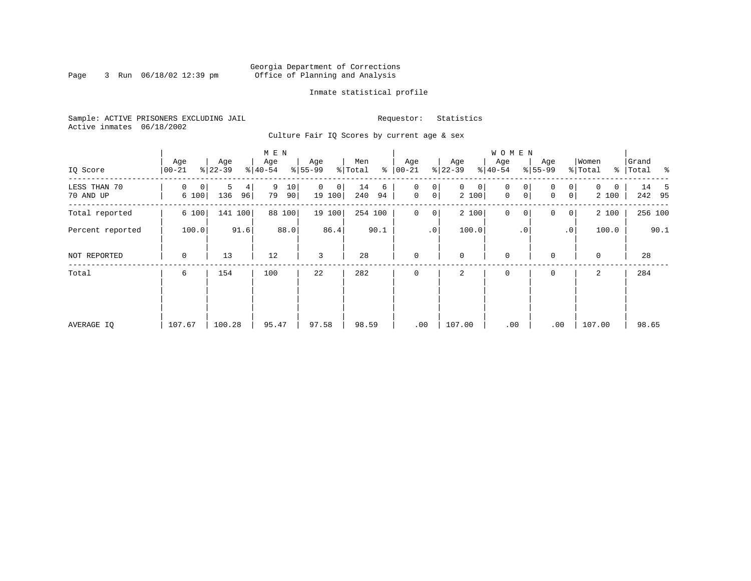#### Georgia Department of Corrections Page 3 Run 06/18/02 12:39 pm Office of Planning and Analysis

#### Inmate statistical profile

Sample: ACTIVE PRISONERS EXCLUDING JAIL **Requestor:** Statistics Active inmates 06/18/2002

Culture Fair IQ Scores by current age & sex

|                           |                  |                     | M E N               |                         |                      |                                                 |                            | <b>WOMEN</b>     |                                        |                        |                    |
|---------------------------|------------------|---------------------|---------------------|-------------------------|----------------------|-------------------------------------------------|----------------------------|------------------|----------------------------------------|------------------------|--------------------|
| IQ Score                  | Age<br>$00 - 21$ | Age<br>$ 22-39 $    | Age<br>$8 40-54$    | Age<br>$ 55-99$         | Men<br>% Total<br>ႜ  | Age<br>$ 00 - 21 $                              | Age<br>$ 22-39$            | Age<br>$8 40-54$ | Age<br>$8 55-99$                       | Women<br>% Total       | Grand<br>% Total % |
| LESS THAN 70<br>70 AND UP | 0<br>0<br>6 100  | 5<br>4<br>136<br>96 | 9<br>10<br>79<br>90 | $\Omega$<br>0<br>19 100 | 14<br>6<br>240<br>94 | 0<br>0<br>$\mathsf{O}\xspace$<br>0 <sup>1</sup> | $\mathbf{0}$<br>0<br>2 100 | 0<br>0<br>0<br>0 | $\overline{0}$<br>$\Omega$<br> 0 <br>0 | $\Omega$<br>0<br>2 100 | 14 5<br>242 95     |
| Total reported            | 6 100            | 141 100             | 88 100              | 19 100                  | 254 100              | $\mathbf 0$<br>$\overline{0}$                   | 2 100                      | $\mathbf 0$<br>0 | 0<br> 0                                | 2 100                  | 256 100            |
| Percent reported          | 100.0            | 91.6                | 88.0                | 86.4                    | 90.1                 | .0 <sup>1</sup>                                 | 100.0                      | $\cdot$ 0        | $\cdot$ 0                              | 100.0                  | 90.1               |
| NOT REPORTED              | $\mathbf 0$      | 13                  | 12                  | 3                       | 28                   | $\mathbf 0$                                     | $\mathbf 0$                | $\mathbf 0$      | $\Omega$                               | $\mathbf 0$            | 28                 |
| Total                     | 6                | 154                 | 100                 | 22                      | 282                  | $\mathbf 0$                                     | 2                          | $\mathbf 0$      | 0                                      | 2                      | 284                |
|                           |                  |                     |                     |                         |                      |                                                 |                            |                  |                                        |                        |                    |
|                           |                  |                     |                     |                         |                      |                                                 |                            |                  |                                        |                        |                    |
| AVERAGE IQ                | 107.67           | 100.28              | 95.47               | 97.58                   | 98.59                | .00                                             | 107.00                     | .00              | .00                                    | 107.00                 | 98.65              |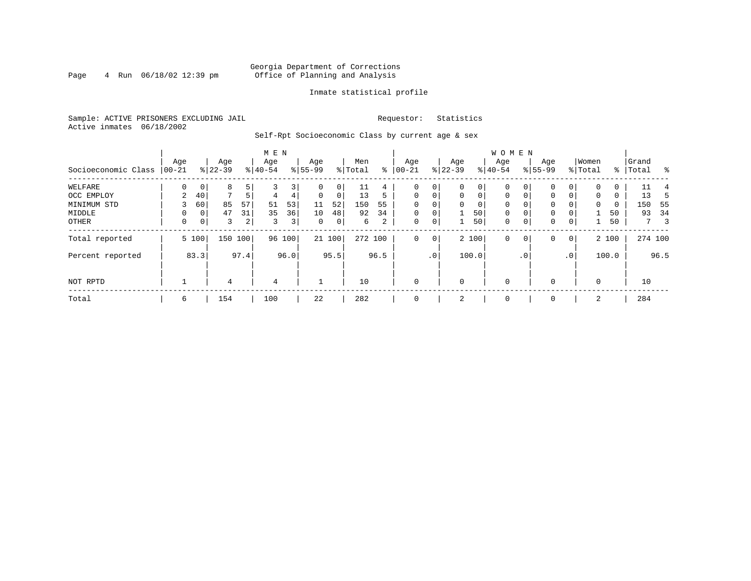#### Georgia Department of Corrections<br>4 Run 06/18/02 12:39 pm office of Planning and Analysis Page 4 Run 06/18/02 12:39 pm Office of Planning and Analysis

#### Inmate statistical profile

Sample: ACTIVE PRISONERS EXCLUDING JAIL **Requestor:** Statistics Active inmates 06/18/2002

Self-Rpt Socioeconomic Class by current age & sex

|                     |          |                |              |      | M E N          |                |          |        |         |      |              |                 |             |             | <b>WOMEN</b> |              |           |                 |          |       |           |                               |
|---------------------|----------|----------------|--------------|------|----------------|----------------|----------|--------|---------|------|--------------|-----------------|-------------|-------------|--------------|--------------|-----------|-----------------|----------|-------|-----------|-------------------------------|
|                     | Age      |                | Age          |      | Age            |                | Age      |        | Men     |      | Age          |                 | Age         |             | Age          |              | Age       |                 | Women    |       | Grand     |                               |
| Socioeconomic Class | $ 00-21$ |                | $ 22-39 $    |      | $ 40-54$       |                | $ 55-99$ |        | % Total | နွ   | $00 - 21$    |                 | $ 22-39 $   |             | $ 40-54 $    |              | $8 55-99$ |                 | % Total  |       | %   Total | ಿ                             |
| WELFARE             |          |                | 8            |      |                | 3              |          | 0      | 11      | 4    | 0            | 0               | $\Omega$    | 0           | $\Omega$     |              | $\Omega$  | $\Omega$        | $\Omega$ | 0     | 11        |                               |
| OCC EMPLOY          | 2        | 40             | $\mathbf{r}$ |      | 4              | 4              | $\Omega$ | 0      | 13      | 5    | $\Omega$     | $\mathbf 0$     | $\Omega$    | $\mathbf 0$ | $\Omega$     | $\Omega$     | $\Omega$  | $\Omega$        | $\Omega$ | 0     | 13        | 5                             |
| MINIMUM STD         |          | 60             | 85           | 57   | 51             | 53             | 11       | 52     | 150     | 55   | $\Omega$     |                 | $\Omega$    | 0           | $\Omega$     | $\Omega$     | 0         |                 | $\Omega$ | 0     | 150       | -55                           |
| MIDDLE              |          | 0 <sup>1</sup> | 47           | 31   | 35             | 36             | 10       | 48     | 92      | 34   | $\mathbf 0$  | $\mathbf 0$     |             | 50          | $\mathbf 0$  | 0            | 0         |                 |          | 50    | 93        | 34                            |
| OTHER               | 0        | 0 <sup>1</sup> | 3            | 2    | $\overline{3}$ | 3 <sup>1</sup> | 0        | 0      | 6       | 2    | 0            | 0               |             | 50          | $\mathbf 0$  | 0            | 0         | 0               |          | 50    |           | $\overline{\phantom{a}}$<br>7 |
| Total reported      |          | 5 100          | 150 100      |      | 96             | 100            |          | 21 100 | 272 100 |      | $\mathbf 0$  | $\mathbf 0$     |             | 2 100       | $\mathbf 0$  | 0            | 0         | $\overline{0}$  |          | 2 100 |           | 274 100                       |
| Percent reported    |          | 83.3           |              | 97.4 |                | 96.0           |          | 95.5   |         | 96.5 |              | .0 <sup>1</sup> |             | 100.0       |              | $.0^{\circ}$ |           | .0 <sup>1</sup> |          | 100.0 |           | 96.5                          |
| NOT RPTD            |          |                | 4            |      | $\overline{4}$ |                |          |        | 10      |      | $\mathbf{0}$ |                 | $\mathbf 0$ |             | $\mathbf 0$  |              | $\Omega$  |                 | $\Omega$ |       | 10        |                               |
| Total               | 6        |                | 154          |      | 100            |                | 22       |        | 282     |      | $\mathbf{0}$ |                 | 2           |             | $\mathbf 0$  |              | 0         |                 | 2        |       | 284       |                               |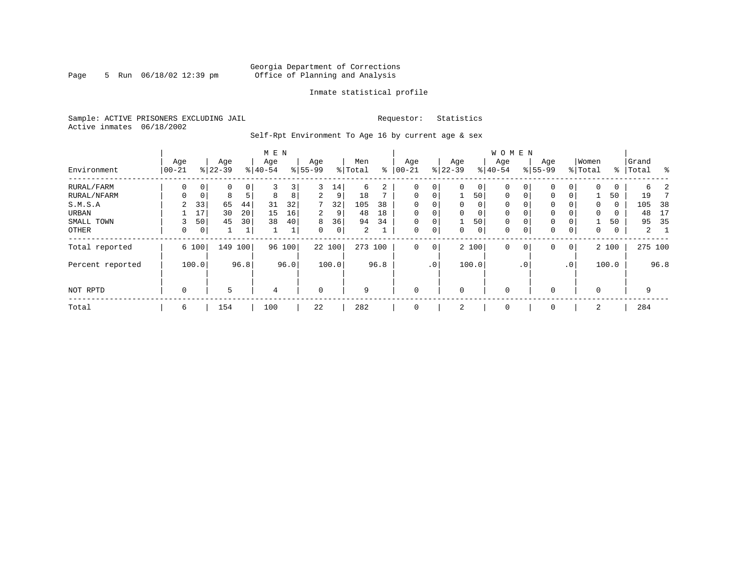#### Georgia Department of Corrections Page 5 Run 06/18/02 12:39 pm Office of Planning and Analysis

#### Inmate statistical profile

Sample: ACTIVE PRISONERS EXCLUDING JAIL **Requestor:** Statistics Active inmates 06/18/2002

Self-Rpt Environment To Age 16 by current age & sex

|                  | M E N          |                |                  |      |                  |      |                 |        |                |      |                   |             |                 |          | <b>WOMEN</b>     |           |                    |                 |                  |       |                |      |
|------------------|----------------|----------------|------------------|------|------------------|------|-----------------|--------|----------------|------|-------------------|-------------|-----------------|----------|------------------|-----------|--------------------|-----------------|------------------|-------|----------------|------|
| Environment      | Age<br>  00-21 |                | Age<br>$8 22-39$ |      | Age<br>$8 40-54$ |      | Age<br>$ 55-99$ |        | Men<br>% Total | နွ   | Age<br>$ 00 - 21$ |             | Age<br>$ 22-39$ |          | Age<br>$8 40-54$ |           | Age<br>$8155 - 99$ |                 | Women<br>% Total | ႜ     | Grand<br>Total | ွေ   |
| RURAL/FARM       | 0              | 0 <sup>1</sup> | 0                | 0    | 3                | 3    | 3               | 14     | 6              | 2    | $\mathbf 0$       | 0           | $\Omega$        | $\circ$  | 0                | 0         | $\mathbf 0$        |                 | $\Omega$         | 0     | 6              |      |
| RURAL/NFARM      |                | 0              | 8                | 5    | 8                | 8    | 2               | 9      | 18             |      | $\mathbf 0$       | 0           |                 | 50       | 0                |           | $\mathbf 0$        | $\Omega$        |                  | 50    | 19             |      |
| S.M.S.A          | 2              | 33             | 65               | 44   | 31               | 32   | 7               | 32     | 105            | 38   | 0                 | 0           | $\Omega$        | $\Omega$ | 0                |           | $\mathbf 0$        |                 | $\Omega$         | 0     | 105            | 38   |
| URBAN            |                | 17             | 30               | 20   | 15               | 16   | 2.              | 9      | 48             | 18   | $\mathbf 0$       | $\mathbf 0$ | $\Omega$        | 0        | 0                |           | $\mathbf{0}$       |                 | 0                | 0     | 48             | 17   |
| SMALL TOWN       |                | 50             | 45               | 30   | 38               | 40   | 8               | 36     | 94             | 34   | $\mathbf 0$       | 0           |                 | 50       | 0                |           | $\mathbf 0$        |                 |                  | 50    | 95             | 35   |
| OTHER            | 0              | 0 <sup>1</sup> |                  | 1    |                  | ⊥    | $\Omega$        | 0      | $\overline{2}$ |      | $\mathbf 0$       | 0           | $\Omega$        | 0        | 0                |           | $\mathbf{0}$       | 0               | $\mathbf 0$      | 0     | $2^{\circ}$    |      |
| Total reported   |                | 6 100          | 149              | 100  | 96               | 100  |                 | 22 100 | 273 100        |      | $\mathbf 0$       | 0           |                 | 2 100    | 0                | 0         | $\mathbf 0$        | $\mathbf 0$     |                  | 2 100 | 275 100        |      |
| Percent reported |                | 100.0          |                  | 96.8 |                  | 96.0 |                 | 100.0  |                | 96.8 |                   | $\cdot$ 0   |                 | 100.0    |                  | $\cdot$ 0 |                    | .0 <sup>°</sup> |                  | 100.0 |                | 96.8 |
| NOT RPTD         | 0              |                | 5                |      | $\overline{4}$   |      | $\mathbf 0$     |        | 9              |      | $\mathbf 0$       |             | $\Omega$        |          | $\mathbf 0$      |           | 0                  |                 | $\Omega$         |       | 9              |      |
| Total            | 6              |                | 154              |      | 100              |      | 22              |        | 282            |      | $\mathbf 0$       |             | 2               |          | 0                |           | 0                  |                 | 2                |       | 284            |      |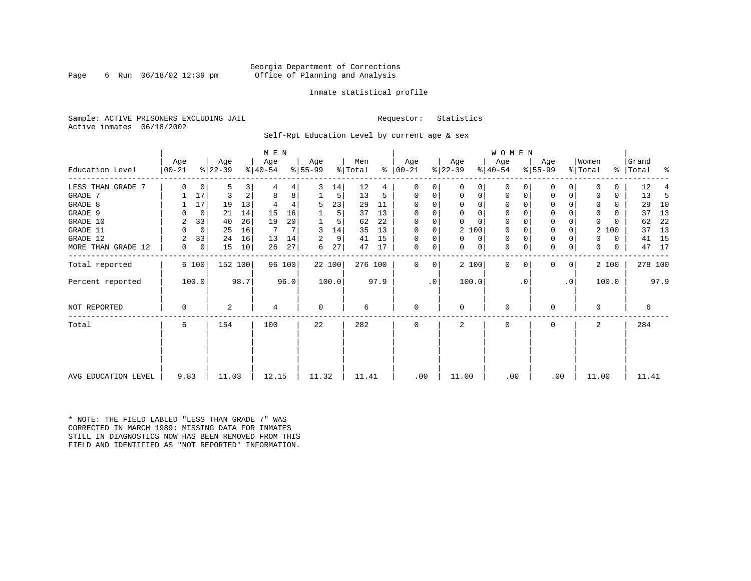#### Georgia Department of Corrections Page 6 Run 06/18/02 12:39 pm office of Planning and Analysis

#### Inmate statistical profile

Sample: ACTIVE PRISONERS EXCLUDING JAIL **Requestor:** Statistics Active inmates 06/18/2002

Self-Rpt Education Level by current age & sex

|                     |                 |                |                  |      | M E N            |        |                 |        |                            |               |                  |          |                  |          | <b>WOMEN</b>     |          |                  |           |                              |       |                    |         |
|---------------------|-----------------|----------------|------------------|------|------------------|--------|-----------------|--------|----------------------------|---------------|------------------|----------|------------------|----------|------------------|----------|------------------|-----------|------------------------------|-------|--------------------|---------|
| Education Level     | Age<br>$ 00-21$ |                | Age<br>$ 22-39 $ |      | Age<br>$ 40-54 $ |        | Aqe<br>$ 55-99$ |        | Men<br>$\frac{1}{2}$ Total | $\frac{1}{6}$ | Aqe<br>$ 00-21 $ |          | Age<br>$ 22-39 $ |          | Aqe<br>$ 40-54 $ |          | Age<br>$8 55-99$ |           | Women<br>$\frac{1}{2}$ Total |       | Grand<br>%   Total | ಿ       |
|                     |                 |                |                  |      |                  |        |                 |        |                            |               |                  |          |                  |          |                  |          |                  |           |                              |       |                    |         |
| LESS THAN GRADE 7   | $\Omega$        | 0              | 5                |      |                  | 4      | 3               | 14     | 12                         | 4             | 0                |          | $\Omega$         | 0        | 0                |          | 0                |           |                              | 0     | 12                 |         |
| GRADE 7             |                 | 17             | 3                |      | 8                | 8      |                 | 5      | 13                         | 5             | 0                |          | 0                | 0        | 0                |          | $\Omega$         |           |                              | 0     | 13                 | -5      |
| GRADE 8             |                 | 17             | 19               | 13   |                  |        | 5               | 23     | 29                         | 11            | $\Omega$         |          | $\Omega$         | 0        | 0                |          | 0                |           |                              | 0     | 29                 | 10      |
| GRADE 9             |                 | 0              | 21               | 14   | 15               | 16     |                 | 5      | 37                         | 13            | 0                |          | $\Omega$         | 0        | 0                |          | 0                |           | $\Omega$                     | U     | 37                 | 13      |
| GRADE 10            | 2               | 33             | 40               | 26   | 19               | 20     |                 | 5      | 62                         | 22            | $\Omega$         | $\Omega$ |                  | $\Omega$ | $\mathbf 0$      | $\Omega$ | 0                |           | $\Omega$                     |       | 62                 | 22      |
| GRADE 11            |                 | $\overline{0}$ | 25               | 16   | 7                |        | 3               | 14     | 35                         | 13            | 0                |          | 2 100            |          | $\mathbf 0$      |          | $\mathbf 0$      |           | 2                            | 100   | 37                 | 13      |
| GRADE 12            | 2               | 33             | 24               | 16   | 13               | 14     | 2               | 9      | 41                         | 15            | $\Omega$         | 0        | $\Omega$         | 0        | 0                | $\Omega$ | 0                |           | 0                            | 0     | 41                 | 15      |
| MORE THAN GRADE 12  | 0               | 0              | 15               | 10   | 26               | 27     | 6               | 27     | 47                         | 17            | 0                | 0        | $\Omega$         | 0        | 0                | 0        | 0                | 0         | $\Omega$                     | 0     | 47                 | 17      |
| Total reported      |                 | 6 100          | 152 100          |      |                  | 96 100 |                 | 22 100 | 276 100                    |               | $\mathbf{0}$     | 0        | 2 100            |          | $\mathbf 0$      | $\Omega$ | $\Omega$         | 0         |                              | 2 100 |                    | 278 100 |
| Percent reported    |                 | 100.0          |                  | 98.7 |                  | 96.0   |                 | 100.0  |                            | 97.9          |                  | .0       | 100.0            |          |                  | . 0      |                  | $\cdot$ 0 |                              | 100.0 |                    | 97.9    |
| NOT REPORTED        | 0               |                | 2                |      | 4                |        | 0               |        | 6                          |               | 0                |          | 0                |          | $\mathbf 0$      |          | $\Omega$         |           | $\Omega$                     |       | 6                  |         |
| Total               | 6               |                | 154              |      | 100              |        | 22              |        | 282                        |               | $\Omega$         |          | $\mathfrak{D}$   |          | $\Omega$         |          | $\Omega$         |           | $\overline{a}$               |       | 284                |         |
|                     |                 |                |                  |      |                  |        |                 |        |                            |               |                  |          |                  |          |                  |          |                  |           |                              |       |                    |         |
| AVG EDUCATION LEVEL | 9.83            |                | 11.03            |      | 12.15            |        | 11.32           |        | 11.41                      |               | .00              |          | 11.00            |          | .00              |          | .00              |           | 11.00                        |       | 11.41              |         |

\* NOTE: THE FIELD LABLED "LESS THAN GRADE 7" WAS CORRECTED IN MARCH 1989: MISSING DATA FOR INMATES STILL IN DIAGNOSTICS NOW HAS BEEN REMOVED FROM THIS FIELD AND IDENTIFIED AS "NOT REPORTED" INFORMATION.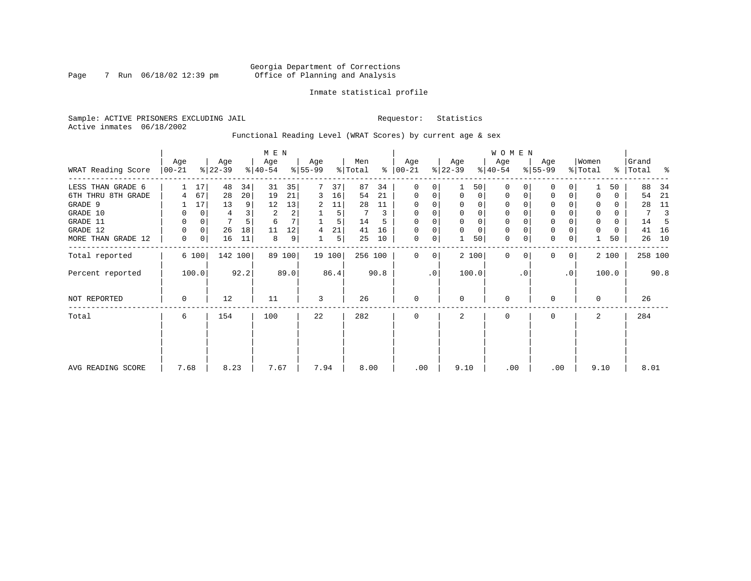#### Georgia Department of Corrections Page 7 Run 06/18/02 12:39 pm Office of Planning and Analysis

#### Inmate statistical profile

Sample: ACTIVE PRISONERS EXCLUDING JAIL **Requestor:** Statistics Active inmates 06/18/2002

Functional Reading Level (WRAT Scores) by current age & sex

|                    |                   |          |                  | M E N   |                  |        |                  |        |                |      |                      |           |                  | <b>WOMEN</b>   |                  |           |                  |           |                  |       |                |      |
|--------------------|-------------------|----------|------------------|---------|------------------|--------|------------------|--------|----------------|------|----------------------|-----------|------------------|----------------|------------------|-----------|------------------|-----------|------------------|-------|----------------|------|
| WRAT Reading Score | Age<br>$ 00 - 21$ |          | Age<br>$ 22-39 $ |         | Age<br>$ 40-54 $ |        | Age<br>$8 55-99$ |        | Men<br>% Total |      | Age<br>$8   00 - 21$ |           | Age<br>$ 22-39 $ |                | Age<br>$ 40-54 $ |           | Age<br>$ 55-99 $ |           | Women<br>% Total | ွေ    | Grand<br>Total | န္   |
| LESS THAN GRADE 6  |                   | 17       | 48               | 34      | 31               | 35     |                  | 37     | 87             | 34   | $\mathbf 0$          | 0         |                  | 50             | $\Omega$         |           | 0                | 0         |                  | 50    | 88             | 34   |
| 6TH THRU 8TH GRADE | 4                 | 67       | 28               | 20      | 19               | 21     | 3                | 16     | 54             | 21   | $\mathbf 0$          | 0         | $\Omega$         | $\overline{0}$ | 0                | 0         | 0                | 0         |                  | 0     | 54             | 21   |
| GRADE 9            |                   | 17       | 13               | 9       | 12               | 13     | 2                | 11     | 28             | 11   | 0                    |           |                  |                |                  |           | 0                |           |                  | 0     | 28             | 11   |
| GRADE 10           | 0                 | 0        | 4                |         | 2                | 2      |                  | 5      |                | 3    | $\mathbf 0$          | 0         | $\Omega$         | $\Omega$       | 0                |           | $\mathbf 0$      |           | $\mathbf 0$      | 0     | 7              |      |
| GRADE 11           | 0                 | $\Omega$ | 7                |         | 6                |        |                  | 5      | 14             |      | $\Omega$             |           |                  |                |                  |           | $\mathbf 0$      |           | $\Omega$         | 0     | 14             |      |
| GRADE 12           | 0                 | 0        | 26               | 18      | 11               | 12     | 4                | 21     | 41             | 16   | $\Omega$             | 0         |                  | $\Omega$       | 0                |           | $\mathbf 0$      |           | $\Omega$         | 0     | 41             | 16   |
| MORE THAN GRADE 12 | 0                 | 0        | 16               | 11      | 8                | 9      |                  | 5      | 25             | 10   | $\mathbf 0$          | 0         |                  | 50             | $\mathbf 0$      | 0         | $\mathbf 0$      | 0         |                  | 50    | 26             | 10   |
| Total reported     |                   | 6 100    |                  | 142 100 |                  | 89 100 |                  | 19 100 | 256 100        |      | $\Omega$             | 0         |                  | 2 100          | $\mathbf 0$      | $\Omega$  | $\mathbf{0}$     | 0         |                  | 2 100 | 258 100        |      |
| Percent reported   |                   | 100.0    |                  | 92.2    |                  | 89.0   |                  | 86.4   |                | 90.8 |                      | $\cdot$ 0 |                  | 100.0          |                  | $\cdot$ 0 |                  | $\cdot$ 0 |                  | 100.0 |                | 90.8 |
| NOT REPORTED       | 0                 |          | 12               |         | 11               |        | 3                |        | 26             |      | $\mathbf 0$          |           | $\Omega$         |                | 0                |           | 0                |           | $\Omega$         |       | 26             |      |
| Total              | 6                 |          | 154              |         | 100              |        | 22               |        | 282            |      | $\mathbf 0$          |           | 2                |                | 0                |           | 0                |           | 2                |       | 284            |      |
|                    |                   |          |                  |         |                  |        |                  |        |                |      |                      |           |                  |                |                  |           |                  |           |                  |       |                |      |
| AVG READING SCORE  | 7.68              |          | 8.23             |         | 7.67             |        | 7.94             |        | 8.00           |      | .00                  |           | 9.10             |                | .00              |           |                  | .00       | 9.10             |       | 8.01           |      |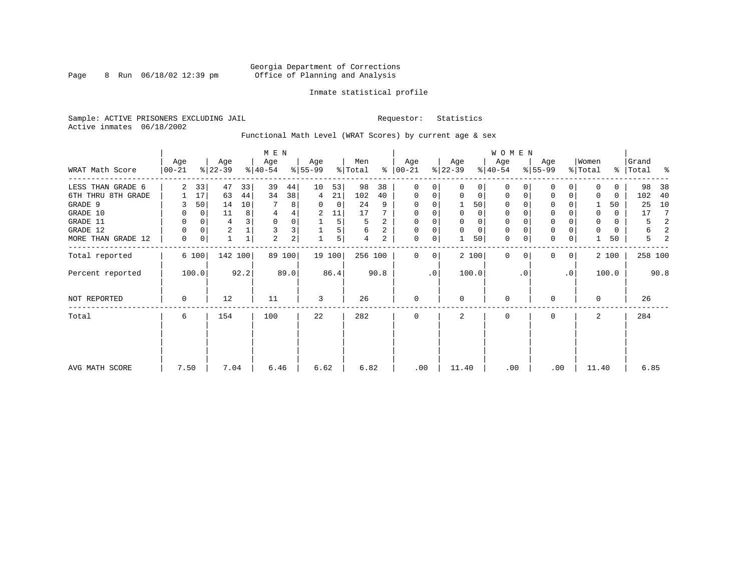#### Georgia Department of Corrections Page 8 Run 06/18/02 12:39 pm Office of Planning and Analysis

#### Inmate statistical profile

Sample: ACTIVE PRISONERS EXCLUDING JAIL **Requestor:** Statistics Active inmates 06/18/2002

Functional Math Level (WRAT Scores) by current age & sex

|                    | M E N           |             |                  |              |                  |        |                  |        |                |      |                      |    |                  |             | <b>WOMEN</b>     |           |                  |                |                  |          |                    |       |
|--------------------|-----------------|-------------|------------------|--------------|------------------|--------|------------------|--------|----------------|------|----------------------|----|------------------|-------------|------------------|-----------|------------------|----------------|------------------|----------|--------------------|-------|
| WRAT Math Score    | Age<br>$ 00-21$ |             | Age<br>$ 22-39 $ |              | Age<br>$ 40-54 $ |        | Age<br>$8 55-99$ |        | Men<br>% Total |      | Age<br>$8   00 - 21$ |    | Age<br>$ 22-39 $ |             | Age<br>$ 40-54 $ |           | Age<br>$8 55-99$ |                | Women<br>% Total |          | Grand<br>%   Total | း - န |
| LESS THAN GRADE 6  | $\overline{2}$  | 33          | 47               | 33           | 39               | 44     | 10               | 53     | 98             | 38   | 0                    | 0  | $\Omega$         | 0           | $\Omega$         | 0         | 0                | 0              | $\Omega$         | $\Omega$ | 98                 | 38    |
| 6TH THRU 8TH GRADE |                 | 17          | 63               | 44           | 34               | 38     | 4                | 21     | 102            | 40   | 0                    | 0  | 0                | 0           | 0                |           | $\Omega$         | 0              | 0                | 0        | 102                | 40    |
| GRADE 9            |                 | 50          | 14               | 10           |                  | 8      | 0                | 0      | 24             | 9    | 0                    |    |                  | 50          | 0                |           | U                |                |                  | 50       | 25                 | 10    |
| GRADE 10           | 0               | $\mathbf 0$ | 11               | 8            | 4                | 4      | 2                | 11     | 17             |      | 0                    | 0  | 0                | 0           | 0                |           | $\mathbf 0$      |                | 0                | 0        | 17                 | 7     |
| GRADE 11           | 0               | 0           | 4                |              | 0                | 0      |                  | 5      | 5              | 2    | 0                    |    |                  | 0           | $\Omega$         |           | $\Omega$         |                | 0                | 0        | 5                  | 2     |
| GRADE 12           | 0               | 0           | $\overline{c}$   |              | 3                | 3      |                  | 5      | 6              | 2    | 0                    | 0  | $\Omega$         | $\mathbf 0$ | 0                |           | 0                |                | $\Omega$         | 0        | 6                  | 2     |
| MORE THAN GRADE 12 | $\mathbf 0$     | 0           |                  | $\mathbf{1}$ | $\overline{2}$   | 2      |                  | 5      | 4              | 2    | $\mathbf 0$          | 0  |                  | 50          | $\mathbf 0$      | 0         | $\mathbf 0$      | 0              |                  | 50       | 5                  | 2     |
| Total reported     |                 | 6 100       | 142 100          |              |                  | 89 100 |                  | 19 100 | 256 100        |      | 0                    | 0  |                  | 2 100       | $\Omega$         |           | <sup>0</sup>     | 0 <sup>1</sup> |                  | 2 100    | 258 100            |       |
| Percent reported   |                 | 100.0       |                  | 92.2         |                  | 89.0   |                  | 86.4   |                | 90.8 |                      | .0 |                  | 100.0       |                  | $\cdot$ 0 |                  | $\cdot$ 0      |                  | 100.0    |                    | 90.8  |
| NOT REPORTED       | $\Omega$        |             | 12               |              | 11               |        | 3                |        | 26             |      | $\mathbf{0}$         |    | $\Omega$         |             | 0                |           | U                |                | $\Omega$         |          | 26                 |       |
| Total              | 6               |             | 154              |              | 100              |        | 22               |        | 282            |      | 0                    |    | 2                |             | 0                |           | 0                |                | 2                |          | 284                |       |
|                    |                 |             |                  |              |                  |        |                  |        |                |      |                      |    |                  |             |                  |           |                  |                |                  |          |                    |       |
| AVG MATH SCORE     | 7.50            |             | 7.04             |              | 6.46             |        | 6.62             |        | 6.82           |      | .00                  |    | 11.40            |             | .00              |           | .00              |                | 11.40            |          | 6.85               |       |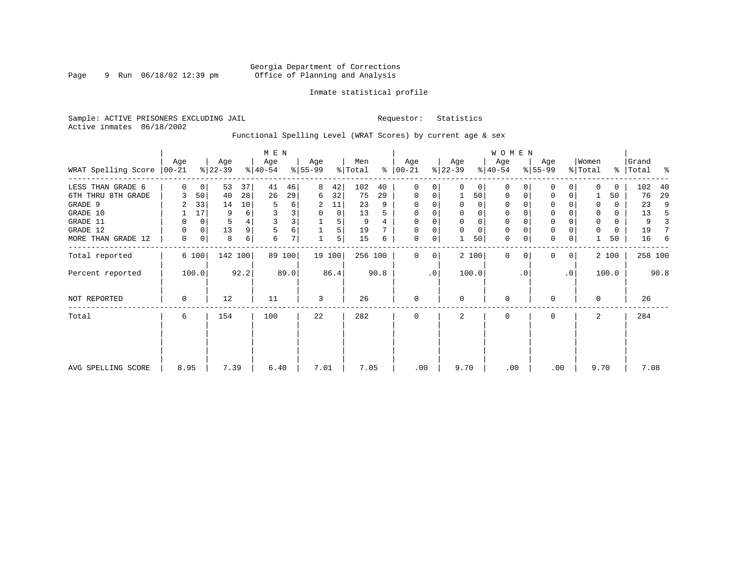#### Georgia Department of Corrections Page 9 Run 06/18/02 12:39 pm Office of Planning and Analysis

#### Inmate statistical profile

Sample: ACTIVE PRISONERS EXCLUDING JAIL **Requestor:** Statistics Active inmates 06/18/2002

Functional Spelling Level (WRAT Scores) by current age & sex

|                             |      |                |                  |         | M E N            |        |                 |        |                |      |                    |    |                  |          | <b>WOMEN</b>     |          |                  |           |                  |       |                    |      |
|-----------------------------|------|----------------|------------------|---------|------------------|--------|-----------------|--------|----------------|------|--------------------|----|------------------|----------|------------------|----------|------------------|-----------|------------------|-------|--------------------|------|
| WRAT Spelling Score   00-21 | Age  |                | Age<br>$ 22-39 $ |         | Age<br>$ 40-54 $ |        | Age<br>$ 55-99$ |        | Men<br>% Total | ႜ    | Age<br>$ 00 - 21 $ |    | Age<br>$ 22-39 $ |          | Age<br>$ 40-54 $ |          | Age<br>$8 55-99$ |           | Women<br>% Total |       | Grand<br>%   Total | ႜ    |
| LESS THAN GRADE 6           | 0    | $\overline{0}$ | 53               | 37      | 41               | 46     | 8               | 42     | 102            | 40   | $\mathbf{0}$       | 0  | $\Omega$         | 0        | $\mathbf 0$      | $\Omega$ | $\Omega$         | $\Omega$  | <sup>0</sup>     | 0     | 102                | 40   |
| 6TH THRU 8TH GRADE          |      | 50             | 40               | 28      | 26               | 29     | 6               | 32     | 75             | 29   | 0                  | 0  |                  | 50       | 0                | 0        | 0                | 0         |                  | 50    | 76                 | 29   |
| GRADE 9                     |      | 33             | 14               | 10      |                  | 6      | 2               | 11     | 23             | 9    | 0                  |    |                  | 0        | 0                |          | $\Omega$         |           | $\Omega$         | 0     | 23                 | 9    |
| GRADE 10                    |      | 17             | 9                | 6       |                  |        | 0               | 0      | 13             |      | 0                  |    | 0                | 0        | 0                |          | 0                |           | $\Omega$         | 0     | 13                 | 5    |
| GRADE 11                    |      | 0              |                  |         |                  |        |                 | 5      | 9              |      | 0                  |    |                  | $\Omega$ | 0                |          | $\Omega$         |           |                  | 0     | 9                  |      |
| GRADE 12                    | 0    | 0              | 13               | 9       | 5                | б      |                 | 5      | 19             |      | $\Omega$           |    | $\Omega$         | $\Omega$ | 0                |          | 0                |           |                  | 0     | 19                 |      |
| MORE THAN GRADE 12          | 0    | 0              | 8                | 6       | 6                | 7      |                 | 5      | 15             | 6    | 0                  | 0  |                  | 50       | $\mathbf 0$      | 0        | $\mathbf 0$      | 0         |                  | 50    | 16                 | -6   |
| Total reported              |      | 6 100          |                  | 142 100 |                  | 89 100 |                 | 19 100 | 256 100        |      | 0                  | 0  |                  | 2 100    | $\Omega$         | $\Omega$ | $\Omega$         | 0         |                  | 2 100 | 258 100            |      |
| Percent reported            |      | 100.0          |                  | 92.2    |                  | 89.0   |                 | 86.4   |                | 90.8 |                    | .0 |                  | 100.0    |                  | . 0      |                  | $\cdot$ 0 |                  | 100.0 |                    | 90.8 |
| <b>NOT REPORTED</b>         | 0    |                | 12               |         | 11               |        | 3               |        | 26             |      | $\mathbf 0$        |    | $\Omega$         |          | $\mathbf 0$      |          | $\Omega$         |           | $\Omega$         |       | 26                 |      |
| Total                       | 6    |                | 154              |         | 100              |        | 22              |        | 282            |      | 0                  |    | 2                |          | $\mathbf 0$      |          | 0                |           | 2                |       | 284                |      |
|                             |      |                |                  |         |                  |        |                 |        |                |      |                    |    |                  |          |                  |          |                  |           |                  |       |                    |      |
| AVG SPELLING SCORE          | 8.95 |                | 7.39             |         | 6.40             |        | 7.01            |        | 7.05           |      | .00                |    | 9.70             |          | .00              |          | .00              |           | 9.70             |       | 7.08               |      |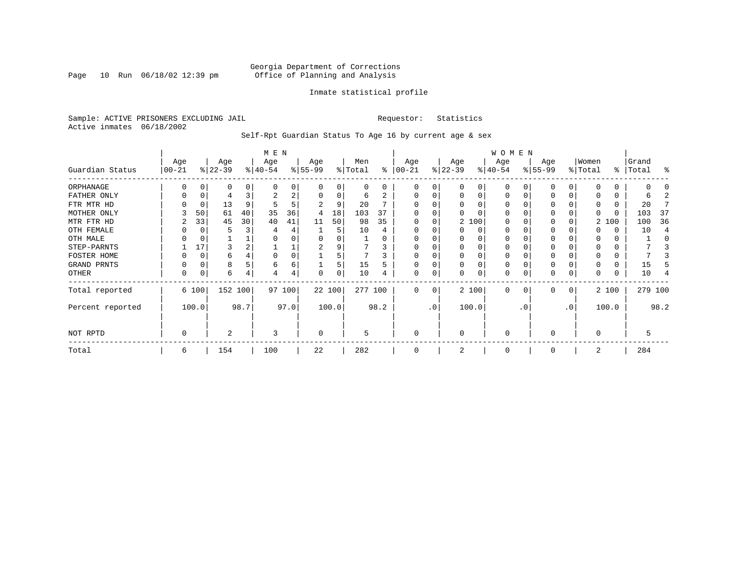Page 10 Run 06/18/02 12:39 pm

#### Inmate statistical profile

Sample: ACTIVE PRISONERS EXCLUDING JAIL **Requestor:** Statistics Active inmates 06/18/2002

Self-Rpt Guardian Status To Age 16 by current age & sex

|                  | M E N             |       |                  |      |                  |        |                 |          |                |      |                 |           |                  |          | WOMEN            |           |                  |                 |                  |       |                |         |
|------------------|-------------------|-------|------------------|------|------------------|--------|-----------------|----------|----------------|------|-----------------|-----------|------------------|----------|------------------|-----------|------------------|-----------------|------------------|-------|----------------|---------|
| Guardian Status  | Age<br>$ 00 - 21$ |       | Age<br>$ 22-39 $ |      | Age<br>$ 40-54 $ |        | Age<br>$ 55-99$ |          | Men<br>% Total | ႜ    | Age<br>$ 00-21$ |           | Age<br>$ 22-39 $ |          | Age<br>$ 40-54 $ |           | Age<br>$8 55-99$ |                 | Women<br>% Total | ွေ    | Grand<br>Total | န္      |
| ORPHANAGE        |                   |       | 0                |      | $\Omega$         | 0      |                 | O        | 0              | 0    | $\Omega$        | 0         |                  | 0        | $\Omega$         |           |                  |                 | O                | 0     |                |         |
| FATHER ONLY      |                   |       | 4                |      | 2                | 2      | $\Omega$        | $\Omega$ | 6              | 2    | $\Omega$        | 0         |                  | $\Omega$ | $\Omega$         |           |                  | 0               |                  | 0     | h              |         |
| FTR MTR HD       |                   |       | 13               | 9    | 5                | 5      |                 | 9        | 20             |      |                 |           |                  |          | O                |           |                  |                 | 0                | 0     | 20             |         |
| MOTHER ONLY      |                   | 50    | 61               | 40   | 35               | 36     | 4               | 18       | 103            | 37   |                 |           |                  |          | O                |           |                  |                 |                  | 0     | 103            | 37      |
| MTR FTR HD       | 2                 | 33    | 45               | 30   | 40               | 41     | 11              | 50       | 98             | 35   | $\Omega$        | 0         |                  | 2 100    | O                |           |                  |                 |                  | 2 100 | 100            | 36      |
| OTH FEMALE       |                   |       |                  |      |                  | 4      |                 | 5        | 10             |      | O               |           |                  | $\Omega$ | 0                |           |                  |                 |                  | 0     | 10             | 4       |
| OTH MALE         |                   |       |                  |      |                  |        |                 |          |                |      | 0               |           |                  |          | 0                |           |                  |                 |                  | 0     |                |         |
| STEP-PARNTS      |                   | 17    | 3                |      |                  |        | 2               |          |                | 3    | $\Omega$        | 0         |                  | $\Omega$ | 0                |           | 0                |                 | 0                | 0     |                |         |
| FOSTER HOME      |                   |       | 6                |      |                  | 0      |                 |          |                |      | $\Omega$        |           |                  | $\Omega$ | 0                |           |                  |                 | 0                | 0     |                |         |
| GRAND PRNTS      |                   |       | 8                |      | 6                | 6      |                 | 5        | 15             | 5    | $\Omega$        | 0         | $\Omega$         | $\Omega$ | 0                |           | $\Omega$         | 0               | 0                | 0     | 15             |         |
| OTHER            | 0                 |       | 6                |      | 4                | 4      | $\Omega$        | $\Omega$ | 10             |      | $\Omega$        | 0         |                  | $\Omega$ | 0                |           | 0                | 0               | 0                | 0     | 10             |         |
| Total reported   |                   | 6 100 | 152 100          |      |                  | 97 100 | 22 100          |          | 277 100        |      | $\Omega$        | 0         |                  | 2 100    | $\Omega$         |           | $\Omega$         | 0               |                  | 2 100 |                | 279 100 |
| Percent reported |                   | 100.0 |                  | 98.7 |                  | 97.0   |                 | 100.0    |                | 98.2 |                 | $\cdot$ 0 |                  | 100.0    |                  | $\cdot$ 0 |                  | .0 <sup>′</sup> |                  | 100.0 |                | 98.2    |
| NOT RPTD         | 0                 |       | 2                |      | 3                |        | $\Omega$        |          | 5              |      | $\mathbf 0$     |           | $\Omega$         |          | 0                |           | $\Omega$         |                 | $\Omega$         |       | 5              |         |
| Total            | 6                 |       | 154              |      | 100              |        | 22              |          | 282            |      | $\Omega$        |           |                  |          | $\Omega$         |           |                  |                 | 2                |       | 284            |         |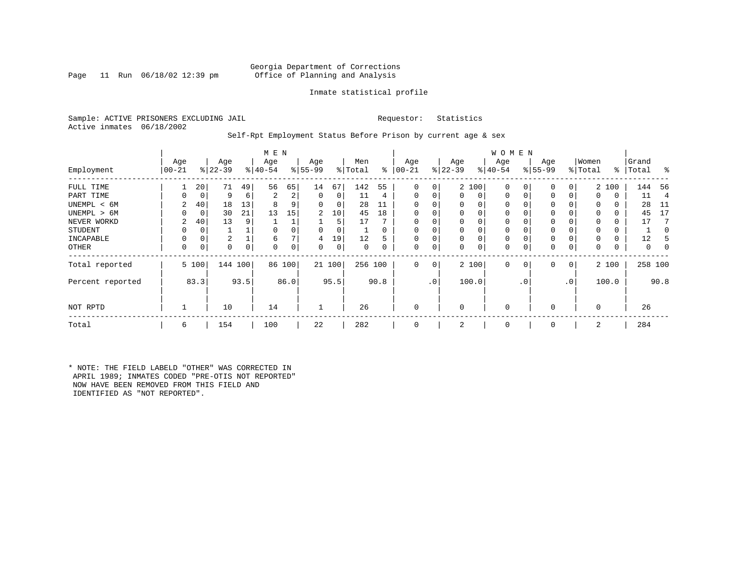Page 11 Run  $06/18/02$  12:39 pm

### Inmate statistical profile

Sample: ACTIVE PRISONERS EXCLUDING JAIL **Requestor:** Statistics Active inmates 06/18/2002

#### Self-Rpt Employment Status Before Prison by current age & sex

|                  |                 |       |                  |      | M E N           |        |                 |        |                |          |                 |                |                  |          | W O M E N        |             |                 |              |                  |       |                    |                |
|------------------|-----------------|-------|------------------|------|-----------------|--------|-----------------|--------|----------------|----------|-----------------|----------------|------------------|----------|------------------|-------------|-----------------|--------------|------------------|-------|--------------------|----------------|
| Employment       | Age<br>$ 00-21$ |       | Age<br>$ 22-39 $ |      | Age<br>$ 40-54$ |        | Age<br>$ 55-99$ |        | Men<br>% Total | ွေ       | Age<br>$ 00-21$ |                | Age<br>$ 22-39 $ |          | Age<br>$ 40-54 $ |             | Age<br>$ 55-99$ |              | Women<br>% Total |       | Grand<br>%   Total | ႜ              |
| FULL TIME        |                 | 20    | 71               | 49   | 56              | 65     | 14              | 67     | 142            | 55       | $\Omega$        | 0              |                  | 2 100    | $\mathbf 0$      | 0           | 0               | 0            |                  | 2 100 | 144                | - 56           |
| PART TIME        | 0               | 0     | 9                | 6    | 2               | 2      | 0               | 0      | 11             | 4        | $\Omega$        | 0              | 0                | 0        | $\mathbf 0$      | $\mathbf 0$ | $\Omega$        | 0            | $\Omega$         | 0     | 11                 | $\overline{4}$ |
| UNEMPL < 6M      | 2               | 40    | 18               | 13   | 8               |        | 0               | 0      | 28             | 11       |                 |                | 0                | 0        | $\mathbf 0$      |             | 0               |              | $\Omega$         | 0     | 28                 | - 11           |
| UNEMPL > 6M      | 0               | 0     | 30               | 21   | 13              | 15     | 2               | 10     | 45             | 18       | $\Omega$        |                | $\Omega$         | $\Omega$ | $\mathbf 0$      | $\Omega$    | $\Omega$        |              | $\Omega$         | 0     | 45                 | 17             |
| NEVER WORKD      | 2               | 40    | 13               | 9    |                 |        |                 | 5      | 17             |          |                 |                | 0                | 0        | $\mathbf 0$      | C           | $\Omega$        |              | $\Omega$         | 0     | 17                 |                |
| <b>STUDENT</b>   | 0               | 0     |                  |      | $\Omega$        |        | 0               | 0      |                | $\Omega$ | $\Omega$        |                | $\mathbf 0$      | $\Omega$ | $\mathbf 0$      | $\Omega$    | 0               |              | $\Omega$         | 0     |                    |                |
| INCAPABLE        | 0               | 0     | 2                |      | 6               |        | 4               | 19     | 12             | 5        |                 |                | 0                | 0        | $\mathbf 0$      |             | 0               |              |                  | 0     | 12                 |                |
| <b>OTHER</b>     | 0               | 0     | 0                | 0    | $\Omega$        | 0      | 0               | 0      | 0              | 0        | $\Omega$        | 0              | 0                | 0        | 0                | 0           | 0               | 0            | 0                | 0     | 0                  | 0              |
| Total reported   |                 | 5 100 | 144 100          |      |                 | 86 100 |                 | 21 100 | 256 100        |          | $\Omega$        | 0 <sup>1</sup> |                  | 2 100    | $\mathbf 0$      | $\mathbf 0$ | 0               | $\mathbf{0}$ |                  | 2 100 | 258 100            |                |
| Percent reported |                 | 83.3  |                  | 93.5 |                 | 86.0   |                 | 95.5   |                | 90.8     |                 | .0'            |                  | 100.0    |                  | . 0         |                 | $\cdot$ 0    | 100.0            |       |                    | 90.8           |
| NOT RPTD         |                 |       | 10               |      | 14              |        |                 |        | 26             |          | $\Omega$        |                | $\mathbf 0$      |          | $\mathbf{0}$     |             | $\Omega$        |              | $\Omega$         |       | 26                 |                |
| Total            | 6               |       | 154              |      | 100             |        | 22              |        | 282            |          |                 |                | 2                |          | $\mathbf 0$      |             | $\Omega$        |              | 2                |       | 284                |                |

\* NOTE: THE FIELD LABELD "OTHER" WAS CORRECTED IN APRIL 1989; INMATES CODED "PRE-OTIS NOT REPORTED" NOW HAVE BEEN REMOVED FROM THIS FIELD AND IDENTIFIED AS "NOT REPORTED".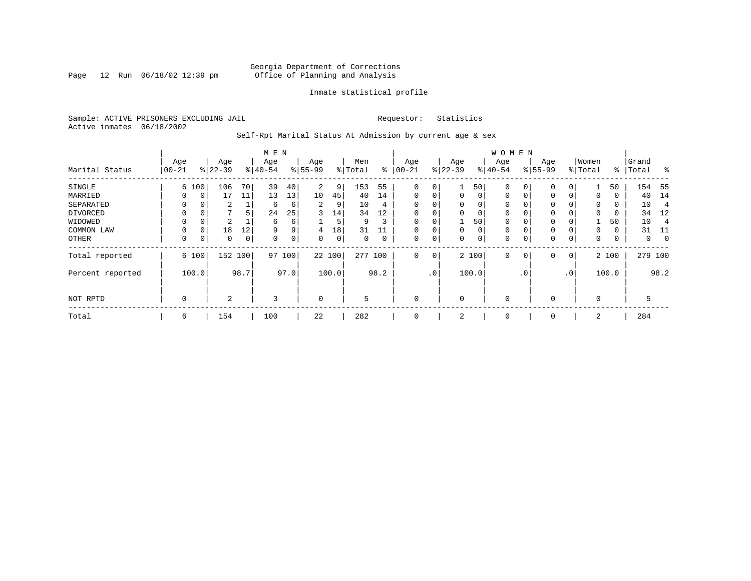Page 12 Run 06/18/02 12:39 pm

#### Inmate statistical profile

Sample: ACTIVE PRISONERS EXCLUDING JAIL **Requestor:** Statistics Active inmates 06/18/2002

Self-Rpt Marital Status At Admission by current age & sex

|                  | M E N    |          |           |      |           |      |                |       |         |      |              |     |             |          | <b>WOMEN</b> |                |             |                 |          |       |         |             |
|------------------|----------|----------|-----------|------|-----------|------|----------------|-------|---------|------|--------------|-----|-------------|----------|--------------|----------------|-------------|-----------------|----------|-------|---------|-------------|
|                  | Age      |          | Age       |      | Age       |      | Age            |       | Men     |      | Age          |     | Age         |          | Age          |                | Age         |                 | Women    |       | Grand   |             |
| Marital Status   | $ 00-21$ |          | $ 22-39 $ |      | $8 40-54$ |      | $8 55-99$      |       | % Total | ွေ   | $100 - 21$   |     | $ 22-39$    |          | $ 40-54 $    |                | $8 55-99$   |                 | % Total  | ႜ     | Total   | ွေ          |
| SINGLE           |          | 6 100    | 106       | 70   | 39        | 40   | $\overline{2}$ | 9     | 153     | 55   | 0            | 0   |             | 50       | 0            | 0              | $\mathbf 0$ | 0               |          | 50    | 154     | - 55        |
| MARRIED          | 0        | 0        | 17        | 11   | 13        | 13   | 10             | 45    | 40      | 14   | $\mathbf{0}$ | 0   | $\mathbf 0$ | $\Omega$ | $\mathbf 0$  | 0              | 0           | $\Omega$        | 0        | 0     | 40      | 14          |
| SEPARATED        | 0        | $\Omega$ | 2         |      | 6         | 6    | 2              | 9     | 10      | 4    | $\Omega$     | 0   | $\Omega$    | $\Omega$ | $\mathbf 0$  |                | 0           |                 | $\Omega$ | 0     | 10      | 4           |
| DIVORCED         | 0        | $\Omega$ |           | 5    | 24        | 25   | 3              | 14    | 34      | 12   | 0            | 0   | $\Omega$    | 0        | $\mathbf 0$  |                | 0           |                 | $\Omega$ | 0     | 34      | 12          |
| WIDOWED          |          | 0        | 2         |      | 6         | 6    |                | 5     | 9       | 3    | 0            | 0   |             | 50       | 0            |                | 0           |                 |          | 50    | 10      |             |
| COMMON LAW       | 0        | $\Omega$ | 18        | 12   | 9         | 9    | 4              | 18    | 31      |      |              | 0   | $\Omega$    | 0        | $\mathbf 0$  |                | 0           |                 | $\Omega$ | 0     | 31      | -11         |
| OTHER            | 0        | 0        | 0         | 0    | 0         | 0    | 0              | 0     | 0       | 0    | $\mathbf 0$  | 0   | $\Omega$    | 0        | 0            |                | $\mathbf 0$ | 0               | 0        | 0     | 0       | $\mathbf 0$ |
| Total reported   |          | 6 100    | 152 100   |      | 97        | 100  | 22 100         |       | 277     | 100  | $\mathbf 0$  | 0   |             | 2 100    | 0            | $\overline{0}$ | $\mathbf 0$ | 0               |          | 2 100 | 279 100 |             |
| Percent reported |          | 100.0    |           | 98.7 |           | 97.0 |                | 100.0 |         | 98.2 |              | .0' |             | 100.0    |              | $\cdot$ 0      |             | .0 <sup>′</sup> |          | 100.0 |         | 98.2        |
| NOT RPTD         | 0        |          | 2         |      | 3         |      | $\mathbf 0$    |       | 5       |      | $\mathbf 0$  |     | $\Omega$    |          | 0            |                | 0           |                 | $\Omega$ |       | 5       |             |
| Total            | 6        |          | 154       |      | 100       |      | 22             |       | 282     |      | 0            |     | 2           |          | 0            |                | 0           |                 | 2        |       | 284     |             |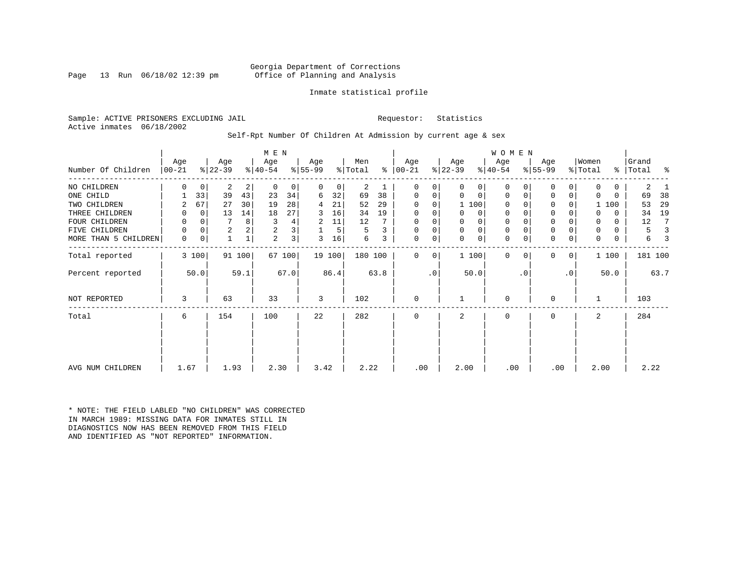Page 13 Run 06/18/02 12:39 pm

#### Inmate statistical profile

Sample: ACTIVE PRISONERS EXCLUDING JAIL **Requestor:** Statistics Active inmates 06/18/2002

Self-Rpt Number Of Children At Admission by current age & sex

|                      |          |             |                |        | M E N       |                |           |        |         |      |               |           |           |             | <b>WOMEN</b> |           |             |           |          |              |           |      |
|----------------------|----------|-------------|----------------|--------|-------------|----------------|-----------|--------|---------|------|---------------|-----------|-----------|-------------|--------------|-----------|-------------|-----------|----------|--------------|-----------|------|
|                      | Age      |             | Age            |        | Age         |                | Age       |        | Men     |      | Age           |           | Age       |             | Age          |           | Age         |           | Women    |              | Grand     |      |
| Number Of Children   | $ 00-21$ |             | $ 22-39 $      |        | $ 40-54 $   |                | $8 55-99$ |        | % Total |      | $8   00 - 21$ |           | $ 22-39 $ |             | $8 40-54$    |           | $ 55-99 $   |           | % Total  |              | %   Total | ႜ    |
| NO CHILDREN          | U        | $\mathbf 0$ | 2              | 2      | $\mathbf 0$ | 0              | 0         | 0      | 2       |      | 0             | 0         | 0         | 0           | $\Omega$     |           | $\Omega$    | 0         | $\Omega$ | $\mathbf{0}$ | 2         |      |
| ONE CHILD            |          | 33          | 39             | 43     | 23          | 34             | 6         | 32     | 69      | 38   | 0             | 0         | 0         | 0           | $\Omega$     | $\Omega$  | 0           | 0         | $\Omega$ | $\Omega$     | 69        | 38   |
| TWO CHILDREN         | 2        | 67          | 27             | 30     | 19          | 28             | 4         | 21     | 52      | 29   | $\Omega$      | $\Omega$  |           | 1 100       | $\Omega$     |           | $\Omega$    |           |          | 1 100        | 53        | 29   |
| THREE CHILDREN       | 0        | $\Omega$    | 13             | 14     | 18          | 27             | 3         | 16     | 34      | 19   | $\Omega$      | 0         | 0         | $\mathbf 0$ | $\mathbf 0$  |           | $\mathbf 0$ |           |          | $\Omega$     | 34        | 19   |
| FOUR CHILDREN        | 0        | 0           |                | 8      | 3           | 4              | 2         | 11     | 12      |      | 0             | 0         | U         | $\mathbf 0$ | $\mathbf 0$  |           | 0           |           | 0        | $\mathbf{0}$ | 12        |      |
| FIVE CHILDREN        | 0        | $\Omega$    | $\overline{a}$ | 2      | 2           | 3              |           | 5      | 5       | 3    | 0             | 0         | 0         | $\mathbf 0$ | 0            |           | $\mathbf 0$ |           | 0        | 0            | 5         |      |
| MORE THAN 5 CHILDREN | 0        | 0           |                |        | 2           | 3 <sub>1</sub> | 3         | 16     | 6       | 3    | 0             | 0         | 0         | 0           | $\mathbf 0$  |           | $\mathbf 0$ | 0         | 0        | 0            | 6         |      |
| Total reported       |          | 3 100       |                | 91 100 |             | 67 100         |           | 19 100 | 180 100 |      | $\Omega$      | 0         |           | 1 100       | $\Omega$     | $\Omega$  | $\Omega$    | 0         |          | 1 100        | 181 100   |      |
| Percent reported     |          | 50.0        |                | 59.1   |             | 67.0           |           | 86.4   |         | 63.8 |               | $\cdot$ 0 |           | 50.0        |              | $\cdot$ 0 |             | $\cdot$ 0 |          | 50.0         |           | 63.7 |
| NOT REPORTED         | 3        |             | 63             |        | 33          |                | 3         |        | 102     |      | $\mathbf 0$   |           |           |             | $\Omega$     |           | 0           |           |          |              | 103       |      |
| Total                | 6        |             | 154            |        | 100         |                | 22        |        | 282     |      | 0             |           | 2         |             | $\mathbf 0$  |           | 0           |           | 2        |              | 284       |      |
|                      |          |             |                |        |             |                |           |        |         |      |               |           |           |             |              |           |             |           |          |              |           |      |
|                      |          |             |                |        |             |                |           |        |         |      |               |           |           |             |              |           |             |           |          |              |           |      |
| AVG NUM CHILDREN     | 1.67     |             | 1.93           |        | 2.30        |                | 3.42      |        | 2.22    |      | .00           |           | 2.00      |             | .00          |           | .00         |           | 2.00     |              | 2.22      |      |

\* NOTE: THE FIELD LABLED "NO CHILDREN" WAS CORRECTED IN MARCH 1989: MISSING DATA FOR INMATES STILL IN DIAGNOSTICS NOW HAS BEEN REMOVED FROM THIS FIELD AND IDENTIFIED AS "NOT REPORTED" INFORMATION.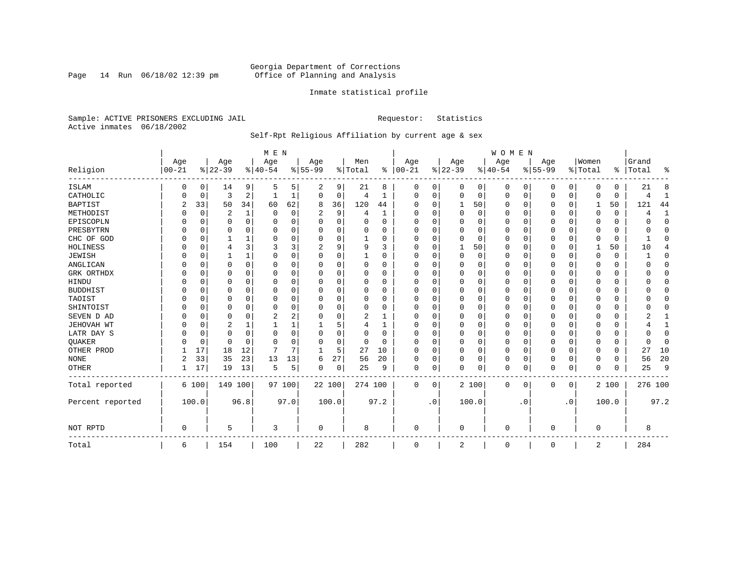Page 14 Run 06/18/02 12:39 pm

#### Inmate statistical profile

Sample: ACTIVE PRISONERS EXCLUDING JAIL **Requestor:** Statistics Active inmates 06/18/2002

### Self-Rpt Religious Affiliation by current age & sex

|                  |           |             |           |              | M E N          |          |           |    |          |              |            |             |          |       | WOMEN    |           |             |             |             |          |          |              |
|------------------|-----------|-------------|-----------|--------------|----------------|----------|-----------|----|----------|--------------|------------|-------------|----------|-------|----------|-----------|-------------|-------------|-------------|----------|----------|--------------|
|                  | Age       |             | Age       |              | Age            |          | Age       |    | Men      |              | Age        |             | Age      |       | Age      |           | Age         |             | Women       |          | Grand    |              |
| Religion         | $00 - 21$ |             | $8 22-39$ |              | $ 40-54$       |          | $8 55-99$ |    | % Total  | ႜ            | $ 00 - 21$ |             | $ 22-39$ |       | $ 40-54$ |           | $8155 - 99$ |             | % Total     | နွ       | Total    | ႜ            |
| <b>ISLAM</b>     | 0         | 0           | 14        | 9            | 5              | 5        | 2         | 9  | 21       | 8            | 0          | 0           | 0        | 0     | 0        | 0         | 0           | 0           | 0           | 0        | 21       | 8            |
| CATHOLIC         | U         | 0           | 3         | 2            |                | 1        | 0         | 0  | 4        | 1            | 0          | 0           | 0        | 0     | 0        | 0         | 0           | 0           | $\Omega$    | 0        | 4        | 1            |
| <b>BAPTIST</b>   | 2         | 33          | 50        | 34           | 60             | 62       | 8         | 36 | 120      | 44           | $\Omega$   | $\Omega$    | 1        | 50    | $\Omega$ | 0         | 0           | 0           | 1           | 50       | 121      | 44           |
| METHODIST        |           | $\mathbf 0$ | 2         | $\mathbf{1}$ | $\Omega$       | 0        | 2         | 9  | 4        | $\mathbf{1}$ | $\Omega$   | $\Omega$    | $\Omega$ | 0     | $\Omega$ | 0         | $\Omega$    | $\Omega$    | $\Omega$    | $\Omega$ | 4        | $\mathbf{1}$ |
| EPISCOPLN        |           | $\mathbf 0$ | 0         | $\Omega$     | $\Omega$       | $\Omega$ | 0         | 0  | 0        | $\Omega$     | $\Omega$   | $\Omega$    | $\Omega$ | 0     | $\Omega$ | 0         | 0           | $\Omega$    | $\Omega$    | $\Omega$ | U        | $\mathbf 0$  |
| PRESBYTRN        |           | $\mathbf 0$ | 0         | $\Omega$     | 0              | $\Omega$ | U         | O  | $\Omega$ | O            | $\Omega$   | $\Omega$    | $\Omega$ | 0     | 0        | 0         | 0           | $\Omega$    | $\Omega$    | $\Omega$ | O        | 0            |
| CHC OF GOD       |           | $\Omega$    |           | 1            | $\Omega$       | $\Omega$ | 0         | 0  |          | $\Omega$     | $\Omega$   | $\Omega$    | $\Omega$ | 0     | $\Omega$ | $\Omega$  | $\Omega$    | $\Omega$    | $\Omega$    | $\Omega$ | ำ        | $\Omega$     |
| HOLINESS         |           | $\mathbf 0$ | 4         | 3            | 3              | 3        | 2         | 9  | 9        | 3            | $\Omega$   | $\Omega$    | 1        | 50    | $\Omega$ | $\Omega$  | 0           | $\Omega$    | 1           | 50       | 10       | 4            |
| <b>JEWISH</b>    |           | $\Omega$    |           | 1            | $\Omega$       | 0        | U         | 0  |          | O            | $\Omega$   |             | $\Omega$ | 0     | $\Omega$ | $\Omega$  | 0           | $\Omega$    | $\Omega$    | $\Omega$ |          | $\Omega$     |
| ANGLICAN         |           | $\mathbf 0$ | 0         | 0            | 0              | 0        | $\Omega$  | 0  | $\Omega$ | 0            | $\Omega$   | $\Omega$    | $\Omega$ | 0     | O        | 0         | 0           | 0           | $\Omega$    | 0        | O        | $\mathbf 0$  |
| GRK ORTHDX       |           | $\Omega$    | U         | $\Omega$     | $\Omega$       | $\Omega$ | U         | O  | $\Omega$ | $\Omega$     | $\Omega$   | $\Omega$    | $\Omega$ | 0     | $\Omega$ | $\Omega$  | 0           | $\Omega$    | $\Omega$    | $\Omega$ |          | $\Omega$     |
| HINDU            |           | $\Omega$    | 0         | $\Omega$     | $\Omega$       | 0        | 0         | 0  | $\Omega$ | 0            | $\Omega$   | $\Omega$    | 0        | 0     | $\Omega$ | $\Omega$  | 0           | $\Omega$    | $\Omega$    | $\Omega$ |          | $\Omega$     |
| <b>BUDDHIST</b>  |           | $\Omega$    | 0         | $\Omega$     | $\Omega$       | $\Omega$ | U         | 0  | 0        | O            | $\Omega$   | $\Omega$    | 0        | 0     | $\Omega$ | $\Omega$  | 0           | $\Omega$    | $\Omega$    | 0        |          | $\mathbf 0$  |
| TAOIST           |           | $\Omega$    | U         | $\Omega$     | $\Omega$       | $\Omega$ | U         | O  | 0        | O            | O          | $\Omega$    | $\Omega$ | 0     | O        | $\Omega$  | 0           | $\Omega$    | $\Omega$    | $\Omega$ |          | $\Omega$     |
| SHINTOIST        |           | $\Omega$    | U         | 0            | $\Omega$       | $\Omega$ | U         | O  | $\Omega$ | O            | ∩          | $\Omega$    | $\Omega$ | 0     | $\Omega$ | $\Omega$  | 0           | $\Omega$    | $\Omega$    | $\Omega$ |          | O            |
| SEVEN D AD       |           | $\Omega$    | 0         | $\Omega$     | $\overline{2}$ | 2        | 0         | 0  | 2        |              | $\Omega$   |             | $\Omega$ | 0     | $\Omega$ | $\Omega$  | $\Omega$    | $\Omega$    | $\Omega$    | $\Omega$ |          |              |
| JEHOVAH WT       |           | $\mathbf 0$ | 2         | 1            |                |          |           | 5  | 4        |              | $\Omega$   | $\Omega$    | $\Omega$ | 0     | $\Omega$ | $\Omega$  | 0           | 0           | $\Omega$    | 0        |          |              |
| LATR DAY S       |           | $\mathbf 0$ | 0         | 0            | $\mathbf 0$    | 0        | U         | 0  | 0        | O            | $\Omega$   |             | 0        | 0     | $\Omega$ | 0         | 0           | 0           | $\Omega$    | 0        |          | 0            |
| QUAKER           |           | $\mathbf 0$ | 0         | $\Omega$     | $\Omega$       | $\Omega$ | U         | 0  | 0        | $\Omega$     | $\Omega$   | $\Omega$    | $\Omega$ | 0     | $\Omega$ | 0         | 0           | $\Omega$    | $\Omega$    | $\Omega$ | $\Omega$ | 0            |
| OTHER PROD       |           | 17          | 18        | 12           | 7              | 7        | -1        | 5  | 27       | 10           | $\Omega$   | $\Omega$    | $\Omega$ | 0     | $\Omega$ | $\Omega$  | 0           | $\Omega$    | $\Omega$    | $\Omega$ | 27       | 10           |
| <b>NONE</b>      | 2         | 33          | 35        | 23           | 13             | 13       | 6         | 27 | 56       | 20           | $\Omega$   | 0           | 0        | 0     | $\Omega$ | 0         | 0           | $\Omega$    | $\Omega$    | 0        | 56       | 20           |
| OTHER            |           | 17          | 19        | 13           | 5              | 5        | 0         | 0  | 25       | 9            | 0          | $\mathbf 0$ | $\Omega$ | 0     | 0        | 0         | $\Omega$    | $\mathbf 0$ | $\Omega$    | $\Omega$ | 25       | 9            |
| Total reported   |           | 6 100       | 149 100   |              |                | 97 100   | 22 100    |    | 274 100  |              | $\Omega$   | 0           |          | 2 100 | $\Omega$ | 0         | 0           | 0           |             | 2 100    | 276 100  |              |
| Percent reported |           | 100.0       |           | 96.8         |                | 97.0     | 100.0     |    |          | 97.2         |            | $\cdot$ 0   |          | 100.0 |          | $\cdot$ 0 |             | $\cdot$ 0   |             | 100.0    |          | 97.2         |
| NOT RPTD         | $\Omega$  |             | 5         |              | 3              |          | 0         |    | 8        |              | 0          |             | 0        |       | $\Omega$ |           | O           |             | $\mathbf 0$ |          | 8        |              |
| Total            | 6         |             | 154       |              | 100            |          | 22        |    | 282      |              | 0          |             | 2        |       | 0        |           | 0           |             | 2           |          | 284      |              |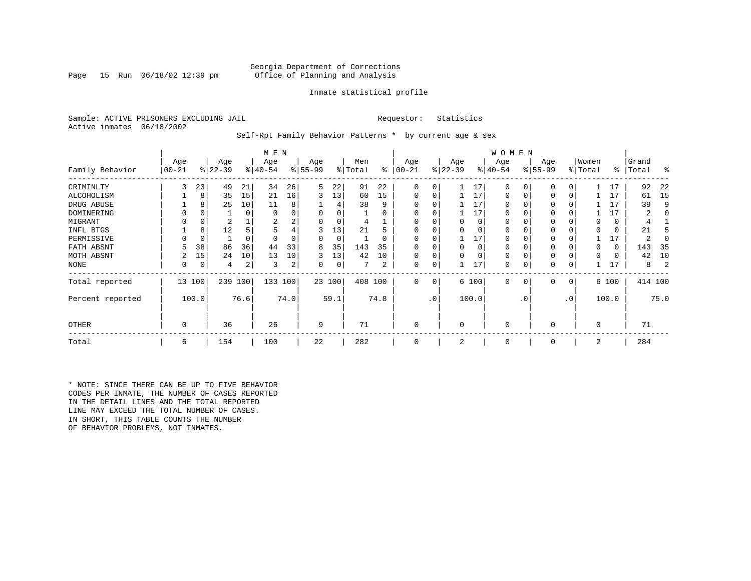Page 15 Run  $06/18/02$  12:39 pm

#### Inmate statistical profile

Sample: ACTIVE PRISONERS EXCLUDING JAIL **Requestor:** Statistics Active inmates 06/18/2002

Self-Rpt Family Behavior Patterns \* by current age & sex

|                  |                 |          |                  |      | M E N            |      |                 |        |                |          |                  |           |                  |          | W O M E N       |           |                 |           |                  |       |                |         |
|------------------|-----------------|----------|------------------|------|------------------|------|-----------------|--------|----------------|----------|------------------|-----------|------------------|----------|-----------------|-----------|-----------------|-----------|------------------|-------|----------------|---------|
| Family Behavior  | Age<br>$ 00-21$ |          | Age<br>$ 22-39 $ |      | Age<br>$ 40-54 $ |      | Age<br>$ 55-99$ |        | Men<br>% Total | ႜ        | Age<br>$00 - 21$ |           | Age<br>$ 22-39 $ |          | Age<br>$ 40-54$ |           | Age<br>$ 55-99$ |           | Women<br>% Total | ∻     | Grand<br>Total | ႜ       |
| CRIMINLTY        | 3               | 23       | 49               | 21   | 34               | 26   | 5               | 22     | 91             | 22       | 0                | 0         |                  | 17       | $\Omega$        | 0         | $\Omega$        | 0         |                  | 17    | 92             | 22      |
| ALCOHOLISM       |                 | 8        | 35               | 15   | 21               | 16   | 3               | 13     | 60             | 15       | 0                | 0         |                  | 17       | 0               |           | $\Omega$        | 0         |                  | 17    | 61             | -15     |
| DRUG ABUSE       |                 | 8        | 25               | 10   | 11               | 8    |                 |        | 38             | 9        |                  |           |                  | 17       | U               |           |                 |           |                  | 17    | 39             | 9       |
| DOMINERING       |                 |          |                  | 0    | $\Omega$         |      |                 | 0      |                | O        |                  |           |                  | 17       | <sup>0</sup>    |           |                 |           |                  | 17    | 2              |         |
| MIGRANT          |                 | 0        | 2                |      |                  | 2    |                 | 0      |                |          |                  |           |                  | 0        | 0               |           | $\Omega$        |           |                  | 0     |                |         |
| INFL BTGS        |                 | 8        | 12               |      |                  | 4    | 3               | 13     | 21             | h        |                  |           |                  | $\Omega$ | 0               |           | $\Omega$        |           |                  | 0     | 21             |         |
| PERMISSIVE       |                 | $\Omega$ |                  | 0    |                  |      | O               | 0      |                | $\Omega$ | $\Omega$         | 0         |                  | 17       | 0               |           | $\Omega$        |           |                  | 17    |                |         |
| FATH ABSNT       |                 | 38       | 86               | 36   | 44               | 33   | 8               | 35     | 143            | 35       |                  |           |                  | $\Omega$ | 0               |           |                 |           |                  | 0     | 143            | -35     |
| MOTH ABSNT       |                 | 15       | 24               | 10   | 13               | 10   | 3               | 13     | 42             | 10       | 0                | 0         |                  | $\Omega$ | 0               |           | $\Omega$        |           |                  | 0     | 42             | 10      |
| NONE             | 0               | 0        | 4                | 2    | 3                | 2    | 0               | 0      |                | 2        | 0                | 0         |                  | 17       | 0               |           | 0               |           |                  | 17    | 8              |         |
| Total reported   |                 | 13 100   | 239              | 100  | 133 100          |      |                 | 23 100 | 408 100        |          | 0                | 0         |                  | 6 100    | $\mathbf 0$     | 0         | 0               | 0         |                  | 6 100 |                | 414 100 |
| Percent reported |                 | 100.0    |                  | 76.6 |                  | 74.0 |                 | 59.1   |                | 74.8     |                  | $\cdot$ 0 |                  | 100.0    |                 | $\cdot$ 0 |                 | $\cdot$ 0 |                  | 100.0 |                | 75.0    |
| <b>OTHER</b>     | 0               |          | 36               |      | 26               |      | 9               |        | 71             |          | 0                |           | $\Omega$         |          | $\Omega$        |           | $\Omega$        |           | $\Omega$         |       | 71             |         |
| Total            | 6               |          | 154              |      | 100              |      | 22              |        | 282            |          | 0                |           | 2                |          | 0               |           | 0               |           | 2                |       | 284            |         |

\* NOTE: SINCE THERE CAN BE UP TO FIVE BEHAVIOR CODES PER INMATE, THE NUMBER OF CASES REPORTED IN THE DETAIL LINES AND THE TOTAL REPORTED LINE MAY EXCEED THE TOTAL NUMBER OF CASES. IN SHORT, THIS TABLE COUNTS THE NUMBER OF BEHAVIOR PROBLEMS, NOT INMATES.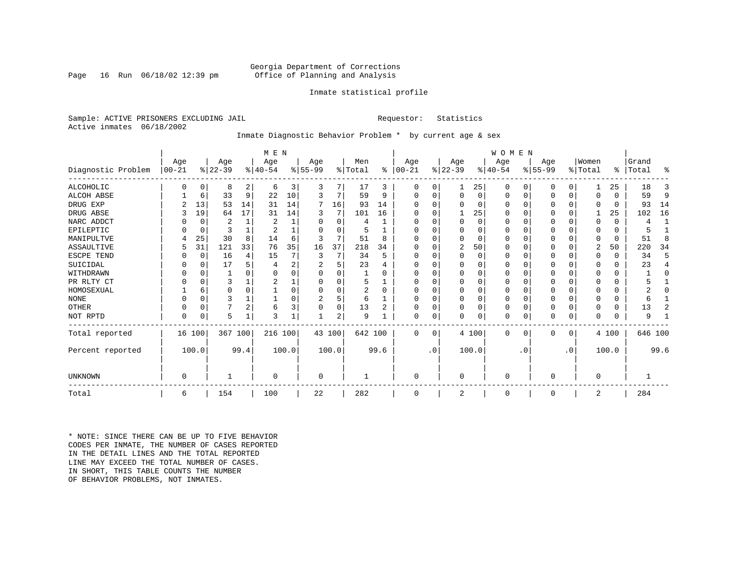Page 16 Run  $06/18/02$  12:39 pm

#### Inmate statistical profile

Sample: ACTIVE PRISONERS EXCLUDING JAIL **Requestor:** Statistics Active inmates 06/18/2002

#### Inmate Diagnostic Behavior Problem \* by current age & sex

|                    |            |          |           |              | M E N          |       |                |          |                |          |             |           |                |          | <b>WOMEN</b> |           |           |           |             |          |           |              |
|--------------------|------------|----------|-----------|--------------|----------------|-------|----------------|----------|----------------|----------|-------------|-----------|----------------|----------|--------------|-----------|-----------|-----------|-------------|----------|-----------|--------------|
|                    | Age        |          | Age       |              | Age            |       | Age            |          | Men            |          | Age         |           | Age            |          | Age          |           | Age       |           | Women       |          | Grand     |              |
| Diagnostic Problem | $ 00 - 21$ |          | $ 22-39 $ |              | $ 40-54$       |       | $ 55-99 $      |          | % Total        | ႜ        | $ 00 - 21 $ |           | $ 22-39 $      |          | $ 40-54 $    |           | $ 55-99 $ |           | % Total     |          | %   Total | ႜ            |
| <b>ALCOHOLIC</b>   | 0          | 0        | 8         | 2            | 6              | 3     | 3              | 7        | 17             | 3        | 0           | 0         | $\mathbf{1}$   | 25       | 0            | 0         | 0         | 0         |             | 25       | 18        | 3            |
| ALCOH ABSE         |            | 6        | 33        | 9            | 22             | 10    | 3              | 7        | 59             | 9        | O           | $\Omega$  | $\mathbf 0$    | $\Omega$ | 0            | 0         | 0         | 0         | $\Omega$    | $\Omega$ | 59        | 9            |
| DRUG EXP           |            | 13       | 53        | 14           | 31             | 14    | 7              | 16       | 93             | 14       |             |           | $\Omega$       | 0        | 0            | 0         |           | $\Omega$  | $\Omega$    | 0        | 93        | 14           |
| DRUG ABSE          | 3          | 19       | 64        | 17           | 31             | 14    | 3              | 7        | 101            | 16       | O           |           |                | 25       | 0            | O         | 0         | 0         |             | 25       | 102       | 16           |
| NARC ADDCT         |            | 0        | 2         | 1            | $\overline{2}$ |       | O              | $\Omega$ | 4              |          |             | $\Omega$  | $\mathbf 0$    | $\Omega$ | $\Omega$     | $\Omega$  | Ω         | $\Omega$  | $\Omega$    | $\Omega$ | 4         | $\mathbf{1}$ |
| EPILEPTIC          |            | 0        | 3         | $\mathbf{1}$ |                |       | $\cap$         | O        |                |          | O           |           | $\Omega$       | O        | $\Omega$     | $\Omega$  | 0         | $\Omega$  | $\Omega$    | $\Omega$ |           |              |
| MANIPULTVE         |            | 25       | 30        | 8            | 14             | 6     | 3              | 7        | 51             | 8        |             |           | 0              | 0        | 0            | $\Omega$  | 0         | $\Omega$  | $\Omega$    | $\Omega$ | 51        | 8            |
| ASSAULTIVE         | 5          | 31       | 121       | 33           | 76             | 35    | 16             | 37       | 218            | 34       | U           |           | 2              | 50       | 0            | 0         | 0         | 0         | 2           | 50       | 220       | 34           |
| ESCPE TEND         |            | 0        | 16        | 4            | 15             |       | 3              | 7        | 34             | 5        | O           |           | $\mathbf 0$    | 0        | 0            | $\Omega$  |           | $\Omega$  | $\Omega$    | 0        | 34        | 5            |
| SUICIDAL           |            | 0        | 17        | 5            |                | 2     |                | 5        | 23             |          |             |           | $\Omega$       | O        | U            | $\Omega$  |           | $\Omega$  | $\Omega$    | 0        | 23        | 4            |
| WITHDRAWN          |            | O        |           | n            |                |       |                | U        |                |          |             |           | $\Omega$       |          | 0            | $\Omega$  |           | O         |             | 0        |           | O            |
| PR RLTY CT         | O          | $\Omega$ | 3         |              |                |       |                | O        | 5              |          | O           |           | $\Omega$       | O        | $\Omega$     | $\Omega$  |           | $\Omega$  | $\Omega$    | $\Omega$ |           |              |
| HOMOSEXUAL         |            | 6        | 0         | $\Omega$     |                |       | O              | 0        | $\overline{2}$ | $\Omega$ |             |           | $\Omega$       | $\Omega$ | 0            | $\Omega$  |           | $\Omega$  |             | U        |           | O            |
| <b>NONE</b>        |            | $\Omega$ | ς         |              |                |       | $\overline{a}$ | 5        | 6              |          | U           |           | $\Omega$       | U        | $\Omega$     | $\Omega$  |           | $\Omega$  | ∩           | U        | 6         |              |
| OTHER              |            | $\Omega$ |           | 2            | 6              | 3     | $\Omega$       | 0        | 13             |          | O           |           | $\mathbf 0$    | O        | 0            | $\Omega$  | 0         | $\Omega$  | $\Omega$    | $\Omega$ | 13        | 2            |
| NOT RPTD           | $\Omega$   | 0        | 5         | 1            | 3              |       |                | 2        | 9              |          | $\Omega$    | 0         | $\mathbf 0$    | 0        | 0            | 0         | U         | 0         | $\Omega$    | $\Omega$ | 9         |              |
| Total reported     |            | 16 100   | 367 100   |              | 216 100        |       | 43 100         |          | 642 100        |          | $\Omega$    | $\Omega$  |                | 4 100    | 0            | 0         | 0         | 0         |             | 4 100    | 646 100   |              |
| Percent reported   |            | 100.0    |           | 99.4         |                | 100.0 |                | 100.0    |                | 99.6     |             | $\cdot$ 0 |                | 100.0    |              | $\cdot$ 0 |           | $\cdot$ 0 |             | 100.0    |           | 99.6         |
| UNKNOWN            | 0          |          |           |              | $\Omega$       |       | 0              |          |                |          | $\Omega$    |           | $\mathbf 0$    |          | $\Omega$     |           | 0         |           | $\mathbf 0$ |          |           |              |
|                    |            |          |           |              |                |       |                |          |                |          |             |           |                |          |              |           |           |           |             |          |           |              |
| Total              | 6          |          | 154       |              | 100            |       | 22             |          | 282            |          | $\Omega$    |           | $\overline{2}$ |          | 0            |           | 0         |           | 2           |          | 284       |              |

\* NOTE: SINCE THERE CAN BE UP TO FIVE BEHAVIOR CODES PER INMATE, THE NUMBER OF CASES REPORTED IN THE DETAIL LINES AND THE TOTAL REPORTED LINE MAY EXCEED THE TOTAL NUMBER OF CASES.IN SHORT, THIS TABLE COUNTS THE NUMBER OF BEHAVIOR PROBLEMS, NOT INMATES.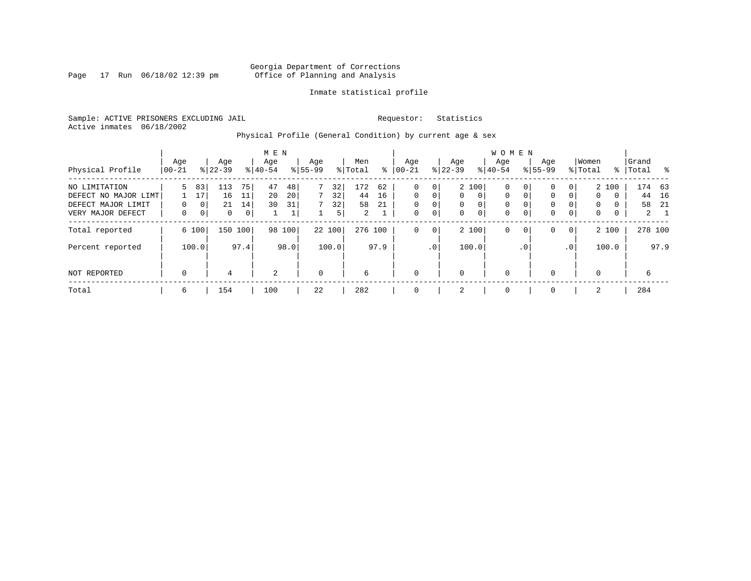Page 17 Run 06/18/02 12:39 pm

#### Inmate statistical profile

Sample: ACTIVE PRISONERS EXCLUDING JAIL **Requestor:** Statistics Active inmates 06/18/2002

Physical Profile (General Condition) by current age & sex

|                                                                                  |                    |                                              |                                 |                     | M E N            |                      |                  |                     |                                   |                |                                                    |                  |                                  |                                                 | WOMEN                      |                                   |                                                            |                              |                  |                                    |                |                                     |
|----------------------------------------------------------------------------------|--------------------|----------------------------------------------|---------------------------------|---------------------|------------------|----------------------|------------------|---------------------|-----------------------------------|----------------|----------------------------------------------------|------------------|----------------------------------|-------------------------------------------------|----------------------------|-----------------------------------|------------------------------------------------------------|------------------------------|------------------|------------------------------------|----------------|-------------------------------------|
| Physical Profile                                                                 | Age<br>$ 00-21$    |                                              | Age<br>$8 22-39$                |                     | Age<br>$8 40-54$ |                      | Age<br>$8 55-99$ |                     | Men<br>% Total                    | ႜ              | Aqe<br>$ 00-21$                                    |                  | Age<br>$ 22-39 $                 |                                                 | Aqe<br>$8 40-54$           |                                   | Age<br>$8155 - 99$                                         |                              | Women<br>% Total | ႜၟ                                 | Grand<br>Total |                                     |
| NO LIMITATION<br>DEFECT NO MAJOR LIMT<br>DEFECT MAJOR LIMIT<br>VERY MAJOR DEFECT | 5<br>$\Omega$<br>0 | 83<br>17<br>0 <sup>1</sup><br>0 <sup>1</sup> | 113<br>16<br>21<br>$\mathbf{0}$ | 75<br>11<br>14<br>0 | 47<br>20<br>30   | 48<br>20<br>31<br>Τ. |                  | 32<br>32<br>32<br>5 | 172<br>44<br>58<br>$\overline{2}$ | 62<br>16<br>21 | $\Omega$<br>$\Omega$<br>$\mathbf 0$<br>$\mathbf 0$ | 0<br>0<br>0<br>0 | $\Omega$<br>$\Omega$<br>$\Omega$ | 2 100<br>$\Omega$<br>$\Omega$<br>$\overline{0}$ | 0<br>0<br>0<br>$\mathbf 0$ | $\mathbf{0}$<br>$\mathbf{0}$<br>0 | $\mathbf{0}$<br>$\mathbf 0$<br>$\mathbf{0}$<br>$\mathbf 0$ | 0<br>$\Omega$<br>$\mathbf 0$ | 0<br>0<br>0      | 2 100<br>$\Omega$<br>$\Omega$<br>0 | 44<br>58       | 174 63<br>16<br>- 21<br>$2 \quad 1$ |
| Total reported<br>Percent reported                                               |                    | 6 100<br>100.0                               | 150                             | 100<br>97.4         |                  | 98 100<br>98.0       |                  | 22 100<br>100.0     | 276 100                           | 97.9           | $\mathbf 0$                                        | 0<br>$\cdot$ 0   |                                  | 2 100<br>100.0                                  | 0                          | $\mathbf 0$<br>$\cdot$ 0          | $\mathbf 0$                                                | $\mathbf 0$<br>.0'           |                  | 2 100<br>100.0                     | 278 100        | 97.9                                |
| NOT REPORTED                                                                     | 0                  |                                              | 4                               |                     | 2                |                      | $\mathbf 0$      |                     | 6                                 |                | $\mathbf 0$                                        |                  | $\Omega$                         |                                                 | 0                          |                                   | $\mathbf{0}$                                               |                              | $\Omega$         |                                    | 6              |                                     |
| Total                                                                            | 6                  |                                              | 154                             |                     | 100              |                      | 22               |                     | 282                               |                | $\mathbf 0$                                        |                  | 2                                |                                                 | 0                          |                                   | $\mathbf{0}$                                               |                              | 2                |                                    | 284            |                                     |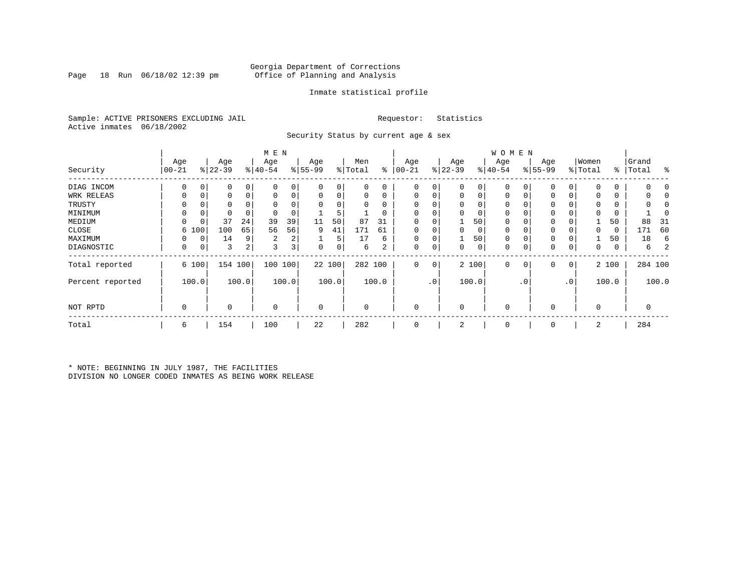Page 18 Run  $06/18/02$  12:39 pm

#### Inmate statistical profile

Sample: ACTIVE PRISONERS EXCLUDING JAIL **Requestor:** Statistics Active inmates 06/18/2002

Security Status by current age & sex

|                  |                   |       |                  |       | M E N            |                |                  |          |                |          |                  |                 |                  |          | <b>WOMEN</b>     |             |                 |                 |                  |       |                    |            |
|------------------|-------------------|-------|------------------|-------|------------------|----------------|------------------|----------|----------------|----------|------------------|-----------------|------------------|----------|------------------|-------------|-----------------|-----------------|------------------|-------|--------------------|------------|
| Security         | Age<br>$ 00 - 21$ |       | Age<br>$ 22-39 $ |       | Age<br>$ 40-54 $ |                | Age<br>$8 55-99$ |          | Men<br>% Total | ႜ        | Age<br>$00 - 21$ |                 | Age<br>$ 22-39 $ |          | Age<br>$ 40-54 $ |             | Age<br>$ 55-99$ |                 | Women<br>% Total |       | Grand<br>%   Total | ႜ          |
| DIAG INCOM       | $\Omega$          |       | 0                | 0     | $\Omega$         |                | $\Omega$         | 0        | 0              | $\Omega$ | 0                | 0               | 0                | 0        | $\Omega$         |             | $\Omega$        |                 |                  | O     |                    |            |
| WRK RELEAS       |                   |       | 0                | 0     | 0                | 0              | $\mathbf 0$      | 0        | 0              | 0        | 0                |                 | 0                | 0        | 0                | $\Omega$    | $\Omega$        |                 |                  | 0     |                    |            |
| TRUSTY           |                   |       | U                |       |                  |                |                  | $\Omega$ | U              | $\Omega$ | $\Omega$         |                 | $\Omega$         |          | $\Omega$         |             | $\Omega$        |                 |                  |       |                    | $\sqrt{2}$ |
| MINIMUM          | $\Omega$          |       | 0                |       | $\mathbf 0$      |                |                  | 5        |                | 0        | $\Omega$         |                 | $\mathbf 0$      | $\Omega$ | 0                |             | $\Omega$        |                 |                  | 0     |                    |            |
| MEDIUM           | 0                 |       | 37               | 24    | 39               | 39             | 11               | 50       | 87             | 31       | $\Omega$         |                 |                  | 50       | 0                |             | $\Omega$        |                 |                  | 50    | 88                 | -31        |
| CLOSE            | 6                 | 100   | 100              | 65    | 56               | 56             | 9                | 41       | 171            | 61       | 0                |                 | 0                | 0        | 0                |             | $\Omega$        |                 |                  | 0     | 171                | 60         |
| MAXIMUM          |                   | 0     | 14               | 9     | 2                | 2              |                  | 5        | 17             | 6        | $\Omega$         |                 |                  | 50       | $\Omega$         | $\Omega$    | $\Omega$        |                 |                  | 50    | 18                 | 6          |
| DIAGNOSTIC       | 0                 | 0     | 3                | 2     | 3                | 3 <sup>1</sup> | 0                | 0        | 6              | 2        | 0                | 0               | 0                | 0        | 0                | 0           | 0               | 0               | 0                | 0     | 6                  |            |
| Total reported   |                   | 6 100 | 154 100          |       | 100 100          |                |                  | 22 100   | 282 100        |          | $\mathbf 0$      | $\mathbf 0$     |                  | 2 100    | $\mathbf 0$      | $\mathbf 0$ | 0               | 0               |                  | 2 100 |                    | 284 100    |
| Percent reported |                   | 100.0 |                  | 100.0 |                  | 100.0          |                  | 100.0    |                | 100.0    |                  | .0 <sup>1</sup> |                  | 100.0    |                  | . 0         |                 | .0 <sup>1</sup> |                  | 100.0 |                    | 100.0      |
| NOT RPTD         | $\mathbf 0$       |       | 0                |       | $\mathbf 0$      |                | $\mathbf 0$      |          | $\Omega$       |          | $\mathbf 0$      |                 | $\mathbf 0$      |          | $\mathbf 0$      |             | $\Omega$        |                 | $\Omega$         |       | 0                  |            |
| Total            | 6                 |       | 154              |       | 100              |                | 22               |          | 282            |          | 0                |                 | 2                |          | 0                |             | $\mathbf 0$     |                 | 2                |       | 284                |            |

\* NOTE: BEGINNING IN JULY 1987, THE FACILITIES DIVISION NO LONGER CODED INMATES AS BEING WORK RELEASE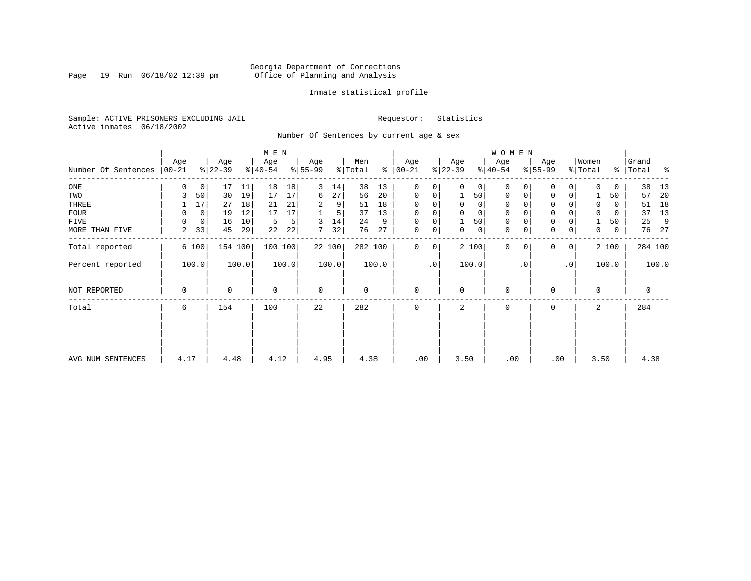Page 19 Run 06/18/02 12:39 pm

#### Inmate statistical profile

Sample: ACTIVE PRISONERS EXCLUDING JAIL **Requestor:** Statistics Active inmates 06/18/2002

Number Of Sentences by current age & sex

|                     |                  |       |                  |       | M E N            |       |                  |        |                |       |                      |           |                  |          | W O M E N        |                |                 |           |                  |          |                 |         |
|---------------------|------------------|-------|------------------|-------|------------------|-------|------------------|--------|----------------|-------|----------------------|-----------|------------------|----------|------------------|----------------|-----------------|-----------|------------------|----------|-----------------|---------|
| Number Of Sentences | Age<br>$ 00-21 $ |       | Age<br>$ 22-39 $ |       | Age<br>$ 40-54 $ |       | Age<br>$8 55-99$ |        | Men<br>% Total |       | Age<br>$8   00 - 21$ |           | Age<br>$ 22-39 $ |          | Age<br>$ 40-54 $ |                | Age<br>$ 55-99$ |           | Women<br>% Total | ွေ       | Grand<br> Total | ႜ       |
| $_{\rm ONE}$        | 0                | 0     | 17               | 11    | 18               | 18    | 3                | 14     | 38             | 13    | $\mathbf 0$          | 0         | $\Omega$         | 0        | $\Omega$         | 0              | 0               | 0         | 0                | 0        | 38              | 13      |
| TWO                 | 3                | 50    | 30               | 19    | 17               | 17    | 6                | 27     | 56             | 20    | $\mathbf 0$          | 0         |                  | 50       | $\mathbf 0$      | 0              | $\Omega$        | 0         |                  | 50       | 57              | 20      |
| THREE               |                  | 17    | 27               | 18    | 21               | 21    | 2                | 9      | 51             | 18    | $\Omega$             |           | $\Omega$         | 0        | 0                |                | $\Omega$        |           | $\Omega$         | 0        | 51              | 18      |
| <b>FOUR</b>         | 0                | 0     | 19               | 12    | 17               | 17    |                  | 5      | 37             | 13    | $\Omega$             | 0         | $\Omega$         | $\Omega$ | $\Omega$         |                | $\Omega$        | 0         | $\Omega$         | $\Omega$ | 37              | 13      |
| FIVE                | $\Omega$         | 0     | 16               | 10    | 5                | 5     | 3                | 14     | 24             | 9     | $\Omega$             | 0         |                  | 50       | $\mathbf 0$      |                | $\mathbf 0$     |           |                  | 50       | 25              | 9       |
| MORE THAN FIVE      | 2                | 33    | 45               | 29    | 22               | 22    | 7                | 32     | 76             | 27    | $\mathbf 0$          | 0         | 0                | 0        | $\mathbf 0$      | 0              | $\mathbf 0$     | 0         | 0                | 0        | 76              | - 27    |
| Total reported      |                  | 6 100 | 154 100          |       | 100 100          |       |                  | 22 100 | 282 100        |       | 0                    | 0         |                  | 2 100    | $\mathbf 0$      | 0 <sup>1</sup> | $\Omega$        | 0         |                  | 2 100    |                 | 284 100 |
| Percent reported    |                  | 100.0 |                  | 100.0 |                  | 100.0 |                  | 100.0  |                | 100.0 |                      | $\cdot$ 0 |                  | 100.0    |                  | $\cdot$ 0      |                 | $\cdot$ 0 |                  | 100.0    |                 | 100.0   |
| NOT REPORTED        | 0                |       | 0                |       | $\mathbf 0$      |       | $\mathbf 0$      |        | 0              |       | $\mathbf 0$          |           | $\Omega$         |          | $\mathbf 0$      |                | $\mathbf 0$     |           | 0                |          | 0               |         |
| Total               | 6                |       | 154              |       | 100              |       | 22               |        | 282            |       | $\Omega$             |           | $\overline{a}$   |          | $\Omega$         |                | $\mathbf 0$     |           | $\overline{a}$   |          | 284             |         |
|                     |                  |       |                  |       |                  |       |                  |        |                |       |                      |           |                  |          |                  |                |                 |           |                  |          |                 |         |
| AVG NUM SENTENCES   | 4.17             |       | 4.48             |       | 4.12             |       | 4.95             |        | 4.38           |       | .00                  |           | 3.50             |          | .00              |                | .00             |           | 3.50             |          | 4.38            |         |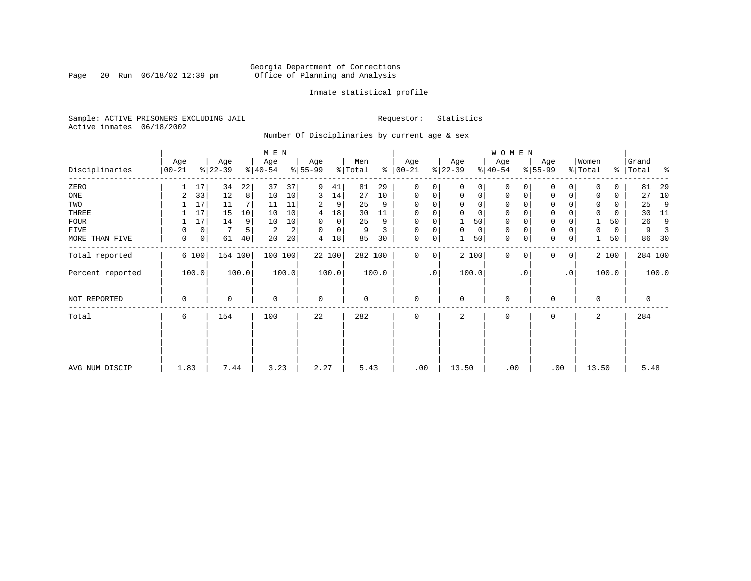Page 20 Run 06/18/02 12:39 pm

#### Inmate statistical profile

Sample: ACTIVE PRISONERS EXCLUDING JAIL **Requestor:** Statistics Active inmates 06/18/2002

Number Of Disciplinaries by current age & sex

|                  |                   |       |                  |         | M E N            |       |                  |             |                |       |                  |           |                  |             | W O M E N        |           |                  |                |                  |           |                |         |
|------------------|-------------------|-------|------------------|---------|------------------|-------|------------------|-------------|----------------|-------|------------------|-----------|------------------|-------------|------------------|-----------|------------------|----------------|------------------|-----------|----------------|---------|
| Disciplinaries   | Age<br>$ 00 - 21$ |       | Age<br>$ 22-39 $ |         | Age<br>$ 40-54 $ |       | Age<br>$8 55-99$ |             | Men<br>% Total | ႜ     | Age<br>$ 00-21 $ |           | Age<br>$ 22-39 $ |             | Age<br>$ 40-54 $ |           | Age<br>$8 55-99$ |                | Women<br>% Total | $\approx$ | Grand<br>Total | ႜ       |
| ZERO             |                   | 17    | 34               | 22      | 37               | 37    | 9                | 41          | 81             | 29    | $\mathbf 0$      | 0         | $\Omega$         | $\Omega$    | $\Omega$         | $\Omega$  | $\Omega$         | $\Omega$       | $\Omega$         | $\Omega$  | 81             | 29      |
| ONE              | 2                 | 33    | 12               | 8       | 10               | 10    | 3                | 14          | 27             | 10    | $\mathbf 0$      | 0         | $\mathbf 0$      | $\mathbf 0$ | $\mathbf 0$      | 0         | $\mathbf 0$      | $\mathbf{0}$   | 0                | 0         | 27             | 10      |
| TWO              |                   | 17    | 11               |         | 11               | 11    | 2                | 9           | 25             | 9     | $\mathbf 0$      | 0         |                  | $\mathbf 0$ | 0                |           | $\Omega$         |                | 0                | 0         | 25             | 9       |
| THREE            |                   | 17    | 15               | 10      | 10               | 10    | 4                | 18          | 30             | 11    | $\mathbf 0$      | 0         |                  | $\mathbf 0$ | 0                |           | $\mathbf 0$      |                | 0                | 0         | 30             | 11      |
| <b>FOUR</b>      |                   | 17    | 14               | 9       | 10               | 10    | $\Omega$         | $\mathbf 0$ | 25             | 9     | $\mathbf 0$      | 0         |                  | 50          | 0                |           | $\Omega$         |                |                  | 50        | 26             | 9       |
| FIVE             | 0                 | 0     |                  |         | 2                | 2     | $\Omega$         | 0           | 9              | 3     | 0                | 0         | $\Omega$         | 0           | 0                |           | $\mathbf 0$      | $\Omega$       | 0                | 0         | 9              |         |
| MORE THAN FIVE   | 0                 | 0     | 61               | 40      | 20               | 20    | 4                | 18          | 85             | 30    | 0                | 0         |                  | 50          | 0                | 0         | $\mathbf 0$      | 0              |                  | 50        | 86             | 30      |
| Total reported   |                   | 6 100 |                  | 154 100 | 100 100          |       |                  | 22 100      | 282 100        |       | $\mathbf{0}$     | 0         |                  | 2 100       | $\mathbf{0}$     | $\Omega$  | $\Omega$         | 0 <sup>1</sup> |                  | 2 100     |                | 284 100 |
| Percent reported |                   | 100.0 |                  | 100.0   |                  | 100.0 |                  | 100.0       |                | 100.0 |                  | $\cdot$ 0 |                  | 100.0       |                  | $\cdot$ 0 |                  | $\cdot$ 0      |                  | 100.0     |                | 100.0   |
| NOT REPORTED     | 0                 |       | 0                |         | $\mathbf 0$      |       | $\mathbf 0$      |             | 0              |       | $\mathbf 0$      |           | $\Omega$         |             | 0                |           | $\mathbf 0$      |                | $\mathbf 0$      |           | 0              |         |
| Total            | 6                 |       | 154              |         | 100              |       | 22               |             | 282            |       | $\mathbf 0$      |           | 2                |             | 0                |           | 0                |                | 2                |           | 284            |         |
|                  |                   |       |                  |         |                  |       |                  |             |                |       |                  |           |                  |             |                  |           |                  |                |                  |           |                |         |
| AVG NUM DISCIP   | 1.83              |       | 7.44             |         | 3.23             |       | 2.27             |             | 5.43           |       | .00              |           | 13.50            |             | .00              |           |                  | .00            | 13.50            |           | 5.48           |         |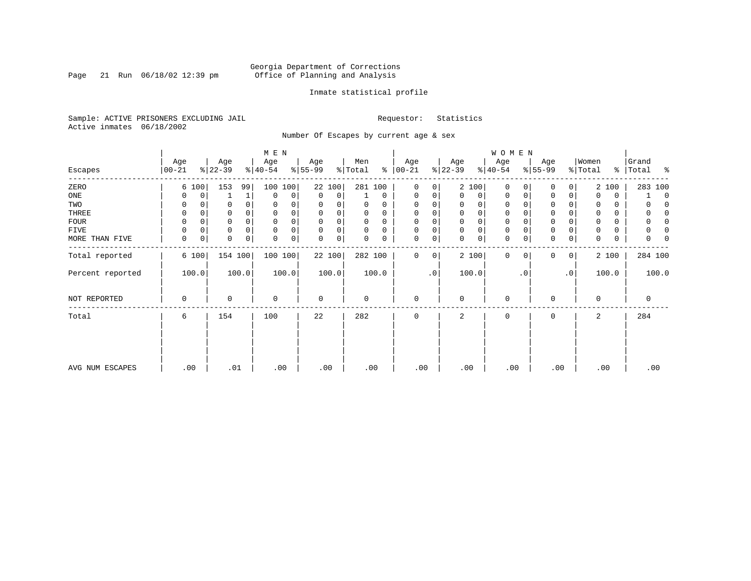Page 21 Run 06/18/02 12:39 pm

#### Inmate statistical profile

Sample: ACTIVE PRISONERS EXCLUDING JAIL **Requestor:** Statistics Active inmates 06/18/2002

Number Of Escapes by current age & sex

|                  |                  |             |                  |             | M E N            |       |                            |        |                            |          |                   |                |                  |             | W O M E N        |           |                  |             |                  |       |                    |             |
|------------------|------------------|-------------|------------------|-------------|------------------|-------|----------------------------|--------|----------------------------|----------|-------------------|----------------|------------------|-------------|------------------|-----------|------------------|-------------|------------------|-------|--------------------|-------------|
| Escapes          | Age<br>$ 00-21 $ |             | Age<br>$ 22-39 $ |             | Age<br>$8 40-54$ |       | Age<br>$\frac{1}{6}$ 55-99 |        | Men<br>$\frac{1}{2}$ Total | ៖        | Age<br>$ 00 - 21$ |                | Age<br>$ 22-39 $ |             | Age<br>$ 40-54 $ |           | Age<br>$8 55-99$ |             | Women<br>% Total |       | Grand<br>% Total % |             |
|                  |                  |             |                  |             |                  |       |                            |        |                            |          |                   |                |                  |             |                  |           |                  |             |                  |       |                    |             |
| ZERO             |                  | 6 100       | 153              | 99          | 100              | 100   |                            | 22 100 | 281 100                    |          | 0                 | 0              |                  | 2 100       | $\mathbf 0$      | $\Omega$  | 0                | 0           |                  | 2 100 | 283 100            |             |
| ONE              |                  | 0           |                  |             | 0                | 0     | $\mathbf 0$                | 0      |                            | 0        | $\mathbf 0$       | 0              | $\mathbf 0$      | 0           | 0                | 0         | 0                | 0           | 0                | 0     |                    | $\mathbf 0$ |
| TWO              | 0                |             | 0                | $\Omega$    | 0                |       | $\Omega$                   |        | 0                          | 0        |                   |                | 0                | 0           | $\mathbf 0$      | $\Omega$  | $\Omega$         |             | 0                | 0     |                    | $\left($    |
| THREE            | 0                |             | 0                | 0           | 0                |       | 0                          |        | 0                          | 0        | $\Omega$          |                | 0                | 0           | 0                |           | 0                |             |                  | 0     |                    | n           |
| FOUR             | $\Omega$         |             | U                | $\Omega$    |                  |       | $\Omega$                   |        | $\Omega$                   | $\Omega$ |                   |                | 0                | 0           | $\mathbf 0$      |           | $\Omega$         |             |                  | 0     |                    | n           |
| FIVE             | 0                | 0           | 0                | $\mathbf 0$ | n                |       | $\Omega$                   | 0      | $\Omega$                   | $\Omega$ | U                 | 0              | $\mathbf 0$      | 0           | $\mathbf 0$      | $\Omega$  | 0                |             |                  | 0     |                    | 0           |
| MORE THAN FIVE   | 0                | $\mathbf 0$ | 0                | $\mathbf 0$ | $\Omega$         | 0     | 0                          | 0      | 0                          | 0        | $\Omega$          | 0              | $\mathbf 0$      | $\mathbf 0$ | $\mathbf{0}$     | 0         | $\mathbf 0$      | $\mathbf 0$ | 0                | 0     | 0                  |             |
| Total reported   |                  | 6 100       | 154 100          |             | 100 100          |       |                            | 22 100 | 282 100                    |          | 0                 | 0 <sup>1</sup> |                  | 2 100       | $\mathbf 0$      | 0         | 0                | 0           |                  | 2 100 | 284 100            |             |
| Percent reported |                  | 100.0       |                  | 100.0       |                  | 100.0 |                            | 100.0  |                            | 100.0    |                   | $\cdot$ 0      |                  | 100.0       |                  | $\cdot$ 0 |                  | $\cdot$ 0   |                  | 100.0 | 100.0              |             |
| NOT REPORTED     | 0                |             | 0                |             | $\mathbf 0$      |       | $\mathbf 0$                |        | $\mathbf 0$                |          | $\mathbf 0$       |                | $\mathbf 0$      |             | $\mathbf 0$      |           | $\mathbf 0$      |             | $\mathbf 0$      |       | $\mathbf 0$        |             |
| Total            | 6                |             | 154              |             | 100              |       | 22                         |        | 282                        |          | $\mathbf 0$       |                | 2                |             | $\mathbf 0$      |           | 0                |             | 2                |       | 284                |             |
|                  |                  |             |                  |             |                  |       |                            |        |                            |          |                   |                |                  |             |                  |           |                  |             |                  |       |                    |             |
|                  |                  |             |                  |             |                  |       |                            |        |                            |          |                   |                |                  |             |                  |           |                  |             |                  |       |                    |             |
| AVG NUM ESCAPES  | .00              |             | .01              |             | .00              |       | .00                        |        | .00                        |          | .00               |                | .00              |             | .00              |           | .00              |             | .00              |       | .00                |             |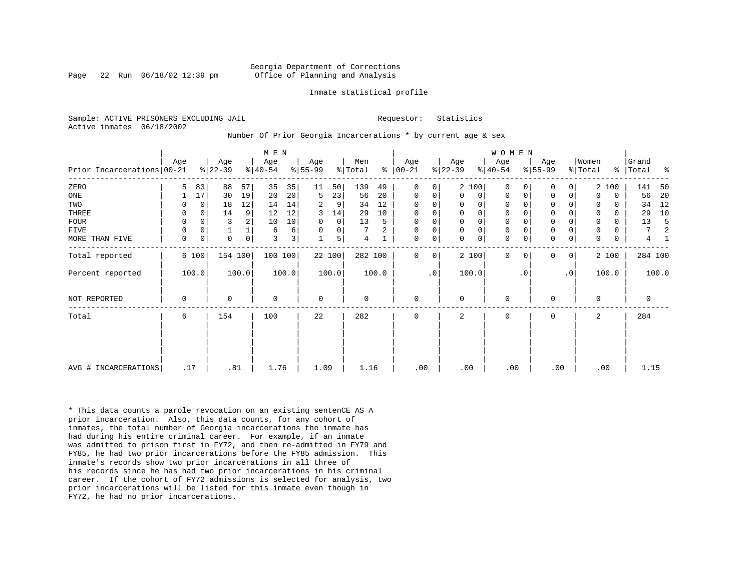Page 22 Run  $06/18/02$  12:39 pm

#### Inmate statistical profile

Sample: ACTIVE PRISONERS EXCLUDING JAIL **Requestor:** Statistics Active inmates 06/18/2002

Number Of Prior Georgia Incarcerations \* by current age & sex

| Prior Incarcerations   00-21 | Age         |             | Age<br>$ 22-39 $ |             | M E N<br>Age<br>$8 40-54$ |                 | Age<br>$8 55-99$ |        | Men<br>% Total |       | Age<br>$8   00 - 21$ |           | Age<br>$ 22-39 $ |             | <b>WOMEN</b><br>Age<br>$8 40-54$ |           | Age<br>$ 55-99 $ |           | Women<br>% Total | နွ    | Grand<br>Total | ႜ     |
|------------------------------|-------------|-------------|------------------|-------------|---------------------------|-----------------|------------------|--------|----------------|-------|----------------------|-----------|------------------|-------------|----------------------------------|-----------|------------------|-----------|------------------|-------|----------------|-------|
| ZERO                         | 5           | 83          | 88               | 57          | 35                        | 35              | 11               | 50     | 139            | 49    | 0                    | 0         |                  | 2 100       | $\mathbf 0$                      |           | $\Omega$         | 0         |                  | 2 100 | 141            | 50    |
| $_{\rm ONE}$                 |             | 17          | 30               | 19          | 20                        | 20 <sup>1</sup> | 5                | 23     | 56             | 20    | 0                    | 0         | 0                | 0           | $\mathbf 0$                      | 0         | 0                | 0         | $\Omega$         | 0     | 56             | 20    |
| TWO                          |             | $\Omega$    | 18               | 12          | 14                        | 14              | 2                | 9      | 34             | 12    | $\Omega$             | 0         | 0                | 0           | 0                                |           | 0                |           |                  | 0     | 34             | 12    |
| THREE                        | 0           | $\mathbf 0$ | 14               | 9           | 12                        | 12              | 3                | 14     | 29             | 10    | $\mathbf 0$          | 0         | 0                | $\mathsf 0$ | 0                                |           | $\mathbf 0$      |           |                  | 0     | 29             | 10    |
| FOUR                         | O           | O           | 3                | 2           | 10                        | 10              |                  | 0      | 13             | 5     | $\Omega$             | 0         |                  | $\mathsf 0$ | $\mathbf 0$                      |           | $\mathbf 0$      |           |                  | 0     | 13             |       |
| FIVE                         | 0           | $\Omega$    |                  |             | 6                         | 6               | $\Omega$         | 0      |                | 2     | $\Omega$             | 0         | $\Omega$         | $\mathsf 0$ | 0                                |           | $\mathbf 0$      |           |                  |       | 7              |       |
| MORE THAN FIVE               | 0           | $\mathbf 0$ | $\mathbf 0$      | $\mathbf 0$ | 3                         | 3 <sup>1</sup>  |                  | 5      | 4              |       | 0                    | 0         | $\Omega$         | $\mathbf 0$ | $\mathbf 0$                      |           | $\mathbf 0$      | 0         | $\Omega$         | 0     | 4              |       |
| Total reported               |             | 6 100       | 154 100          |             | 100 100                   |                 |                  | 22 100 | 282 100        |       | 0                    | 0         |                  | 2 100       | $\mathbf 0$                      | 0         | 0                | 0         |                  | 2 100 | 284 100        |       |
| Percent reported             |             | 100.0       |                  | 100.0       |                           | 100.0           |                  | 100.0  |                | 100.0 |                      | $\cdot$ 0 |                  | 100.0       |                                  | $\cdot$ 0 |                  | $\cdot$ 0 |                  | 100.0 |                | 100.0 |
| <b>NOT REPORTED</b>          | $\mathbf 0$ |             | $\Omega$         |             | $\Omega$                  |                 | $\mathbf 0$      |        | 0              |       | $\mathbf 0$          |           | $\Omega$         |             | $\mathbf{0}$                     |           | $\mathbf 0$      |           | $\Omega$         |       | $\mathbf 0$    |       |
| Total                        | 6           |             | 154              |             | 100                       |                 | 22               |        | 282            |       | 0                    |           | 2                |             | 0                                |           | 0                |           | 2                |       | 284            |       |
|                              |             |             |                  |             |                           |                 |                  |        |                |       |                      |           |                  |             |                                  |           |                  |           |                  |       |                |       |
| AVG # INCARCERATIONS         | .17         |             | .81              |             | 1.76                      |                 | 1.09             |        | 1.16           |       | .00                  |           | .00              |             | .00                              |           | .00              |           |                  | .00   | 1.15           |       |

\* This data counts a parole revocation on an existing sentenCE AS A prior incarceration. Also, this data counts, for any cohort of inmates, the total number of Georgia incarcerations the inmate has had during his entire criminal career. For example, if an inmate was admitted to prison first in FY72, and then re-admitted in FY79 and FY85, he had two prior incarcerations before the FY85 admission. This inmate's records show two prior incarcerations in all three of his records since he has had two prior incarcerations in his criminal career. If the cohort of FY72 admissions is selected for analysis, two prior incarcerations will be listed for this inmate even though in FY72, he had no prior incarcerations.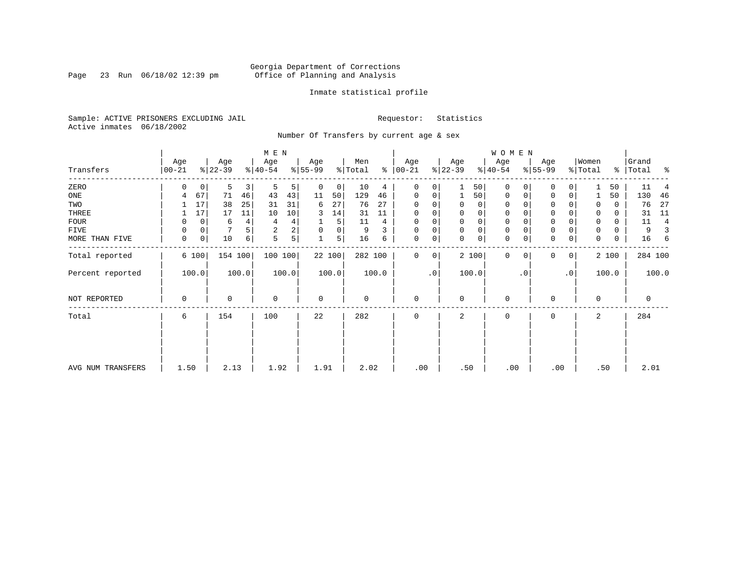Page 23 Run 06/18/02 12:39 pm

#### Inmate statistical profile

Sample: ACTIVE PRISONERS EXCLUDING JAIL **Requestor:** Statistics Active inmates 06/18/2002

Number Of Transfers by current age & sex

|                   |                  |    |                  |                         | M E N                       |                |                 |        |                |       |                  |             |                  |             | <b>WOMEN</b>     |           |                  |                |                  |       |                |         |
|-------------------|------------------|----|------------------|-------------------------|-----------------------------|----------------|-----------------|--------|----------------|-------|------------------|-------------|------------------|-------------|------------------|-----------|------------------|----------------|------------------|-------|----------------|---------|
| Transfers         | Age<br>$00 - 21$ |    | Age<br>$ 22-39 $ |                         | Age<br>$\frac{1}{6}$  40-54 |                | Age<br>$ 55-99$ |        | Men<br>% Total | ៖     | Age<br>$00 - 21$ |             | Age<br>$ 22-39 $ |             | Age<br>$ 40-54 $ |           | Age<br>$ 55-99 $ |                | Women<br>% Total | ႜႜၟ   | Grand<br>Total | း - ၁   |
| ZERO              | 0                | 0  | 5                | $\overline{\mathbf{3}}$ | 5                           | 5              | 0               | 0      | 10             | 4     | 0                | 0           |                  | 50          | 0                |           | 0                |                |                  | 50    | 11             |         |
| ONE               | 4                | 67 | 71               | 46                      | 43                          | 43             | 11              | 50     | 129            | 46    | 0                | 0           |                  | 50          | 0                | 0         | $\mathbf 0$      | 0              |                  | 50    | 130            | 46      |
| TWO               |                  | 17 | 38               | 25                      | 31                          | 31             | 6               | 27     | 76             | 27    | $\Omega$         |             | 0                | 0           | 0                |           | U                |                | 0                | 0     | 76             | 27      |
| THREE             |                  | 17 | 17               | 11                      | 10                          | 10             | 3               | 14     | 31             | 11    | 0                |             | 0                | 0           | 0                |           | 0                |                | 0                | 0     | 31             | 11      |
| <b>FOUR</b>       | 0                | 0  | 6                | 4                       | 4                           | 4              |                 | 5      | 11             | 4     | 0                |             | $\Omega$         | $\mathbf 0$ | $\mathbf 0$      |           | $\Omega$         |                | $\Omega$         | 0     | 11             | 4       |
| FIVE              | $\Omega$         | 0  |                  | 5                       | 2                           | $\overline{a}$ | $\Omega$        | 0      | 9              |       | $\Omega$         | 0           | $\Omega$         | $\mathsf 0$ | 0                |           | $\Omega$         |                | 0                | 0     | 9              |         |
| MORE THAN FIVE    | 0                | 0  | 10               | 6                       | 5                           | 5              |                 | 5      | 16             | 6     | 0                | 0           | $\Omega$         | $\mathbf 0$ | $\mathbf 0$      |           | $\Omega$         | 0              | $\Omega$         | 0     | 16             | 6       |
| Total reported    | 6 100            |    | 154 100          |                         | 100 100                     |                |                 | 22 100 | 282 100        |       | 0                | $\mathbf 0$ |                  | 2 100       | $\mathbf 0$      | $\Omega$  | 0                | 0 <sup>1</sup> |                  | 2 100 |                | 284 100 |
| Percent reported  | 100.0            |    |                  | 100.0                   |                             | 100.0          |                 | 100.0  |                | 100.0 |                  | .0          |                  | 100.0       |                  | $\cdot$ 0 |                  | $\cdot$ 0      |                  | 100.0 |                | 100.0   |
| NOT REPORTED      | $\Omega$         |    | 0                |                         | $\mathbf 0$                 |                | $\mathbf 0$     |        | 0              |       | $\mathbf 0$      |             | $\Omega$         |             | 0                |           | 0                |                | $\mathbf 0$      |       | 0              |         |
| Total             | 6                |    | 154              |                         | 100                         |                | 22              |        | 282            |       | 0                |             | 2                |             | 0                |           | 0                |                | 2                |       | 284            |         |
|                   |                  |    |                  |                         |                             |                |                 |        |                |       |                  |             |                  |             |                  |           |                  |                |                  |       |                |         |
| AVG NUM TRANSFERS | 1.50             |    | 2.13             |                         | 1.92                        |                | 1.91            |        | 2.02           |       | .00              |             | .50              |             | .00              |           | .00              |                |                  | .50   | 2.01           |         |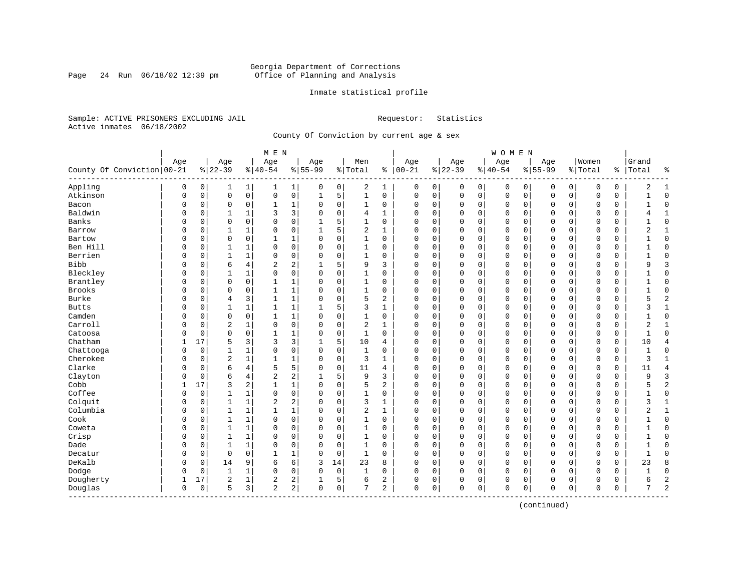Page 24 Run 06/18/02 12:39 pm

#### Inmate statistical profile

Sample: ACTIVE PRISONERS EXCLUDING JAIL **Requestor:** Statistics Active inmates 06/18/2002

County Of Conviction by current age & sex

|                            |     |          |                |              | M E N          |                |             |             |                |              |               |   |              |             | <b>WOMEN</b> |             |             |             |             |               |              |                |
|----------------------------|-----|----------|----------------|--------------|----------------|----------------|-------------|-------------|----------------|--------------|---------------|---|--------------|-------------|--------------|-------------|-------------|-------------|-------------|---------------|--------------|----------------|
|                            | Age |          | Age            |              | Age            |                | Age         |             | Men            |              | Age           |   | Age          |             | Age          |             | Age         |             | Women       |               | Grand        |                |
| County Of Conviction 00-21 |     |          | $8 22-39$      |              | $ 40-54$       |                | $8 55-99$   |             | % Total        |              | $8   00 - 21$ |   | $ 22-39$     |             | $ 40-54$     |             | $8 55-99$   |             | % Total     | $\frac{1}{6}$ | Total        | ႜ              |
| Appling                    | 0   | 0        | 1              | 1            | 1              | $\mathbf{1}$   | 0           | 0           | 2              | 1            | 0             | 0 | 0            | 0           | 0            | 0           | 0           | 0           | 0           | 0             | 2            | 1              |
| Atkinson                   | 0   | 0        | $\mathbf 0$    | $\mathsf{O}$ | 0              | 0              | 1           | 5           | $\mathbf{1}$   | 0            | $\mathbf 0$   | 0 | $\mathbf 0$  | $\mathbf 0$ | 0            | $\mathbf 0$ | $\mathbf 0$ | $\mathbf 0$ | $\mathbf 0$ | 0             |              | $\Omega$       |
| Bacon                      | 0   | 0        | $\mathbf 0$    | $\mathbf 0$  | 1              | 1              | $\Omega$    | 0           | 1              | 0            | 0             | 0 | $\mathbf 0$  | 0           | 0            | 0           | 0           | $\mathbf 0$ | 0           | 0             |              | $\Omega$       |
| Baldwin                    | O   | 0        |                | 1            | 3              | 3              | $\Omega$    | $\mathbf 0$ | 4              | 1            | $\Omega$      | 0 | $\mathbf 0$  | $\mathbf 0$ | $\Omega$     | $\mathbf 0$ | $\Omega$    | $\Omega$    | $\Omega$    | 0             |              | $\mathbf{1}$   |
| Banks                      | U   | 0        | $\Omega$       | $\Omega$     | $\Omega$       | 0              |             | 5           | 1              | 0            | $\Omega$      | O | $\mathbf 0$  | $\Omega$    | $\Omega$     | $\mathbf 0$ | $\Omega$    | $\Omega$    | $\Omega$    | 0             |              | $\Omega$       |
| Barrow                     | U   | 0        | 1              | 1            | $\Omega$       | 0              |             | 5           | 2              | 1            | $\Omega$      | O | $\mathbf 0$  | $\Omega$    | $\Omega$     | $\mathbf 0$ | $\Omega$    | $\Omega$    | $\mathbf 0$ | 0             | 2            | $\mathbf{1}$   |
| Bartow                     | U   | 0        | $\mathbf 0$    | $\mathbf 0$  | 1              | 1              | O           | $\mathbf 0$ | 1              | 0            | 0             | 0 | $\mathbf 0$  | 0           | 0            | 0           | $\Omega$    | 0           | 0           | 0             |              | $\Omega$       |
| Ben Hill                   |     | 0        | 1              | 1            | 0              | 0              |             | $\mathbf 0$ | 1              | 0            | 0             | 0 | 0            | 0           | 0            | 0           | 0           | 0           | 0           | 0             |              | $\Omega$       |
| Berrien                    | O   | 0        | $\mathbf{1}$   | $\mathbf{1}$ | $\Omega$       | 0              | $\Omega$    | $\mathbf 0$ | $\mathbf{1}$   | $\Omega$     | $\Omega$      | 0 | $\mathbf{0}$ | $\mathbf 0$ | $\Omega$     | $\mathbf 0$ | $\Omega$    | $\Omega$    | $\Omega$    | 0             |              | $\Omega$       |
| <b>Bibb</b>                | O   | 0        | 6              | 4            | $\overline{2}$ | 2              |             | 5           | 9              | 3            | $\Omega$      | 0 | $\mathbf 0$  | $\mathbf 0$ | 0            | $\mathbf 0$ | $\Omega$    | $\Omega$    | $\Omega$    | 0             | Q            | $\overline{3}$ |
| Bleckley                   | U   | 0        | -1             | 1            | $\Omega$       | 0              | $\Omega$    | $\mathbf 0$ | 1              | 0            | $\Omega$      | 0 | $\mathbf 0$  | $\Omega$    | 0            | $\mathbf 0$ | $\Omega$    | $\Omega$    | $\mathbf 0$ | 0             |              | $\Omega$       |
| Brantley                   | U   | 0        | $\Omega$       | 0            | $\mathbf{1}$   | 1              | O           | $\Omega$    | 1              | 0            | $\Omega$      | 0 | $\mathbf 0$  | $\Omega$    | $\Omega$     | $\mathbf 0$ | $\Omega$    | $\Omega$    | $\mathbf 0$ | 0             |              | $\Omega$       |
| Brooks                     |     | 0        | $\Omega$       | 0            | 1              | 1              | O           | 0           | 1              | 0            | 0             | 0 | $\mathbf 0$  | 0           | 0            | 0           | 0           | $\Omega$    | 0           | 0             |              | $\Omega$       |
| Burke                      |     | 0        | $\overline{4}$ | 3            | 1              | 1              | 0           | $\mathbf 0$ | 5              | 2            | 0             | 0 | 0            | $\Omega$    | 0            | $\mathbf 0$ | $\Omega$    | 0           | 0           | 0             |              | $\overline{c}$ |
| <b>Butts</b>               | O   | 0        | $\mathbf{1}$   | 1            | $\mathbf{1}$   | 1              |             | 5           | 3              | 1            | $\Omega$      | 0 | $\mathbf 0$  | 0           | 0            | $\mathbf 0$ | 0           | 0           | 0           | 0             | 3            | 1              |
| Camden                     | U   | 0        | $\mathbf 0$    | $\mathbf 0$  |                | 1              | $\Omega$    | 0           | 1              | 0            | $\Omega$      | 0 | $\mathbf 0$  | 0           | 0            | $\mathbf 0$ | $\Omega$    | $\Omega$    | 0           | 0             |              | $\Omega$       |
| Carroll                    | U   | $\Omega$ | $\overline{2}$ | 1            | $\Omega$       | 0              | $\Omega$    | $\mathbf 0$ | $\overline{a}$ | $\mathbf{1}$ | $\Omega$      | 0 | $\mathbf 0$  | $\Omega$    | 0            | $\mathbf 0$ | $\Omega$    | $\Omega$    | $\Omega$    | 0             | 2            | $\mathbf{1}$   |
| Catoosa                    | U   | 0        | $\mathbf 0$    | 0            | $\mathbf{1}$   | 1              | O           | 0           | 1              | 0            | $\Omega$      | 0 | $\mathbf 0$  | $\Omega$    | $\Omega$     | $\mathbf 0$ | $\Omega$    | $\Omega$    | $\mathbf 0$ | 0             | -1           | $\Omega$       |
| Chatham                    | 1   | 17       | 5              | 3            | 3              | 3              | ı           | 5           | 10             | 4            | 0             | 0 | $\mathbf 0$  | 0           | 0            | $\mathbf 0$ | 0           | 0           | 0           | 0             | 10           | $\overline{4}$ |
| Chattooga                  | O   | 0        | 1              | 1            | 0              | 0              | 0           | 0           | 1              | 0            | 0             | 0 | 0            | 0           | 0            | $\mathbf 0$ | $\Omega$    | 0           | 0           | 0             | $\mathbf{1}$ | $\Omega$       |
| Cherokee                   | O   | 0        | $\overline{2}$ | $\mathbf{1}$ | $\mathbf{1}$   | 1              | $\Omega$    | $\mathbf 0$ | 3              | $\mathbf{1}$ | $\Omega$      | 0 | $\mathbf 0$  | 0           | $\Omega$     | $\mathbf 0$ | $\mathbf 0$ | 0           | $\Omega$    | $\mathbf 0$   | 3            | $\mathbf{1}$   |
| Clarke                     | U   | 0        | 6              | 4            | 5              | 5              | $\Omega$    | 0           | 11             | 4            | $\Omega$      | 0 | $\mathbf 0$  | 0           | 0            | 0           | $\Omega$    | $\mathbf 0$ | 0           | 0             | 11           | $\overline{4}$ |
| Clayton                    | U   | 0        | 6              | 4            | $\overline{a}$ | 2              |             | 5           | 9              | 3            | $\Omega$      | 0 | $\mathbf 0$  | $\Omega$    | 0            | 0           | $\Omega$    | 0           | 0           | 0             | q            | 3              |
| Cobb                       | 1   | 17       | 3              | 2            | $\mathbf{1}$   | $\mathbf 1$    | O           | 0           | 5              | 2            | $\Omega$      | 0 | $\mathbf 0$  | 0           | $\Omega$     | $\mathbf 0$ | $\Omega$    | 0           | 0           | 0             |              | $\overline{2}$ |
| Coffee                     | 0   | 0        | 1              | 1            | 0              | 0              | $\Omega$    | 0           | 1              | 0            | 0             | 0 | $\mathbf 0$  | 0           | 0            | $\mathbf 0$ | 0           | 0           | $\mathbf 0$ | 0             |              | $\mathbf{0}$   |
| Colquit                    | 0   | 0        | $\mathbf{1}$   | $\mathbf{1}$ | 2              | 2              |             | $\mathbf 0$ | 3              | $\mathbf{1}$ | $\Omega$      | 0 | $\Omega$     | $\Omega$    | 0            | $\mathbf 0$ | $\Omega$    | $\Omega$    | $\Omega$    | 0             | 3            | $\mathbf{1}$   |
| Columbia                   | 0   | 0        | $\mathbf{1}$   | 1            | 1              | 1              | $\Omega$    | $\mathbf 0$ | $\overline{2}$ | 1            | $\Omega$      | 0 | $\mathbf 0$  | $\Omega$    | $\Omega$     | $\mathbf 0$ | $\Omega$    | 0           | $\Omega$    | 0             | 2            | $\mathbf{1}$   |
| Cook                       | U   | 0        | 1              | 1            | $\Omega$       | 0              | O           | 0           | 1              | 0            | $\Omega$      | 0 | $\mathbf 0$  | 0           | 0            | 0           | 0           | 0           | 0           | 0             |              | $\mathbf 0$    |
| Coweta                     | U   | 0        | 1              | 1            | $\Omega$       | 0              | O           | 0           | 1              | 0            | $\Omega$      | 0 | 0            | $\Omega$    | 0            | 0           | $\Omega$    | 0           | $\Omega$    | 0             |              | $\Omega$       |
| Crisp                      | U   | 0        | $\mathbf{1}$   | 1            | $\Omega$       | 0              | O           | $\Omega$    | 1              | $\Omega$     | $\Omega$      | 0 | $\mathbf 0$  | $\Omega$    | 0            | $\mathbf 0$ | $\Omega$    | $\Omega$    | $\mathbf 0$ | 0             |              | $\Omega$       |
| Dade                       | U   | $\Omega$ | $\mathbf{1}$   | 1            | $\Omega$       | 0              | O           | $\mathbf 0$ | 1              | $\Omega$     | $\Omega$      | 0 | $\Omega$     | 0           | $\Omega$     | $\mathbf 0$ | $\Omega$    | $\Omega$    | $\Omega$    | 0             |              | $\Omega$       |
| Decatur                    | O   | 0        | $\mathbf 0$    | $\Omega$     | $\mathbf{1}$   | 1              | 0           | $\mathbf 0$ | $\mathbf{1}$   | 0            | $\Omega$      | 0 | $\Omega$     | 0           | 0            | $\mathbf 0$ | $\Omega$    | 0           | $\Omega$    | 0             | $\mathbf{1}$ | $\Omega$       |
| DeKalb                     | U   | 0        | 14             | 9            | 6              | 6              | 3           | 14          | 23             | 8            | 0             | 0 | $\mathbf 0$  | 0           | 0            | 0           | $\Omega$    | 0           | 0           | 0             | 23           | 8              |
| Dodge                      | 0   | 0        | 1              | 1            | $\Omega$       | 0              | 0           | 0           | 1              | 0            | $\Omega$      | 0 | 0            | 0           | 0            | 0           | 0           | $\mathbf 0$ | 0           | 0             |              | $\mathbf 0$    |
| Dougherty                  | 1   | 17       | $\overline{2}$ | 1            | 2              | 2              |             | 5           | 6              | 2            | 0             | 0 | 0            | 0           | 0            | 0           | 0           | 0           | 0           | 0             |              | $\overline{c}$ |
| Douglas<br>----------      | 0   | 0        | 5              | 3            | $\overline{2}$ | 2 <sup>1</sup> | $\mathbf 0$ | 0           | 7              | 2            | $\mathbf 0$   | 0 | $\Omega$     | 0           | 0            | 0           | $\mathbf 0$ | 0           | $\mathbf 0$ | 0             | 7            | $\overline{c}$ |

(continued)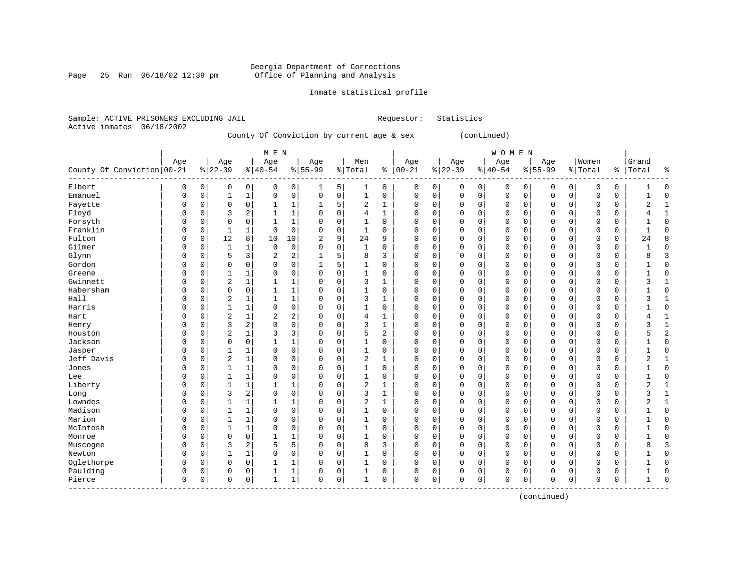Page 25 Run 06/18/02 12:39 pm

### Inmate statistical profile

|  | Sample: ACTIVE PRISONERS EXCLUDING JAIL |  |                                           |  | Requestor: Statistics |
|--|-----------------------------------------|--|-------------------------------------------|--|-----------------------|
|  | Active inmates 06/18/2002               |  |                                           |  |                       |
|  |                                         |  | County Of Conviction by current age & sex |  | (continued)           |

|                            |             |             |                |              | M E N       |                |              |          |                |             |             |             |             |             | WOMEN       |          |             |             |             |             |              |                |
|----------------------------|-------------|-------------|----------------|--------------|-------------|----------------|--------------|----------|----------------|-------------|-------------|-------------|-------------|-------------|-------------|----------|-------------|-------------|-------------|-------------|--------------|----------------|
|                            | Age         |             | Age            |              | Age         |                | Age          |          | Men            |             | Age         |             | Age         |             | Age         |          | Age         |             | Women       |             | Grand        |                |
| County Of Conviction 00-21 |             |             | $ 22-39$       |              | $8 40-54$   |                | $8 55-99$    |          | % Total        |             | $% 100-21$  |             | $8 22-39$   |             | $8 40-54$   |          | $8155 - 99$ |             | % Total     | ႜ           | Total        | နွ             |
| Elbert                     | 0           | 0           | 0              | 0            | 0           | 0              | 1            | 5        | 1              | 0           | 0           | 0           | 0           | 0           | 0           | 0        | 0           | 0           | 0           | 0           |              | $\Omega$       |
| Emanuel                    | $\mathbf 0$ | $\mathbf 0$ | 1              | $\mathbf 1$  | $\mathbf 0$ | 0              | 0            | 0        | 1              | 0           | $\mathbf 0$ | 0           | $\mathsf 0$ | $\mathbf 0$ | $\mathsf 0$ | 0        | $\mathbf 0$ | 0           | $\mathbf 0$ | $\mathbf 0$ | 1            | $\Omega$       |
| Fayette                    | $\Omega$    | 0           | 0              | 0            | 1           | 1              | 1            | 5        | $\overline{2}$ | 1           | 0           | $\mathbf 0$ | 0           | $\mathbf 0$ | 0           | 0        | $\mathbf 0$ | $\mathbf 0$ | 0           | 0           | 2            | -1             |
| Floyd                      | $\Omega$    | $\Omega$    | 3              | 2            | 1           | $\mathbf{1}$   | 0            | 0        | $\overline{4}$ | 1           | $\Omega$    | $\mathbf 0$ | 0           | $\mathbf 0$ | $\mathbf 0$ | 0        | $\mathbf 0$ | $\mathbf 0$ | 0           | 0           | 4            | 1              |
| Forsyth                    | 0           | $\Omega$    | $\Omega$       | 0            | 1           | $\mathbf{1}$   | 0            | 0        | 1              | $\mathbf 0$ | 0           | $\mathbf 0$ | 0           | $\mathbf 0$ | $\mathbf 0$ | 0        | $\mathbf 0$ | $\mathbf 0$ | 0           | $\mathbf 0$ |              | $\Omega$       |
| Franklin                   | $\Omega$    | $\Omega$    | $\mathbf{1}$   | $\mathbf 1$  | $\mathbf 0$ | $\Omega$       | 0            | 0        | $\mathbf{1}$   | 0           | $\Omega$    | $\mathbf 0$ | 0           | 0           | 0           | 0        | $\mathbf 0$ | 0           | 0           | 0           | $\mathbf{1}$ | $\Omega$       |
| Fulton                     | $\Omega$    | 0           | 12             | 8            | 10          | 10             | 2            | 9        | 24             | 9           | 0           | $\mathbf 0$ | 0           | $\mathbf 0$ | 0           | 0        | $\mathbf 0$ | 0           | 0           | 0           | 24           | 8              |
| Gilmer                     | 0           | 0           | $\mathbf{1}$   | 1            | $\mathbf 0$ | 0              | 0            | $\Omega$ | 1              | $\Omega$    | $\Omega$    | $\mathbf 0$ | $\Omega$    | $\mathbf 0$ | 0           | 0        | $\mathbf 0$ | 0           | $\Omega$    | 0           |              | $\Omega$       |
| Glynn                      | 0           | 0           | 5              | 3            | 2           | $\overline{2}$ | $\mathbf{1}$ | 5        | 8              | 3           | $\Omega$    | $\mathbf 0$ | $\Omega$    | 0           | 0           | 0        | $\mathbf 0$ | 0           | $\Omega$    | $\mathbf 0$ | 8            | 3              |
| Gordon                     | $\Omega$    | O           | $\Omega$       | 0            | $\Omega$    | $\Omega$       | 1            | 5        | 1              | $\Omega$    | $\Omega$    | $\mathbf 0$ | $\Omega$    | $\mathbf 0$ | 0           | $\Omega$ | $\mathbf 0$ | 0           | $\Omega$    | 0           |              | $\Omega$       |
| Greene                     | O           | O           | $\mathbf{1}$   | 1            | $\Omega$    | $\Omega$       | $\Omega$     | $\Omega$ | 1              | $\Omega$    | $\Omega$    | $\Omega$    | $\Omega$    | $\Omega$    | 0           | $\Omega$ | $\mathbf 0$ | $\Omega$    | $\Omega$    | 0           |              | ſ              |
| Gwinnett                   | 0           | O           | 2              | $\mathbf{1}$ |             | 1              | 0            | $\Omega$ | 3              | 1           | 0           | $\mathbf 0$ | $\Omega$    | $\mathbf 0$ | 0           | $\Omega$ | $\mathbf 0$ | 0           | 0           | 0           | 3            |                |
| Habersham                  | 0           | U           | 0              | 0            |             | $\mathbf 1$    | 0            | 0        | 1              | 0           | 0           | $\mathbf 0$ | $\Omega$    | $\mathbf 0$ | $\mathsf 0$ | 0        | 0           | $\mathbf 0$ | $\Omega$    | 0           |              | 0              |
| Hall                       | $\Omega$    | 0           | $\overline{2}$ | 1            | 1           | $\mathbf{1}$   | 0            | 0        | 3              | 1           | $\Omega$    | 0           | 0           | 0           | 0           | 0        | $\mathbf 0$ | 0           | $\Omega$    | 0           | 3            | $\mathbf{1}$   |
| Harris                     | O           | 0           | $\mathbf{1}$   | $\mathbf 1$  | $\Omega$    | $\mathbf 0$    | 0            | 0        | 1              | $\Omega$    | $\Omega$    | $\mathbf 0$ | $\Omega$    | 0           | $\mathbf 0$ | 0        | $\mathbf 0$ | 0           | 0           | 0           | 1            | $\Omega$       |
| Hart                       | $\Omega$    | $\Omega$    | 2              | 1            | 2           | 2              | O            | 0        | $\overline{4}$ | 1           | $\Omega$    | 0           | 0           | $\mathbf 0$ | 0           | 0        | $\mathbf 0$ | 0           | 0           | 0           | 4            | $\mathbf{1}$   |
| Henry                      | $\Omega$    | $\Omega$    | 3              | 2            | $\Omega$    | $\mathbf 0$    | 0            | 0        | 3              |             | 0           | 0           | 0           | $\mathbf 0$ | 0           | 0        | $\mathbf 0$ | 0           | $\Omega$    | 0           | 3            | $\mathbf{1}$   |
| Houston                    | $\Omega$    | $\Omega$    | 2              | 1            | 3           | 3              | $\Omega$     | 0        | 5              | 2           | $\Omega$    | 0           | 0           | 0           | 0           | 0        | $\mathbf 0$ | 0           | $\Omega$    | 0           | 5            | $\overline{c}$ |
| Jackson                    | $\Omega$    | $\Omega$    | $\Omega$       | 0            | -1          | $\mathbf{1}$   | $\Omega$     | 0        | 1              | $\Omega$    | $\Omega$    | 0           | $\Omega$    | $\mathbf 0$ | 0           | 0        | $\mathbf 0$ | 0           | 0           | 0           |              | $\Omega$       |
| Jasper                     | $\Omega$    | $\Omega$    | 1              | 1            | $\Omega$    | $\Omega$       | $\Omega$     | $\Omega$ | 1              | 0           | $\Omega$    | $\mathbf 0$ | $\Omega$    | $\mathbf 0$ | 0           | $\Omega$ | $\mathbf 0$ | 0           | 0           | 0           | 1            | $\Omega$       |
| Jeff Davis                 | $\Omega$    | $\Omega$    | 2              | $\mathbf 1$  | $\Omega$    | 0              | 0            | 0        | 2              | 1           | $\Omega$    | $\mathbf 0$ | $\Omega$    | $\mathbf 0$ | 0           | 0        | $\mathbf 0$ | $\mathbf 0$ | 0           | 0           | 2            |                |
| Jones                      | O           | O           |                | $\mathbf 1$  | $\Omega$    | $\mathbf 0$    | 0            | 0        | 1              | 0           | $\Omega$    | 0           | 0           | $\mathbf 0$ | 0           | 0        | 0           | 0           | 0           | 0           |              | $\Omega$       |
| Lee                        | O           | $\Omega$    | $\mathbf{1}$   | $\mathbf 1$  | $\mathbf 0$ | $\mathbf 0$    | 0            | 0        | 1              | $\mathbf 0$ | $\Omega$    | 0           | 0           | $\mathbf 0$ | $\mathsf 0$ | 0        | 0           | 0           | $\mathbf 0$ | $\mathsf 0$ |              | $\Omega$       |
| Liberty                    | O           | O           | $\mathbf{1}$   | $\mathbf 1$  | 1           | 1              | O            | 0        | $\overline{c}$ | 1           | $\Omega$    | 0           | $\Omega$    | 0           | $\mathsf 0$ | 0        | $\mathbf 0$ | 0           | $\Omega$    | $\mathbf 0$ | 2            | $\mathbf{1}$   |
| Long                       | $\Omega$    | O           | 3              | 2            | $\mathbf 0$ | $\mathbf 0$    | 0            | 0        | 3              | 1           | $\Omega$    | 0           | 0           | $\mathbf 0$ | $\mathsf 0$ | 0        | $\mathbf 0$ | 0           | $\Omega$    | $\mathbf 0$ | 3            | $\mathbf{1}$   |
| Lowndes                    | $\Omega$    |             |                | 1            |             | 1              | 0            | 0        | $\overline{c}$ | 1           | $\Omega$    | 0           | 0           | 0           | $\mathsf 0$ | 0        | 0           | 0           | 0           | 0           | 2            | $\mathbf{1}$   |
| Madison                    | $\Omega$    | $\Omega$    | $\mathbf{1}$   | 1            | $\Omega$    | $\mathbf 0$    | 0            | $\Omega$ | 1              | 0           | 0           | 0           | 0           | 0           | $\mathsf 0$ | $\Omega$ | 0           | 0           | $\Omega$    | $\mathsf 0$ |              | $\Omega$       |
| Marion                     | $\Omega$    | U           | $\mathbf{1}$   | 1            | $\Omega$    | 0              | 0            | $\Omega$ | 1              | 0           | $\Omega$    | $\mathbf 0$ | 0           | $\mathbf 0$ | 0           | 0        | $\mathbf 0$ | 0           | $\Omega$    | 0           |              | <sup>0</sup>   |
| McIntosh                   | $\Omega$    | O           | 1              | $\mathbf{1}$ | $\mathbf 0$ | $\Omega$       | $\Omega$     | $\Omega$ | 1              | 0           | 0           | $\mathbf 0$ | $\Omega$    | 0           | $\mathbf 0$ | 0        | $\mathbf 0$ | 0           | 0           | 0           |              | <sup>0</sup>   |
| Monroe                     | 0           | $\Omega$    | 0              | 0            |             | 1              | 0            | $\Omega$ | 1              | 0           | 0           | $\mathbf 0$ | 0           | $\mathbf 0$ | $\mathbf 0$ | 0        | $\mathbf 0$ | $\mathbf 0$ | 0           | 0           |              | $\Omega$       |
| Muscogee                   | 0           | $\Omega$    | 3              | 2            | 5           | 5              | 0            | 0        | 8              | 3           | $\Omega$    | $\mathbf 0$ | 0           | $\mathbf 0$ | $\mathbf 0$ | 0        | $\mathbf 0$ | $\mathbf 0$ | $\mathbf 0$ | $\mathbf 0$ | 8            | 3              |
| Newton                     | $\Omega$    | $\Omega$    | $\mathbf{1}$   | $\mathbf 1$  | $\mathbf 0$ | $\mathbf 0$    | 0            | 0        | 1              | $\mathbf 0$ | $\Omega$    | 0           | 0           | $\mathbf 0$ | $\mathbf 0$ | 0        | $\mathbf 0$ | $\mathbf 0$ | 0           | 0           |              | $\Omega$       |
| Oglethorpe                 | $\Omega$    | O           | 0              | 0            | 1           | 1              | 0            | 0        | 1              | $\Omega$    | 0           | 0           | 0           | 0           | 0           | 0        | $\mathbf 0$ | $\Omega$    | 0           | 0           |              | $\Omega$       |
| Paulding                   | $\mathbf 0$ | 0           | 0              | 0            | 1           | 1              | 0            | 0        | 1              | 0           | 0           | 0           | 0           | 0           | 0           | 0        | 0           | 0           | 0           | 0           | 1            | $\Omega$       |
| Pierce                     | $\mathbf 0$ | 0           | $\Omega$       | 0            |             | 1              | $\Omega$     | 0        | 1              | 0           | $\Omega$    | 0           | $\Omega$    | 0           | 0           | 0        | $\mathbf 0$ | 0           | $\Omega$    | 0           |              | $\Omega$       |

(continued)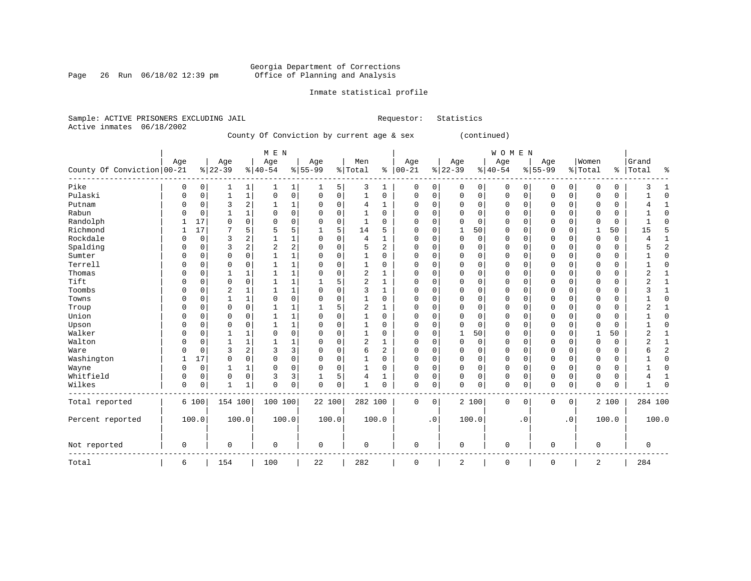Page 26 Run 06/18/02 12:39 pm

#### Inmate statistical profile

Sample: ACTIVE PRISONERS EXCLUDING JAIL **Requestor:** Statistics Active inmates 06/18/2002 County Of Conviction by current age & sex (continued)

|                            |             |          |              |              | M E N          |              |             |             |                |          |             |           |          |             | WOMEN       |          |              |                |                |             |                |                |
|----------------------------|-------------|----------|--------------|--------------|----------------|--------------|-------------|-------------|----------------|----------|-------------|-----------|----------|-------------|-------------|----------|--------------|----------------|----------------|-------------|----------------|----------------|
|                            | Age         |          | Age          |              | Age            |              | Age         |             | Men            |          | Age         |           | Age      |             | Age         |          | Age          |                | Women          |             | Grand          |                |
| County Of Conviction 00-21 |             |          | $ 22-39$     |              | $ 40-54$       |              | $8 55-99$   |             | % Total        |          | $% 100-21$  |           | $ 22-39$ |             | $ 40-54$    |          | $8 55-99$    |                | % Total        | န္          | Total          | $\approx$      |
| Pike                       | 0           | 0        |              | 1            |                | 1            | ı           | 5           | 3              | 1        | 0           | 0         | $\Omega$ | 0           | 0           | 0        | 0            | $\mathbf 0$    | 0              | 0           | 3              |                |
| Pulaski                    | $\Omega$    | 0        | $\mathbf{1}$ | 1            | $\mathbf 0$    | $\mathsf 0$  | 0           | 0           | $\mathbf{1}$   | 0        | 0           | 0         | $\Omega$ | $\mathbf 0$ | 0           | 0        | $\mathbf 0$  | $\mathsf{O}$   | $\Omega$       | 0           |                | $\Omega$       |
| Putnam                     | 0           | 0        | 3            | 2            |                | 1            | 0           | $\mathbf 0$ | 4              | 1        | 0           | 0         | $\Omega$ | $\mathbf 0$ | 0           | 0        | $\mathbf 0$  | $\mathbf 0$    | $\Omega$       | $\mathbf 0$ |                |                |
| Rabun                      | O           | $\Omega$ | 1            | $\mathbf{1}$ | $\Omega$       | $\Omega$     | 0           | $\Omega$    | 1              | $\Omega$ | $\Omega$    | 0         | $\Omega$ | $\Omega$    | $\Omega$    | $\Omega$ | $\Omega$     | $\Omega$       | $\Omega$       | $\Omega$    |                | <sup>0</sup>   |
| Randolph                   |             | 17       | $\Omega$     | $\Omega$     | 0              | $\mathbf 0$  | 0           | $\mathbf 0$ | 1              | $\Omega$ | $\Omega$    | $\Omega$  | $\Omega$ | $\Omega$    | $\Omega$    | $\Omega$ | $\Omega$     | $\Omega$       | $\Omega$       | 0           |                | ſ              |
| Richmond                   |             | 17       |              | 5            | 5              | 5            |             | 5           | 14             | 5        | $\Omega$    | 0         |          | 50          | 0           | 0        | 0            | $\Omega$       | -1             | 50          | 15             |                |
| Rockdale                   | O           | 0        | 3            | 2            |                | 1            | 0           | $\Omega$    | 4              | 1        | $\Omega$    | $\Omega$  | $\Omega$ | 0           | 0           | $\Omega$ | $\mathbf 0$  | $\Omega$       | $\Omega$       | 0           | 4              |                |
| Spalding                   | O           | 0        | 3            | 2            | $\overline{2}$ | 2            | $\Omega$    | $\Omega$    | 5              | 2        | $\Omega$    | 0         | $\Omega$ | $\Omega$    | $\Omega$    | 0        | $\Omega$     | $\Omega$       | $\Omega$       | 0           | 5              | 2              |
| Sumter                     | O           | $\Omega$ | $\Omega$     | $\Omega$     | 1              | $\mathbf 1$  | 0           | $\Omega$    | 1              | $\Omega$ | $\Omega$    | 0         | $\Omega$ | $\Omega$    | $\Omega$    | 0        | $\Omega$     | $\Omega$       | $\Omega$       | 0           |                | <sup>0</sup>   |
| Terrell                    | O           | 0        | $\Omega$     | $\Omega$     | 1              | $\mathbf 1$  | 0           | $\Omega$    | 1              | $\Omega$ | $\Omega$    | 0         | $\Omega$ | $\Omega$    | $\Omega$    | 0        | $\Omega$     | $\Omega$       | $\Omega$       | 0           |                | ſ              |
| Thomas                     | $\Omega$    | $\Omega$ | $\mathbf{1}$ | 1            |                | $\mathbf{1}$ | 0           | $\Omega$    | $\overline{2}$ | 1        | $\Omega$    | O         | $\Omega$ | $\Omega$    | $\Omega$    | $\Omega$ | $\Omega$     | $\Omega$       | $\Omega$       | 0           | $\overline{2}$ |                |
| Tift                       | $\Omega$    | $\Omega$ | $\Omega$     | 0            |                | 1            |             | 5           | $\overline{2}$ | 1        | 0           | O         | $\Omega$ | 0           | 0           | 0        | $\mathbf 0$  | $\Omega$       | $\Omega$       | 0           | 2              |                |
| Toombs                     | $\Omega$    | $\Omega$ | 2            | 1            |                | 1            | $\Omega$    | 0           | 3              | 1        | 0           | 0         | $\Omega$ | 0           | 0           | 0        | $\mathbf 0$  | 0              | $\Omega$       | 0           | 3              | $\mathbf{1}$   |
| Towns                      | $\Omega$    | $\Omega$ | $\mathbf{1}$ | $\mathbf 1$  | $\Omega$       | 0            | $\Omega$    | 0           | 1              | 0        | 0           | 0         | $\Omega$ | $\mathbf 0$ | 0           | 0        | $\mathbf 0$  | $\mathbf 0$    | $\Omega$       | 0           |                | $\Omega$       |
| Troup                      | $\Omega$    | $\Omega$ | $\Omega$     | 0            |                | 1            |             | 5           | $\overline{c}$ | 1        | $\Omega$    | 0         | $\Omega$ | $\Omega$    | $\Omega$    | 0        | $\Omega$     | $\Omega$       | $\Omega$       | 0           | 2              | -1             |
| Union                      | $\Omega$    | $\Omega$ | $\Omega$     | 0            |                | 1            | 0           | $\Omega$    | 1              | 0        | $\Omega$    | 0         | $\Omega$ | $\mathbf 0$ | 0           | 0        | $\mathbf 0$  | 0              | $\Omega$       | 0           |                | $\Omega$       |
| Upson                      | $\Omega$    | $\Omega$ | $\Omega$     | 0            |                | 1            | 0           | 0           | 1              | 0        | $\Omega$    | 0         | $\Omega$ | 0           | 0           | 0        | $\mathbf 0$  | 0              | $\Omega$       | 0           |                | $\Omega$       |
| Walker                     | $\Omega$    | 0        | $\mathbf{1}$ | 1            | $\Omega$       | $\mathbf 0$  | $\Omega$    | 0           | 1              | 0        | $\mathbf 0$ | 0         |          | 50          | $\mathbf 0$ | 0        | $\mathbf 0$  | $\mathbf 0$    | $\overline{1}$ | 50          | $\overline{2}$ | $\mathbf{1}$   |
| Walton                     | $\Omega$    | 0        | $\mathbf{1}$ | 1            |                | 1            | 0           | 0           | $\overline{2}$ | 1        | $\Omega$    | 0         | 0        | $\mathbf 0$ | 0           | 0        | $\mathbf 0$  | $\mathbf 0$    | $\Omega$       | $\mathsf 0$ | $\overline{2}$ | $\mathbf{1}$   |
| Ware                       | $\Omega$    | $\Omega$ | 3            | 2            | 3              | 3            | 0           | 0           | 6              | 2        | $\Omega$    | 0         | 0        | 0           | 0           | 0        | $\mathbf 0$  | 0              | $\Omega$       | $\mathbf 0$ | 6              | $\overline{2}$ |
| Washington                 | 1           | 17       | $\Omega$     | 0            | $\Omega$       | 0            | $\Omega$    | 0           | 1              | 0        | $\Omega$    | 0         | 0        | 0           | 0           | 0        | $\mathbf 0$  | 0              | $\Omega$       | 0           |                | $\Omega$       |
| Wayne                      | $\Omega$    | 0        | 1            | 1            | $\mathbf 0$    | 0            | 0           | 0           |                | 0        | $\Omega$    | 0         | 0        | 0           | 0           | 0        | $\mathbf 0$  | 0              | 0              | 0           |                | 0              |
| Whitfield                  | $\Omega$    | 0        | $\mathbf 0$  | 0            | 3              | 3            |             | 5           | 4              |          | 0           | 0         | 0        | $\mathbf 0$ | 0           | 0        | $\mathbf{0}$ | $\mathbf 0$    | 0              | 0           | 4              | $\mathbf{1}$   |
| Wilkes                     | $\mathbf 0$ | 0        | $\mathbf{1}$ | 1            | $\Omega$       | 0            | 0           | 0           | 1              | 0        | 0           | 0         | U        | 0           | $\mathbf 0$ | 0        | $\mathbf{0}$ | 0              | 0              | 0           |                | $\Omega$       |
| Total reported             |             | 6 100    | 154 100      |              | 100 100        |              | 22 100      |             | 282 100        |          | 0           | 0         |          | 2 100       | 0           | 0        | 0            | 0 <sup>1</sup> |                | 2 100       | 284 100        |                |
| Percent reported           |             | 100.0    |              | 100.0        |                | 100.0        | 100.0       |             |                | 100.0    |             | $\cdot$ 0 |          | 100.0       |             | .0       |              | $\cdot$ 0      |                | 100.0       | 100.0          |                |
| Not reported               | $\mathbf 0$ |          | $\mathbf 0$  |              | 0              |              | $\mathbf 0$ |             | $\mathbf 0$    |          | 0           |           | 0        |             | 0           |          | $\mathbf 0$  |                | 0              |             | 0              |                |
| Total                      | 6           |          | 154          |              | 100            |              | 22          |             | 282            |          | $\mathbf 0$ |           | 2        |             | $\mathbf 0$ |          | $\mathbf{0}$ |                | 2              |             | 284            |                |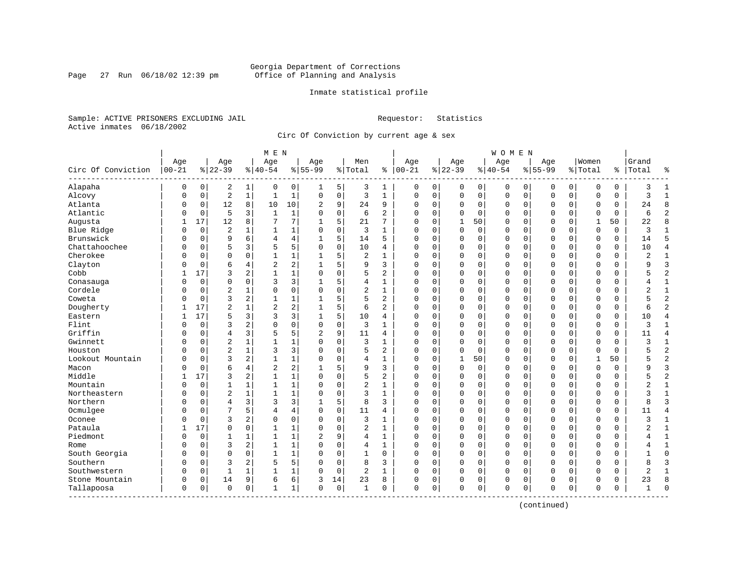Page 27 Run 06/18/02 12:39 pm

#### Inmate statistical profile

Sample: ACTIVE PRISONERS EXCLUDING JAIL **Requestor:** Statistics Active inmates 06/18/2002

Circ Of Conviction by current age & sex

| Age<br>Women<br>Age<br>Age<br>Age<br>Men<br>Age<br>Age<br>Age<br>Age<br>$00 - 21$<br>Circ Of Conviction<br>$8 22-39$<br>$8 40-54$<br>$8155 - 99$<br>$ 00-21$<br>$8 22-39$<br>$8 40-54$<br>$8155 - 99$<br>% Total<br>% Total<br>ႜ<br><u> န</u><br>Alapaha<br>0<br>2<br>0<br>0<br>0<br>1<br>0<br>0<br>5<br>3<br>0<br>0<br>0<br>0<br>0<br>0<br>0<br>0<br>1<br>$\sqrt{2}$<br>Alcovy<br>$\mathbf{1}$<br>$\mathbf{1}$<br>$\mathbf 1$<br>$\mathbf 0$<br>3<br>$\mathbf{1}$<br>$\mathbf 0$<br>$\mathbf 0$<br>$\mathbf 0$<br>$\mathbf 0$<br>$\mathbf 0$<br>$\mathbf 0$<br>$\Omega$<br>$\mathbf 0$<br>$\mathsf 0$<br>$\mathbf 0$<br>$\mathbf{0}$<br>0<br>$\Omega$<br>12<br>Atlanta<br>8<br>10<br>10<br>9<br>24<br>9<br>$\mathbf 0$<br>$\mathbf 0$<br>0<br>2<br>$\Omega$<br>0<br>0<br>0<br>0<br>$\mathbf 0$<br>0<br>0<br>0<br>Atlantic<br>5<br>3<br>$\mathbf{1}$<br>$\mathbf 0$<br>6<br>$\overline{a}$<br>$\mathbf 0$<br>$\Omega$<br>$\mathbf 0$<br>$\mathbf 0$<br>1<br>$\Omega$<br>$\Omega$<br>0<br>0<br>0<br>$\mathbf 0$<br>0<br>$\Omega$<br>O<br>12<br>7<br>17<br>7<br>5<br>21<br>7<br>Augusta<br>8<br>$\Omega$<br>$\Omega$<br>$\mathbf{1}$<br>50<br>0<br>$\mathbf 0$<br>$\Omega$<br>$\Omega$<br>1<br>50<br>1<br>1<br>$\overline{2}$<br>$\mathbf{1}$<br>$\mathbf 0$<br>3<br>$\mathbf 0$<br>Blue Ridge<br>$\mathbf 0$<br>$\Omega$<br>$\Omega$<br>0<br>0<br>0<br>0<br>$\mathbf 0$<br>$\mathbf 0$<br>$\Omega$<br>0<br>$\Omega$<br>$\mathbf{1}$<br>$\mathbf{1}$<br>5<br>Brunswick<br>9<br>6<br>14<br>5<br>$\mathbf 0$<br>$\mathbf 0$<br>$\mathbf 0$<br>4<br>4<br>$\Omega$<br>$\mathbf 0$<br>$\mathbf 0$<br>$\Omega$<br>$\mathbf 0$<br>$\Omega$<br>$\mathbf 0$<br>$\Omega$<br>0<br>Chattahoochee<br>5<br>$\Omega$<br>5<br>3<br>5<br>$\Omega$<br>10<br>4<br>$\Omega$<br>$\Omega$<br>$\mathbf 0$<br>$\mathbf{0}$<br>$\mathbf 0$<br>$\Omega$<br>$\mathbf 0$<br>0<br>$\Omega$<br>$\mathbf 0$<br>$\Omega$<br>N<br>Cherokee<br>$\Omega$<br>$\mathbf{1}$<br>5<br>$\overline{a}$<br>$\Omega$<br>$\mathbf 0$<br>$\mathbf 0$<br>$\mathbf{0}$<br>$\Omega$<br>$\Omega$<br>$\mathbf 0$<br>$\Omega$<br>$\mathbf{1}$<br>$\mathbf{1}$<br>0<br>0<br>$\mathbf 0$<br>0<br>N<br>1 |                                |
|-------------------------------------------------------------------------------------------------------------------------------------------------------------------------------------------------------------------------------------------------------------------------------------------------------------------------------------------------------------------------------------------------------------------------------------------------------------------------------------------------------------------------------------------------------------------------------------------------------------------------------------------------------------------------------------------------------------------------------------------------------------------------------------------------------------------------------------------------------------------------------------------------------------------------------------------------------------------------------------------------------------------------------------------------------------------------------------------------------------------------------------------------------------------------------------------------------------------------------------------------------------------------------------------------------------------------------------------------------------------------------------------------------------------------------------------------------------------------------------------------------------------------------------------------------------------------------------------------------------------------------------------------------------------------------------------------------------------------------------------------------------------------------------------------------------------------------------------------------------------------------------------------------------------------------------------------------------------------------------------------------------------------------------------------------------------------------------------------------------------------------------------------|--------------------------------|
|                                                                                                                                                                                                                                                                                                                                                                                                                                                                                                                                                                                                                                                                                                                                                                                                                                                                                                                                                                                                                                                                                                                                                                                                                                                                                                                                                                                                                                                                                                                                                                                                                                                                                                                                                                                                                                                                                                                                                                                                                                                                                                                                                 | Grand                          |
|                                                                                                                                                                                                                                                                                                                                                                                                                                                                                                                                                                                                                                                                                                                                                                                                                                                                                                                                                                                                                                                                                                                                                                                                                                                                                                                                                                                                                                                                                                                                                                                                                                                                                                                                                                                                                                                                                                                                                                                                                                                                                                                                                 | Total<br>နွ                    |
|                                                                                                                                                                                                                                                                                                                                                                                                                                                                                                                                                                                                                                                                                                                                                                                                                                                                                                                                                                                                                                                                                                                                                                                                                                                                                                                                                                                                                                                                                                                                                                                                                                                                                                                                                                                                                                                                                                                                                                                                                                                                                                                                                 | $\mathbf{1}$<br>3              |
|                                                                                                                                                                                                                                                                                                                                                                                                                                                                                                                                                                                                                                                                                                                                                                                                                                                                                                                                                                                                                                                                                                                                                                                                                                                                                                                                                                                                                                                                                                                                                                                                                                                                                                                                                                                                                                                                                                                                                                                                                                                                                                                                                 | 3<br>$\mathbf{1}$              |
|                                                                                                                                                                                                                                                                                                                                                                                                                                                                                                                                                                                                                                                                                                                                                                                                                                                                                                                                                                                                                                                                                                                                                                                                                                                                                                                                                                                                                                                                                                                                                                                                                                                                                                                                                                                                                                                                                                                                                                                                                                                                                                                                                 | 8<br>24                        |
|                                                                                                                                                                                                                                                                                                                                                                                                                                                                                                                                                                                                                                                                                                                                                                                                                                                                                                                                                                                                                                                                                                                                                                                                                                                                                                                                                                                                                                                                                                                                                                                                                                                                                                                                                                                                                                                                                                                                                                                                                                                                                                                                                 | $\overline{c}$<br>6            |
|                                                                                                                                                                                                                                                                                                                                                                                                                                                                                                                                                                                                                                                                                                                                                                                                                                                                                                                                                                                                                                                                                                                                                                                                                                                                                                                                                                                                                                                                                                                                                                                                                                                                                                                                                                                                                                                                                                                                                                                                                                                                                                                                                 | $\mathsf{R}$<br>22             |
|                                                                                                                                                                                                                                                                                                                                                                                                                                                                                                                                                                                                                                                                                                                                                                                                                                                                                                                                                                                                                                                                                                                                                                                                                                                                                                                                                                                                                                                                                                                                                                                                                                                                                                                                                                                                                                                                                                                                                                                                                                                                                                                                                 | 3<br>$\mathbf{1}$              |
|                                                                                                                                                                                                                                                                                                                                                                                                                                                                                                                                                                                                                                                                                                                                                                                                                                                                                                                                                                                                                                                                                                                                                                                                                                                                                                                                                                                                                                                                                                                                                                                                                                                                                                                                                                                                                                                                                                                                                                                                                                                                                                                                                 | 5<br>14                        |
|                                                                                                                                                                                                                                                                                                                                                                                                                                                                                                                                                                                                                                                                                                                                                                                                                                                                                                                                                                                                                                                                                                                                                                                                                                                                                                                                                                                                                                                                                                                                                                                                                                                                                                                                                                                                                                                                                                                                                                                                                                                                                                                                                 | $\overline{4}$<br>10           |
|                                                                                                                                                                                                                                                                                                                                                                                                                                                                                                                                                                                                                                                                                                                                                                                                                                                                                                                                                                                                                                                                                                                                                                                                                                                                                                                                                                                                                                                                                                                                                                                                                                                                                                                                                                                                                                                                                                                                                                                                                                                                                                                                                 | $\overline{c}$<br>$\mathbf{1}$ |
| $\overline{2}$<br>2<br>5<br>Clayton<br>6<br>9<br>3<br>$\mathbf 0$<br>$\mathbf{0}$<br>$\mathbf 0$<br>$\mathbf 0$<br>4<br>$\Omega$<br>0<br>$\Omega$<br>0<br>$\mathbf 0$<br>0<br>$\Omega$<br>N                                                                                                                                                                                                                                                                                                                                                                                                                                                                                                                                                                                                                                                                                                                                                                                                                                                                                                                                                                                                                                                                                                                                                                                                                                                                                                                                                                                                                                                                                                                                                                                                                                                                                                                                                                                                                                                                                                                                                     | $\overline{3}$<br>q            |
| $\mathbf 1$<br>$\overline{c}$<br>Cobb<br>17<br>3<br>2<br>$\mathbf{1}$<br>$\Omega$<br>5<br>$\mathbf 0$<br>$\mathbf 0$<br>$\Omega$<br>$\mathbf 0$<br>$\Omega$<br>$\Omega$<br>$\Omega$<br>$\mathbf 0$<br>$\mathbf 0$<br>$\Omega$<br>$\Omega$                                                                                                                                                                                                                                                                                                                                                                                                                                                                                                                                                                                                                                                                                                                                                                                                                                                                                                                                                                                                                                                                                                                                                                                                                                                                                                                                                                                                                                                                                                                                                                                                                                                                                                                                                                                                                                                                                                       | $\overline{2}$                 |
| 3<br>5<br>$\mathbf 0$<br>3<br>0<br>$\mathbf 0$<br>$\mathbf 0$<br>$\mathbf 0$<br>0<br>4<br>0<br>0<br>0<br>$\mathbf 0$<br>$\mathbf 0$<br>$\Omega$<br>0<br>Conasauga<br>1<br>0<br>1                                                                                                                                                                                                                                                                                                                                                                                                                                                                                                                                                                                                                                                                                                                                                                                                                                                                                                                                                                                                                                                                                                                                                                                                                                                                                                                                                                                                                                                                                                                                                                                                                                                                                                                                                                                                                                                                                                                                                                | $\mathbf{1}$<br>4              |
| Cordele<br>$\overline{c}$<br>$\mathbf 0$<br>0<br>$\mathbf 0$<br>2<br>$\mathbf{1}$<br>$\mathbf 0$<br>$\mathbf 0$<br>$\mathbf 0$<br>$\mathbf 0$<br>$\Omega$<br>0<br>0<br>0<br>$\mathbf 0$<br>0<br>0<br>0<br>0                                                                                                                                                                                                                                                                                                                                                                                                                                                                                                                                                                                                                                                                                                                                                                                                                                                                                                                                                                                                                                                                                                                                                                                                                                                                                                                                                                                                                                                                                                                                                                                                                                                                                                                                                                                                                                                                                                                                     | $\overline{2}$<br>$\mathbf{1}$ |
| 3<br>2<br>5<br>5<br>$\overline{a}$<br>Coweta<br>$\mathbf{1}$<br>1<br>$\Omega$<br>$\Omega$<br>$\mathbf 0$<br>$\Omega$<br>$\Omega$<br>$\mathbf 0$<br>$\mathbf{0}$<br>$\Omega$<br>$\mathbf 0$<br>$\mathbf 0$<br>$\Omega$<br>N                                                                                                                                                                                                                                                                                                                                                                                                                                                                                                                                                                                                                                                                                                                                                                                                                                                                                                                                                                                                                                                                                                                                                                                                                                                                                                                                                                                                                                                                                                                                                                                                                                                                                                                                                                                                                                                                                                                      | $\overline{2}$                 |
| Dougherty<br>$\overline{2}$<br>$\overline{2}$<br>2<br>5<br>17<br>6<br>2<br>$\Omega$<br>$\mathbf 0$<br>$\mathbf 0$<br>$\Omega$<br>$\Omega$<br>$\Omega$<br>$\Omega$<br>$\mathbf 0$<br>$\Omega$<br>0                                                                                                                                                                                                                                                                                                                                                                                                                                                                                                                                                                                                                                                                                                                                                                                                                                                                                                                                                                                                                                                                                                                                                                                                                                                                                                                                                                                                                                                                                                                                                                                                                                                                                                                                                                                                                                                                                                                                               | $\overline{2}$<br>б            |
| 3<br>17<br>5<br>3<br>3<br>5<br>10<br>$\mathbf 0$<br>$\Omega$<br>$\Omega$<br>Eastern<br>$\Omega$<br>0<br>0<br>0<br>$\mathbf 0$<br>0<br>0<br>4<br>1                                                                                                                                                                                                                                                                                                                                                                                                                                                                                                                                                                                                                                                                                                                                                                                                                                                                                                                                                                                                                                                                                                                                                                                                                                                                                                                                                                                                                                                                                                                                                                                                                                                                                                                                                                                                                                                                                                                                                                                               | 10<br>$\overline{4}$           |
| 3<br>Flint<br>2<br>0<br>$\Omega$<br>3<br>$\Omega$<br>$\Omega$<br>$\Omega$<br>$\mathbf{1}$<br>$\Omega$<br>$\Omega$<br>$\Omega$<br>$\Omega$<br>$\Omega$<br>$\mathbf 0$<br>$\Omega$<br>$\Omega$<br>$\Omega$<br>$\Omega$<br>O                                                                                                                                                                                                                                                                                                                                                                                                                                                                                                                                                                                                                                                                                                                                                                                                                                                                                                                                                                                                                                                                                                                                                                                                                                                                                                                                                                                                                                                                                                                                                                                                                                                                                                                                                                                                                                                                                                                       | ζ<br>$\mathbf{1}$              |
| Griffin<br>5<br>9<br>$\overline{4}$<br>3<br>5<br>11<br>0<br>$\mathbf 0$<br>$\Omega$<br>$\mathbf 0$<br>2<br>4<br>$\Omega$<br>0<br>$\Omega$<br>$\mathbf 0$<br>$\mathbf 0$<br>$\mathbf 0$<br>0<br>0                                                                                                                                                                                                                                                                                                                                                                                                                                                                                                                                                                                                                                                                                                                                                                                                                                                                                                                                                                                                                                                                                                                                                                                                                                                                                                                                                                                                                                                                                                                                                                                                                                                                                                                                                                                                                                                                                                                                                | $\overline{4}$<br>11           |
| $\overline{2}$<br>1<br>$\mathbf 0$<br>3<br>$\mathbf{1}$<br>$\mathbf 0$<br>$\mathbf 0$<br>$\mathbf 0$<br>Gwinnett<br>$\mathbf 0$<br>$\mathbf{1}$<br>$\Omega$<br>0<br>0<br>0<br>$\mathbf 0$<br>0<br>0<br>0<br>0                                                                                                                                                                                                                                                                                                                                                                                                                                                                                                                                                                                                                                                                                                                                                                                                                                                                                                                                                                                                                                                                                                                                                                                                                                                                                                                                                                                                                                                                                                                                                                                                                                                                                                                                                                                                                                                                                                                                   | 3<br>$\mathbf{1}$              |
| $\overline{2}$<br>3<br>3<br>$\Omega$<br>5<br>$\overline{a}$<br>$\Omega$<br>Houston<br>$\mathbf{1}$<br>$\Omega$<br>$\Omega$<br>$\Omega$<br>$\Omega$<br>$\mathbf 0$<br>$\Omega$<br>$\Omega$<br>$\Omega$<br>$\Omega$<br>O<br>$\Omega$<br>$\Omega$                                                                                                                                                                                                                                                                                                                                                                                                                                                                                                                                                                                                                                                                                                                                                                                                                                                                                                                                                                                                                                                                                                                                                                                                                                                                                                                                                                                                                                                                                                                                                                                                                                                                                                                                                                                                                                                                                                  | $\overline{2}$                 |
| 3<br>$\mathbf 1$<br>Lookout Mountain<br>2<br>$\mathbf 0$<br>$\Omega$<br>$\Omega$<br>50<br>$\mathbf{0}$<br>$\Omega$<br>50<br>O<br>$\mathbf 0$<br>$\Omega$<br>4<br>1<br>$\mathbf{1}$<br>0<br>$\mathbf 0$<br>$\mathbf{1}$                                                                                                                                                                                                                                                                                                                                                                                                                                                                                                                                                                                                                                                                                                                                                                                                                                                                                                                                                                                                                                                                                                                                                                                                                                                                                                                                                                                                                                                                                                                                                                                                                                                                                                                                                                                                                                                                                                                          | $\overline{2}$                 |
| 6<br>$\overline{2}$<br>2<br>5<br>3<br>$\mathbf 0$<br>$\Omega$<br>$\mathbf 0$<br>Macon<br>$\mathbf 0$<br>4<br>9<br>$\Omega$<br>0<br>0<br>0<br>$\mathbf 0$<br>$\Omega$<br>$\Omega$<br>N                                                                                                                                                                                                                                                                                                                                                                                                                                                                                                                                                                                                                                                                                                                                                                                                                                                                                                                                                                                                                                                                                                                                                                                                                                                                                                                                                                                                                                                                                                                                                                                                                                                                                                                                                                                                                                                                                                                                                           | $\overline{3}$<br>q            |
| Middle<br>$\mathbf 1$<br>5<br>$\overline{c}$<br>17<br>3<br>2<br>$\mathbf{1}$<br>$\Omega$<br>$\mathbf 0$<br>$\Omega$<br>$\Omega$<br>$\Omega$<br>$\Omega$<br>$\Omega$<br>$\Omega$<br>0<br>$\mathbf 0$<br>$\Omega$<br>$\Omega$<br>1                                                                                                                                                                                                                                                                                                                                                                                                                                                                                                                                                                                                                                                                                                                                                                                                                                                                                                                                                                                                                                                                                                                                                                                                                                                                                                                                                                                                                                                                                                                                                                                                                                                                                                                                                                                                                                                                                                                | $\overline{2}$                 |
| $\overline{c}$<br>Mountain<br>$\mathbf 1$<br>$\mathbf 0$<br>0<br>$\mathbf 0$<br>$\Omega$<br>$\mathbf 0$<br>$\mathbf 0$<br>1<br>$\mathbf{1}$<br>$\Omega$<br>1<br>$\Omega$<br>0<br>$\Omega$<br>$\mathbf 0$<br>$\mathbf 0$<br>0<br>0<br>1                                                                                                                                                                                                                                                                                                                                                                                                                                                                                                                                                                                                                                                                                                                                                                                                                                                                                                                                                                                                                                                                                                                                                                                                                                                                                                                                                                                                                                                                                                                                                                                                                                                                                                                                                                                                                                                                                                          | 2<br>$\mathbf 1$               |
| $\overline{2}$<br>Northeastern<br>$\mathbf{1}$<br>$\mathbf{1}$<br>1<br>$\mathbf 0$<br>3<br>$\mathbf{1}$<br>$\mathbf 0$<br>$\mathbf 0$<br>$\mathbf 0$<br>0<br>0<br>0<br>0<br>$\mathbf 0$<br>0<br>0<br>0<br>0                                                                                                                                                                                                                                                                                                                                                                                                                                                                                                                                                                                                                                                                                                                                                                                                                                                                                                                                                                                                                                                                                                                                                                                                                                                                                                                                                                                                                                                                                                                                                                                                                                                                                                                                                                                                                                                                                                                                     | $\mathbf{1}$<br>3              |
| Northern<br>$\overline{4}$<br>3<br>3<br>3<br>5<br>8<br>3<br>$\Omega$<br>0<br>0<br>0<br>$\Omega$<br>$\mathbf 0$<br>$\mathbf 0$<br>0<br>$\mathbf 0$<br>0<br>$\Omega$<br>$\mathbf 0$<br>1                                                                                                                                                                                                                                                                                                                                                                                                                                                                                                                                                                                                                                                                                                                                                                                                                                                                                                                                                                                                                                                                                                                                                                                                                                                                                                                                                                                                                                                                                                                                                                                                                                                                                                                                                                                                                                                                                                                                                          | $\overline{3}$<br>8            |
| Ocmulgee<br>7<br>5<br>4<br>$\mathbf 0$<br>11<br>$\Omega$<br>$\Omega$<br>$\mathbf 0$<br>$\mathbf{0}$<br>$\Omega$<br>$\mathbf 0$<br>4<br>$\Omega$<br>4<br>$\Omega$<br>$\Omega$<br>$\mathbf 0$<br>$\Omega$<br>0<br>0                                                                                                                                                                                                                                                                                                                                                                                                                                                                                                                                                                                                                                                                                                                                                                                                                                                                                                                                                                                                                                                                                                                                                                                                                                                                                                                                                                                                                                                                                                                                                                                                                                                                                                                                                                                                                                                                                                                               | $\overline{4}$<br>11           |
| Oconee<br>3<br>2<br>0<br>$\Omega$<br>3<br>$\mathbf 0$<br>$\Omega$<br>$\Omega$<br>$\Omega$<br>$\Omega$<br>$\Omega$<br>$\Omega$<br>0<br>$\Omega$<br>0<br>$\mathbf 0$<br>$\Omega$<br>$\Omega$<br>N<br>1                                                                                                                                                                                                                                                                                                                                                                                                                                                                                                                                                                                                                                                                                                                                                                                                                                                                                                                                                                                                                                                                                                                                                                                                                                                                                                                                                                                                                                                                                                                                                                                                                                                                                                                                                                                                                                                                                                                                            | 3<br>$\mathbf{1}$              |
| Pataula<br>17<br>$\Omega$<br>$\mathbf{1}$<br>$\mathbf 1$<br>$\Omega$<br>$\overline{c}$<br>$\mathbf{1}$<br>$\Omega$<br>$\Omega$<br>$\Omega$<br>$\Omega$<br>$\Omega$<br>$\Omega$<br>$\Omega$<br>$\Omega$<br>0<br>$\mathbf 0$<br>$\Omega$<br>$\Omega$<br>1                                                                                                                                                                                                                                                                                                                                                                                                                                                                                                                                                                                                                                                                                                                                                                                                                                                                                                                                                                                                                                                                                                                                                                                                                                                                                                                                                                                                                                                                                                                                                                                                                                                                                                                                                                                                                                                                                         | $\mathbf 1$<br>2               |
| Piedmont<br>9<br>$\mathbf{1}$<br>4<br>$\Omega$<br>$\mathbf 0$<br>$\mathbf{0}$<br>$\Omega$<br>$\mathbf 0$<br>$\mathbf 0$<br>$\mathbf{1}$<br>2<br>1<br>$\Omega$<br>0<br>$\Omega$<br>$\mathbf 0$<br>0<br>0<br>1<br>1                                                                                                                                                                                                                                                                                                                                                                                                                                                                                                                                                                                                                                                                                                                                                                                                                                                                                                                                                                                                                                                                                                                                                                                                                                                                                                                                                                                                                                                                                                                                                                                                                                                                                                                                                                                                                                                                                                                               | $\mathbf{1}$<br>4              |
| 2<br>3<br>$\mathbf{1}$<br>1<br>$\mathsf 0$<br>$\mathbf{1}$<br>0<br>0<br>$\mathbf 0$<br>$\mathbf 0$<br>$\mathbf 0$<br>$\mathbf 0$<br>$\Omega$<br>4<br>$\Omega$<br>0<br>0<br>0<br>0<br>Rome<br>0                                                                                                                                                                                                                                                                                                                                                                                                                                                                                                                                                                                                                                                                                                                                                                                                                                                                                                                                                                                                                                                                                                                                                                                                                                                                                                                                                                                                                                                                                                                                                                                                                                                                                                                                                                                                                                                                                                                                                  | $\mathbf{1}$                   |
| $\Omega$<br>$\mathbf{1}$<br>$\mathbf 1$<br>$\mathbf{1}$<br>$\mathbf 0$<br>$\mathbf 0$<br>South Georgia<br>0<br>0<br>0<br>0<br>0<br>0<br>$\mathbf 0$<br>$\mathbf 0$<br>0<br>$\mathbf 0$<br>0<br>$\Omega$<br>$\mathbf 0$<br>$\Omega$                                                                                                                                                                                                                                                                                                                                                                                                                                                                                                                                                                                                                                                                                                                                                                                                                                                                                                                                                                                                                                                                                                                                                                                                                                                                                                                                                                                                                                                                                                                                                                                                                                                                                                                                                                                                                                                                                                              | $\Omega$<br>$\mathbf{1}$       |
| Southern<br>5<br>3<br>2<br>5<br>$\mathbf 0$<br>8<br>3<br>$\mathbf 0$<br>$\mathbf 0$<br>$\mathbf 0$<br>$\Omega$<br>$\Omega$<br>$\mathbf 0$<br>$\Omega$<br>0<br>0<br>$\mathbf 0$<br>$\mathbf 0$<br>$\mathbf 0$<br>0                                                                                                                                                                                                                                                                                                                                                                                                                                                                                                                                                                                                                                                                                                                                                                                                                                                                                                                                                                                                                                                                                                                                                                                                                                                                                                                                                                                                                                                                                                                                                                                                                                                                                                                                                                                                                                                                                                                               | $\mathsf{R}$<br>3              |
| Southwestern<br>1<br>$\mathbf 0$<br>$\overline{c}$<br>$\mathbf 0$<br>$\mathbf 0$<br>$\mathbf{0}$<br>$\mathbf 0$<br>$\Omega$<br>1<br>$\mathbf{1}$<br>$\Omega$<br>$\mathbf{1}$<br>$\Omega$<br>0<br>0<br>0<br>0<br>0<br>O                                                                                                                                                                                                                                                                                                                                                                                                                                                                                                                                                                                                                                                                                                                                                                                                                                                                                                                                                                                                                                                                                                                                                                                                                                                                                                                                                                                                                                                                                                                                                                                                                                                                                                                                                                                                                                                                                                                          | 2<br>$\mathbf{1}$              |
| Stone Mountain<br>6<br>6<br>23<br>0<br>$\mathbf 0$<br>14<br>9<br>3<br>14<br>8<br>$\Omega$<br>0<br>0<br>0<br>$\Omega$<br>0<br>$\Omega$<br>0<br>$\mathbf 0$<br>0                                                                                                                                                                                                                                                                                                                                                                                                                                                                                                                                                                                                                                                                                                                                                                                                                                                                                                                                                                                                                                                                                                                                                                                                                                                                                                                                                                                                                                                                                                                                                                                                                                                                                                                                                                                                                                                                                                                                                                                  | $\mathsf{R}$<br>23             |
| $\mathsf 0$<br>$\mathbf 0$<br>$\mathbf 0$<br>0<br>0<br>$\mathbf 0$<br>$\mathbf{0}$<br>0<br>$\mathbf 0$<br>Tallapoosa<br>$\Omega$<br>0<br>$\Omega$<br>1<br>$\Omega$<br>0<br>$\Omega$<br>$\mathbf 0$<br>0<br>-1<br>-1<br>-----------                                                                                                                                                                                                                                                                                                                                                                                                                                                                                                                                                                                                                                                                                                                                                                                                                                                                                                                                                                                                                                                                                                                                                                                                                                                                                                                                                                                                                                                                                                                                                                                                                                                                                                                                                                                                                                                                                                              | $\Omega$                       |

(continued)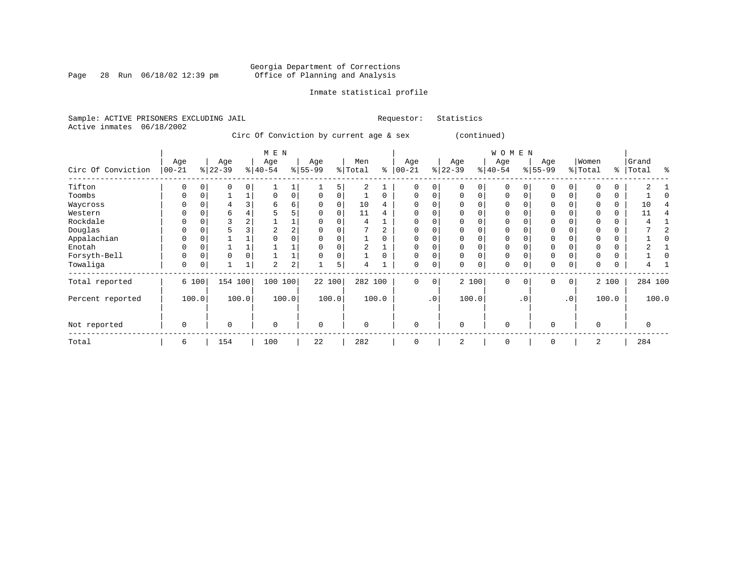Page 28 Run 06/18/02 12:39 pm

#### Inmate statistical profile

Sample: ACTIVE PRISONERS EXCLUDING JAIL **Requestor:** Statistics Active inmates 06/18/2002

Circ Of Conviction by current age & sex (continued)

|                    |                  | M E N    |                 |          |                  |                         |                  |       |                |          |                  |           |                 |             | WOMEN            |           |                  |           |                  |          |                |       |
|--------------------|------------------|----------|-----------------|----------|------------------|-------------------------|------------------|-------|----------------|----------|------------------|-----------|-----------------|-------------|------------------|-----------|------------------|-----------|------------------|----------|----------------|-------|
| Circ Of Conviction | Age<br>$00 - 21$ |          | Age<br>$ 22-39$ |          | Age<br>$ 40-54 $ |                         | Age<br>$ 55-99 $ |       | Men<br>% Total | နွ       | Age<br>$00 - 21$ |           | Age<br>$ 22-39$ |             | Age<br>$ 40-54 $ |           | Age<br>$ 55-99 $ |           | Women<br>% Total | ႜ        | Grand<br>Total | °     |
| Tifton             | 0                |          |                 | $\Omega$ |                  |                         |                  | 5     | 2              |          | 0                | 0         |                 | 0           | $\Omega$         |           | 0                | 0         |                  |          |                |       |
| Toombs             | 0                | 0        |                 |          | 0                | 0                       | $\Omega$         | 0     |                | $\Omega$ | 0                | 0         |                 | 0           | 0                |           | $\mathbf 0$      | 0         |                  | 0        |                |       |
| Waycross           | O                |          |                 |          | 6                | 6                       | $\Omega$         |       | 10             | 4        |                  |           |                 |             | $\Omega$         |           | $\mathbf 0$      |           |                  | $\Omega$ | 10             |       |
| Western            | U                |          | 6               |          |                  |                         |                  |       | 11             | 4        | <sup>0</sup>     |           |                 |             | $\Omega$         |           | $\Omega$         |           |                  | $\Omega$ | 11             |       |
| Rockdale           | 0                |          |                 |          |                  |                         |                  |       | 4              |          |                  |           |                 | 0           | 0                |           | $\mathbf 0$      |           |                  | 0        |                |       |
| Douglas            | U                |          |                 |          |                  | $\overline{a}$          |                  |       |                |          |                  |           |                 |             | 0                |           | $\mathbf 0$      |           |                  | $\Omega$ |                |       |
| Appalachian        | 0                | $\Omega$ |                 |          |                  |                         |                  |       |                | 0        | $\Omega$         |           |                 | $\Omega$    | $\Omega$         |           | $\mathbf 0$      |           |                  | $\Omega$ |                |       |
| Enotah             | 0                |          |                 |          |                  |                         |                  |       |                |          |                  |           |                 |             | $\Omega$         |           | $\mathbf 0$      |           |                  | $\Omega$ |                |       |
| Forsyth-Bell       | 0                |          | $\Omega$        |          |                  |                         |                  |       |                | $\Omega$ | $\Omega$         |           |                 | 0           | $\Omega$         |           | $\mathbf{0}$     |           |                  | $\Omega$ |                |       |
| Towaliga           | 0                |          |                 |          | $\overline{2}$   | $\overline{\mathbf{c}}$ |                  | 5     | 4              |          | 0                | 0         |                 | $\mathbf 0$ | 0                |           | $\mathbf 0$      | 0         |                  | 0        |                |       |
| Total reported     |                  | 6 100    | 154             | 100      | 100              | 100                     | 22 100           |       | 282 100        |          | 0                | 0         |                 | 2 100       | $\mathbf 0$      | $\Omega$  | $\mathbf 0$      | 0         |                  | 2 100    | 284 100        |       |
| Percent reported   |                  | 100.0    |                 | 100.0    |                  | 100.0                   |                  | 100.0 |                | 100.0    |                  | $\cdot$ 0 |                 | 100.0       |                  | $\cdot$ 0 |                  | $\cdot$ 0 |                  | 100.0    |                | 100.0 |
| Not reported       | 0                |          | $\Omega$        |          | $\Omega$         |                         | $\Omega$         |       | $\Omega$       |          | $\Omega$         |           | $\Omega$        |             | $\mathbf 0$      |           | $\mathbf 0$      |           | $\Omega$         |          | 0              |       |
| Total              | 6                |          | 154             |          | 100              |                         | 22               |       | 282            |          | $\Omega$         |           | 2               |             | 0                |           | $\Omega$         |           | 2                |          | 284            |       |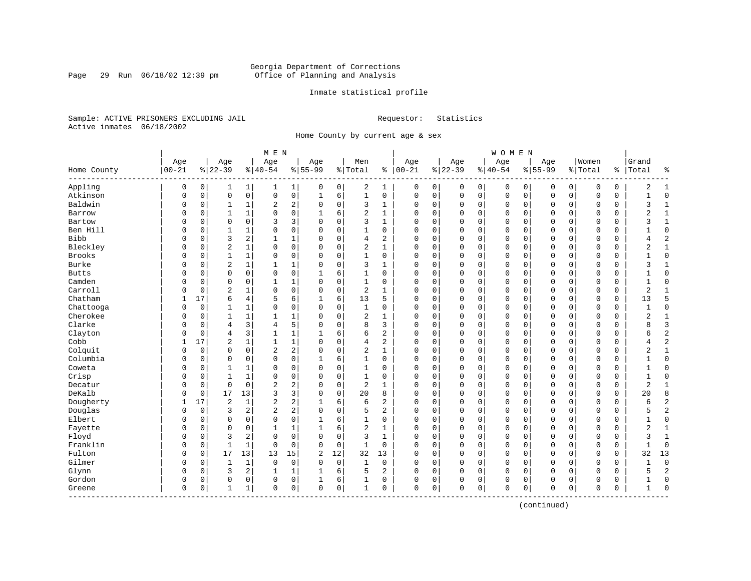Page 29 Run 06/18/02 12:39 pm

#### Inmate statistical profile

Sample: ACTIVE PRISONERS EXCLUDING JAIL **Requestor:** Statistics Active inmates 06/18/2002

Home County by current age & sex

|                  |           |          |                |                | M E N          |                |                |             |                |                |              |          |              |             | <b>WOMEN</b>   |             |              |             |             |               |                |                |
|------------------|-----------|----------|----------------|----------------|----------------|----------------|----------------|-------------|----------------|----------------|--------------|----------|--------------|-------------|----------------|-------------|--------------|-------------|-------------|---------------|----------------|----------------|
|                  | Age       |          | Age            |                | Age            |                | Age            |             | Men            |                | Age          |          | Age          |             | Age            |             | Age          |             | Women       |               | Grand          |                |
| Home County<br>. | $00 - 21$ |          | $8 22-39$      |                | $ 40-54$       |                | $8 55-99$      |             | % Total        | နွ             | $ 00-21$     |          | $ 22-39$     |             | $8 40-54$      |             | $8155 - 99$  |             | % Total     | $\frac{1}{6}$ | Total          | နွ             |
| Appling          | 0         | 0        | 1              | 1              | 1              | $\mathbf{1}$   | 0              | 0           | 2              | 1              | 0            | 0        | 0            | 0           | 0              | 0           | 0            | 0           | 0           | 0             | 2              | 1              |
| Atkinson         | 0         | 0        | $\mathbf 0$    | $\mathsf{O}$   | 0              | 0              | $\mathbf{1}$   | 6           | $\mathbf{1}$   | 0              | $\mathbf 0$  | 0        | $\mathbf 0$  | $\mathsf 0$ | $\overline{0}$ | $\mathbf 0$ | $\mathbf 0$  | $\mathsf 0$ | $\mathbf 0$ | 0             |                | $\Omega$       |
| Baldwin          | 0         | 0        | 1              | 1              | 2              | 2              | $\Omega$       | $\mathbf 0$ | 3              | 1              | 0            | 0        | 0            | 0           | 0              | 0           | 0            | 0           | 0           | 0             | 3              | $\mathbf{1}$   |
| Barrow           | O         | 0        | $\mathbf{1}$   | 1              | 0              | 0              | -1             | 6           | 2              | 1              | $\Omega$     | 0        | $\mathbf 0$  | 0           | 0              | 0           | 0            | 0           | 0           | 0             | 2              | 1              |
| Bartow           | O         | 0        | $\mathbf 0$    | $\mathbf 0$    | 3              | 3              | $\Omega$       | $\mathbf 0$ | 3              | 1              | $\Omega$     | 0        | $\mathbf 0$  | 0           | 0              | $\mathbf 0$ | $\Omega$     | 0           | 0           | 0             | 3              | 1              |
| Ben Hill         | O         | 0        | 1              | 1              | 0              | 0              | $\Omega$       | $\Omega$    | $\mathbf{1}$   | 0              | $\Omega$     | 0        | $\mathbf 0$  | 0           | $\Omega$       | $\mathbf 0$ | $\Omega$     | $\Omega$    | $\mathbf 0$ | 0             | 1              | $\Omega$       |
| Bibb             | 0         | 0        | $\overline{3}$ | $\overline{a}$ | 1              | $\mathbf 1$    | $\Omega$       | $\mathbf 0$ | 4              | 2              | 0            | 0        | $\mathbf 0$  | $\mathbf 0$ | 0              | $\mathbf 0$ | 0            | $\mathbf 0$ | $\mathbf 0$ | 0             | 4              | $\overline{2}$ |
| Bleckley         | 0         | 0        | $\overline{c}$ | $\mathbf{1}$   | 0              | 0              | $\Omega$       | $\mathbf 0$ | 2              | $\mathbf{1}$   | $\Omega$     | 0        | $\mathbf 0$  | 0           | $\Omega$       | $\mathbf 0$ | $\Omega$     | 0           | $\mathbf 0$ | 0             | $\overline{2}$ | $\mathbf{1}$   |
| <b>Brooks</b>    | 0         | 0        | $\mathbf{1}$   | $\mathbf{1}$   | 0              | 0              | $\Omega$       | $\mathbf 0$ | $\mathbf{1}$   | $\Omega$       | $\Omega$     | 0        | $\mathbf 0$  | $\mathbf 0$ | $\Omega$       | $\mathbf 0$ | $\mathbf 0$  | $\Omega$    | $\Omega$    | 0             | $\mathbf{1}$   | $\Omega$       |
| Burke            | O         | 0        | $\overline{2}$ | $\mathbf 1$    | 1              | 1              | $\Omega$       | $\mathbf 0$ | 3              | 1              | $\Omega$     | 0        | $\mathbf 0$  | $\mathbf 0$ | 0              | $\mathbf 0$ | $\Omega$     | $\Omega$    | $\Omega$    | 0             | 3              | $\mathbf{1}$   |
| <b>Butts</b>     | O         | 0        | $\mathbf 0$    | $\mathbf 0$    | 0              | 0              | -1             | 6           | $\mathbf{1}$   | $\Omega$       | $\Omega$     | 0        | $\mathbf 0$  | $\mathbf 0$ | $\Omega$       | $\mathbf 0$ | $\Omega$     | $\Omega$    | $\mathbf 0$ | $\Omega$      |                | $\Omega$       |
| Camden           | U         | $\Omega$ | $\mathbf 0$    | $\Omega$       | $\mathbf{1}$   | $\mathbf{1}$   | $\Omega$       | $\Omega$    | $\mathbf{1}$   | $\Omega$       | $\Omega$     | 0        | $\Omega$     | 0           | $\Omega$       | $\mathbf 0$ | $\Omega$     | $\Omega$    | $\mathbf 0$ | $\Omega$      | 1              | $\Omega$       |
| Carroll          | 0         | 0        | $\overline{2}$ | $\mathbf 1$    | $\Omega$       | 0              | $\Omega$       | $\mathbf 0$ | $\overline{c}$ | $\mathbf{1}$   | 0            | 0        | $\mathbf{0}$ | $\mathbf 0$ | $\Omega$       | $\mathbf 0$ | 0            | $\Omega$    | $\mathbf 0$ | 0             | $\overline{2}$ | $\mathbf{1}$   |
| Chatham          | 1         | 17       | 6              | $\overline{4}$ | 5              | 6              | 1              | 6           | 13             | 5              | $\Omega$     | 0        | $\Omega$     | 0           | $\Omega$       | $\mathbf 0$ | $\mathbf{0}$ | 0           | $\mathbf 0$ | 0             | 13             | 5              |
| Chattooga        | 0         | 0        | $\mathbf{1}$   | $\mathbf 1$    | 0              | 0              | $\Omega$       | 0           | $\mathbf{1}$   | 0              | $\mathbf{0}$ | 0        | $\mathbf 0$  | 0           | 0              | 0           | $\mathbf 0$  | 0           | $\mathbf 0$ | 0             |                | $\mathbf{0}$   |
| Cherokee         | O         | 0        | 1              | 1              | 1              | 1              | $\Omega$       | 0           | 2              | 1              | 0            | 0        | $\mathbf 0$  | 0           | 0              | $\mathbf 0$ | 0            | 0           | 0           | 0             | 2              | 1              |
| Clarke           | O         | 0        | 4              | 3              | 4              | 5              | $\Omega$       | $\Omega$    | 8              | 3              | $\Omega$     | 0        | $\mathbf 0$  | 0           | $\Omega$       | $\mathbf 0$ | $\Omega$     | $\Omega$    | $\mathbf 0$ | 0             |                | $\overline{3}$ |
| Clayton          | 0         | 0        | 4              | 3              | $\mathbf{1}$   | $\mathbf{1}$   | 1              | 6           | 6              | 2              | $\Omega$     | 0        | $\mathbf 0$  | 0           | 0              | $\mathbf 0$ | $\Omega$     | $\mathbf 0$ | $\mathbf 0$ | 0             | 6              | $\overline{2}$ |
| Cobb             | 1         | 17       | $\overline{2}$ | $\mathbf{1}$   | $\mathbf{1}$   | 1              | $\Omega$       | $\mathbf 0$ | 4              | 2              | $\mathbf 0$  | 0        | $\mathbf 0$  | $\mathbf 0$ | 0              | $\mathbf 0$ | 0            | $\mathbf 0$ | $\mathbf 0$ | 0             |                | $\overline{2}$ |
| Colquit          | 0         | 0        | $\Omega$       | $\Omega$       | $\overline{c}$ | $\overline{a}$ | $\Omega$       | $\mathbf 0$ | 2              | $\mathbf{1}$   | $\Omega$     | 0        | $\mathbf 0$  | $\mathbf 0$ | $\Omega$       | $\mathbf 0$ | $\Omega$     | $\Omega$    | $\Omega$    | $\Omega$      | $\overline{2}$ | $\mathbf{1}$   |
| Columbia         | 0         | 0        | $\mathbf 0$    | $\mathbf 0$    | 0              | 0              |                | 6           | $\mathbf{1}$   | $\Omega$       | $\Omega$     | 0        | $\mathbf 0$  | $\mathbf 0$ | $\Omega$       | $\mathbf 0$ | $\mathbf 0$  | $\mathbf 0$ | $\mathbf 0$ | 0             |                | $\Omega$       |
| Coweta           | O         | 0        | $\mathbf{1}$   | 1              | $\Omega$       | 0              | $\Omega$       | $\mathbf 0$ | 1              | $\Omega$       | $\mathbf 0$  | 0        | $\mathbf 0$  | 0           | 0              | 0           | 0            | $\Omega$    | 0           | 0             |                | $\Omega$       |
| Crisp            | U         | 0        | 1              | 1              | 0              | 0              | $\Omega$       | $\Omega$    | $\mathbf{1}$   | $\Omega$       | $\Omega$     | $\Omega$ | $\mathbf{0}$ | $\mathbf 0$ | $\Omega$       | $\mathbf 0$ | $\Omega$     | $\Omega$    | $\mathbf 0$ | $\Omega$      | 1              | $\Omega$       |
| Decatur          | 0         | 0        | $\mathbf 0$    | $\mathbf 0$    | 2              | 2              | $\Omega$       | $\mathbf 0$ | $\overline{c}$ | 1              | $\Omega$     | 0        | $\mathbf 0$  | 0           | $\Omega$       | $\mathbf 0$ | $\Omega$     | $\Omega$    | $\mathbf 0$ | 0             | $\overline{c}$ | $\mathbf{1}$   |
| DeKalb           | 0         | 0        | 17             | 13             | 3              | 3              | $\Omega$       | $\mathbf 0$ | 20             | 8              | $\Omega$     | 0        | $\mathbf{0}$ | $\mathbf 0$ | $\Omega$       | $\mathbf 0$ | 0            | $\mathbf 0$ | $\mathbf 0$ | 0             | 20             | 8              |
| Dougherty        | 1         | 17       | $\overline{2}$ | $\mathbf{1}$   | $\overline{c}$ | $\overline{a}$ | 1              | 6           | 6              | $\overline{c}$ | $\mathbf 0$  | 0        | 0            | 0           | 0              | 0           | $\mathbf 0$  | 0           | $\mathbf 0$ | 0             | 6              | $\overline{c}$ |
| Douglas          | 0         | 0        | 3              | 2              | 2              | $\overline{a}$ | $\mathbf 0$    | 0           | 5              | 2              | $\mathbf 0$  | 0        | $\mathbf 0$  | 0           | 0              | 0           | 0            | 0           | 0           | 0             | 5              | $\overline{2}$ |
| Elbert           | O         | 0        | $\mathbf 0$    | $\mathbf 0$    | $\mathbf 0$    | 0              | 1              | 6           | 1              | 0              | $\Omega$     | 0        | $\mathbf 0$  | 0           | 0              | $\mathbf 0$ | 0            | 0           | $\mathbf 0$ | 0             |                | $\mathbf 0$    |
| Fayette          | O         | $\Omega$ | $\Omega$       | $\Omega$       | $\mathbf{1}$   | $\mathbf{1}$   | $\mathbf{1}$   | 6           | $\overline{2}$ | $\mathbf{1}$   | $\Omega$     | 0        | $\Omega$     | $\Omega$    | $\Omega$       | $\Omega$    | $\Omega$     | $\Omega$    | $\Omega$    | $\Omega$      | 2              | $\mathbf{1}$   |
| Floyd            | 0         | $\Omega$ | 3              | 2              | $\Omega$       | 0              | $\mathbf 0$    | $\Omega$    | 3              | $\mathbf{1}$   | $\Omega$     | 0        | $\Omega$     | $\Omega$    | $\Omega$       | $\Omega$    | $\Omega$     | $\Omega$    | $\mathbf 0$ | 0             | 3              | $\mathbf{1}$   |
| Franklin         | $\Omega$  | 0        | $\mathbf{1}$   | $\mathbf{1}$   | $\Omega$       | 0              | $\Omega$       | $\mathbf 0$ | $\mathbf{1}$   | 0              | $\Omega$     | 0        | $\mathbf{0}$ | 0           | $\mathbf{0}$   | $\mathbf 0$ | $\Omega$     | $\mathbf 0$ | $\Omega$    | 0             |                | $\Omega$       |
| Fulton           | O         | 0        | 17             | 13             | 13             | 15             | $\overline{c}$ | 12          | 32             | 13             | $\Omega$     | 0        | $\mathbf{0}$ | $\mathbf 0$ | $\Omega$       | $\mathbf 0$ | $\mathbf{0}$ | $\Omega$    | $\mathbf 0$ | 0             | 32             | 13             |
| Gilmer           | O         | 0        | 1              | $\mathbf{1}$   | $\mathbf 0$    | 0              | $\mathbf 0$    | $\mathbf 0$ | 1              | 0              | $\mathbf 0$  | 0        | $\mathbf 0$  | $\mathbf 0$ | 0              | 0           | $\mathbf 0$  | 0           | 0           | 0             |                | $\mathbf{0}$   |
| Glynn            | 0         | 0        | 3              | 2              | $\mathbf{1}$   | 1              | 1              | 6           | 5              | 2              | $\mathbf{0}$ | 0        | $\mathbf 0$  | $\mathbf 0$ | 0              | 0           | $\Omega$     | 0           | $\Omega$    | 0             |                | $\overline{2}$ |
| Gordon           | 0         | 0        | $\Omega$       | 0              | 0              | 0              | 1              | 6           | 1              | 0              | 0            | 0        | $\Omega$     | 0           | 0              | 0           | $\Omega$     | 0           | $\mathbf 0$ | 0             | 1              | $\Omega$       |
| Greene           | 0         | 0        | 1              | 1              | 0              | 0              | $\mathbf 0$    | 0           | 1              | 0              | $\mathbf{0}$ | 0        | $\mathbf 0$  | $\mathbf 0$ | 0              | 0           | $\Omega$     | $\mathbf 0$ | $\mathbf 0$ | 0             | 1              | $\Omega$       |

(continued)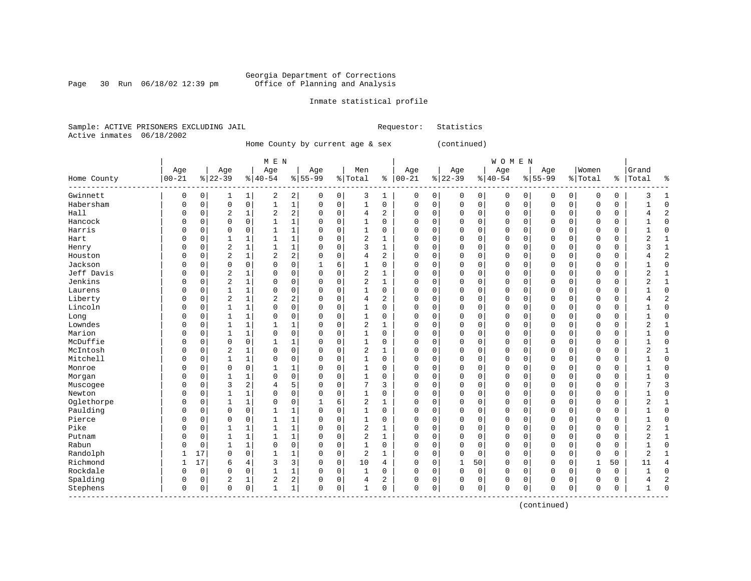Page 30 Run 06/18/02 12:39 pm

#### Inmate statistical profile

Sample: ACTIVE PRISONERS EXCLUDING JAIL **Requestor:** Statistics Active inmates 06/18/2002

Home County by current age & sex (continued)

|             |           |          |                |              | M E N          |                |           |             |                |                |               |   |             |             | <b>WOMEN</b> |             |              |             |              |               |                |                |
|-------------|-----------|----------|----------------|--------------|----------------|----------------|-----------|-------------|----------------|----------------|---------------|---|-------------|-------------|--------------|-------------|--------------|-------------|--------------|---------------|----------------|----------------|
|             | Age       |          | Age            |              | Age            |                | Age       |             | Men            |                | Age           |   | Age         |             | Age          |             | Age          |             | Women        |               | Grand          |                |
| Home County | $00 - 21$ |          | $8 22-39$      |              | $8 40-54$      |                | $8 55-99$ |             | % Total        |                | $8   00 - 21$ |   | $ 22-39$    |             | $8 40-54$    |             | $8155 - 99$  |             | % Total      | $\frac{1}{6}$ | Total          | ႜ              |
| Gwinnett    | 0         | 0        | ı              | $\mathbf 1$  | 2              | 2              | 0         | 0           | 3              | 1              | 0             | 0 | 0           | 0           | 0            | 0           | 0            | 0           | 0            | 0             | 3              | $\mathbf{1}$   |
| Habersham   | 0         | 0        | $\mathbf 0$    | $\mathbf 0$  | $\mathbf{1}$   | $1\vert$       | 0         | $\mathbf 0$ | $\mathbf{1}$   | 0              | 0             | 0 | $\mathbf 0$ | $\mathbf 0$ | 0            | $\mathbf 0$ | $\mathbf{0}$ | $\mathbf 0$ | $\mathbf 0$  | 0             |                | $\Omega$       |
| Hall        | 0         | 0        | $\overline{2}$ | $\mathbf{1}$ | $\overline{c}$ | $\overline{a}$ | $\Omega$  | $\mathbf 0$ | 4              | $\overline{a}$ | 0             | 0 | $\mathbf 0$ | $\mathbf 0$ | 0            | $\mathbf 0$ | 0            | $\mathbf 0$ | $\mathbf 0$  | 0             |                | $\overline{c}$ |
| Hancock     | U         | 0        | $\mathbf 0$    | $\mathbf 0$  | $\mathbf{1}$   | $\mathbf{1}$   | $\Omega$  | $\mathbf 0$ | $\mathbf{1}$   | 0              | 0             | 0 | $\Omega$    | 0           | 0            | $\mathbf 0$ | 0            | 0           | $\mathbf 0$  | 0             |                | $\Omega$       |
| Harris      |           | 0        | $\Omega$       | $\Omega$     | $\mathbf{1}$   | 1              | $\Omega$  | $\Omega$    | $\mathbf{1}$   | $\Omega$       | $\Omega$      | 0 | $\Omega$    | $\Omega$    | 0            | $\mathbf 0$ | $\Omega$     | $\Omega$    | $\Omega$     | $\Omega$      |                | $\Omega$       |
| Hart        | 0         | 0        | 1              | 1            | 1              | 1              | 0         | 0           | $\overline{2}$ | 1              | $\Omega$      | 0 | $\Omega$    | $\Omega$    | $\Omega$     | $\mathbf 0$ | $\Omega$     | $\Omega$    | $\Omega$     | 0             | 2              | $\mathbf{1}$   |
| Henry       | U         | 0        | $\overline{2}$ | $\mathbf 1$  | 1              | 1              | U         | 0           | 3              | 1              | $\Omega$      | 0 | 0           | $\Omega$    | 0            | 0           | 0            | 0           | 0            | 0             | ς              | 1              |
| Houston     | O         | $\Omega$ | $\overline{2}$ | 1            | 2              | 2              | $\Omega$  | 0           | 4              | 2              | $\Omega$      | 0 | $\mathbf 0$ | $\Omega$    | $\Omega$     | $\mathbf 0$ | $\Omega$     | 0           | $\Omega$     | 0             |                | $\overline{2}$ |
| Jackson     | O         | 0        | $\mathbf 0$    | $\mathbf 0$  | 0              | 0              |           | 6           | $\mathbf{1}$   | 0              | $\Omega$      | 0 | $\mathbf 0$ | $\Omega$    | 0            | $\mathbf 0$ | $\Omega$     | $\Omega$    | $\Omega$     | 0             |                | $\Omega$       |
| Jeff Davis  | U         | $\Omega$ | $\overline{2}$ | 1            | 0              | 0              | $\Omega$  | $\Omega$    | $\overline{2}$ | 1              | $\Omega$      | 0 | $\mathbf 0$ | $\Omega$    | $\Omega$     | $\mathbf 0$ | $\Omega$     | $\Omega$    | $\Omega$     | 0             | 2              | 1              |
| Jenkins     | U         | 0        | $\overline{2}$ | $\mathbf{1}$ | $\Omega$       | 0              | 0         | $\mathbf 0$ | $\overline{2}$ | 1              | $\Omega$      | 0 | $\mathbf 0$ | 0           | 0            | $\Omega$    | $\Omega$     | $\Omega$    | $\mathbf 0$  | 0             | 2              | $\mathbf{1}$   |
| Laurens     | U         | 0        | 1              | $\mathbf{1}$ | $\mathbf 0$    | 0              |           | $\mathbf 0$ | $\mathbf{1}$   | 0              | 0             | 0 | $\Omega$    | 0           | 0            | $\mathbf 0$ | 0            | $\mathbf 0$ | $\mathbf 0$  | 0             |                | $\mathbf 0$    |
| Liberty     | 0         | 0        | $\overline{2}$ | $\mathbf{1}$ | 2              | 2              | 0         | $\mathbf 0$ | 4              | $\overline{2}$ | $\Omega$      | 0 | $\Omega$    | $\Omega$    | 0            | $\Omega$    | $\Omega$     | 0           | $\Omega$     | 0             |                | $\overline{c}$ |
| Lincoln     |           | 0        | 1              | $\mathbf{1}$ | $\Omega$       | 0              | $\Omega$  | 0           | 1              | $\Omega$       | $\Omega$      | 0 | $\mathbf 0$ | 0           | $\Omega$     | 0           | $\Omega$     | 0           | $\mathbf 0$  | 0             |                | $\Omega$       |
| Long        | U         | 0        | $\mathbf{1}$   | 1            | $\Omega$       | 0              | $\cap$    | 0           | 1              | 0              | $\Omega$      | 0 | $\mathbf 0$ | 0           | $\Omega$     | $\mathbf 0$ | $\mathbf 0$  | 0           | $\Omega$     | 0             |                | $\Omega$       |
| Lowndes     | U         | 0        | $\mathbf{1}$   | $\mathbf 1$  | 1              | 1              | O         | $\mathbf 0$ | 2              | 1              | $\Omega$      | 0 | $\mathbf 0$ | $\mathbf 0$ | 0            | $\mathbf 0$ | $\Omega$     | $\mathbf 0$ | $\mathbf 0$  | 0             | $\overline{2}$ | $\mathbf{1}$   |
| Marion      | U         | 0        | $\mathbf{1}$   | $\mathbf 1$  | $\Omega$       | 0              | $\Omega$  | $\mathbf 0$ | 1              | 0              | $\Omega$      | 0 | $\mathbf 0$ | $\mathbf 0$ | $\Omega$     | 0           | $\Omega$     | 0           | $\mathbf 0$  | 0             |                | $\Omega$       |
| McDuffie    | O         | 0        | $\mathbf 0$    | $\mathbf 0$  | $\mathbf{1}$   | $\mathbf{1}$   | $\Omega$  | $\mathbf 0$ | $\mathbf{1}$   | 0              | $\Omega$      | 0 | $\mathbf 0$ | $\Omega$    | 0            | $\mathbf 0$ | $\Omega$     | 0           | $\mathbf 0$  | 0             |                | $\Omega$       |
| McIntosh    | U         | 0        | $\overline{2}$ | 1            | 0              | 0              | $\Omega$  | $\mathbf 0$ | $\overline{c}$ | 1              | $\Omega$      | 0 | $\mathbf 0$ | $\Omega$    | $\Omega$     | $\mathbf 0$ | $\Omega$     | 0           | $\mathbf 0$  | 0             | 2              | 1              |
| Mitchell    | 0         | 0        | 1              | 1            | 0              | 0              | 0         | $\mathbf 0$ | 1              | 0              | 0             | 0 | $\Omega$    | 0           | 0            | $\mathbf 0$ | 0            | 0           | $\mathbf 0$  | 0             |                | $\Omega$       |
| Monroe      | U         | $\Omega$ | $\mathbf 0$    | $\Omega$     | 1              | 1              | O         | $\mathbf 0$ | 1              | 0              | $\Omega$      | 0 | $\Omega$    | 0           | 0            | $\mathbf 0$ | $\Omega$     | $\Omega$    | 0            | 0             |                | $\Omega$       |
| Morgan      |           | 0        | $\mathbf{1}$   | 1            | $\Omega$       | 0              |           | $\mathbf 0$ | 1              | 0              | $\Omega$      | 0 | $\Omega$    | 0           | 0            | 0           | $\Omega$     | 0           | $\mathbf 0$  | 0             |                | $\Omega$       |
| Muscogee    | O         | 0        | 3              | 2            | 4              | 5              | $\Omega$  | 0           | 7              | 3              | $\Omega$      | 0 | $\Omega$    | $\Omega$    | 0            | 0           | $\Omega$     | 0           | 0            | 0             |                | 3              |
| Newton      | O         | 0        | $\mathbf{1}$   | $\mathbf 1$  | $\Omega$       | 0              | $\Omega$  | $\mathbf 0$ | $\mathbf{1}$   | 0              | $\Omega$      | 0 | $\mathbf 0$ | $\Omega$    | $\Omega$     | $\mathbf 0$ | $\mathbf{0}$ | 0           | $\mathbf 0$  | 0             |                | $\Omega$       |
| Oglethorpe  | 0         | 0        | $\mathbf{1}$   | $\mathbf 1$  | $\Omega$       | 0              |           | 6           | 2              | 1              | $\Omega$      | 0 | $\mathbf 0$ | 0           | 0            | 0           | 0            | 0           | 0            | 0             | 2              | 1              |
| Paulding    | O         | 0        | $\mathbf 0$    | $\mathbf 0$  | 1              | 1              | $\Omega$  | $\mathbf 0$ | 1              | 0              | $\Omega$      | 0 | $\mathbf 0$ | $\mathbf 0$ | 0            | 0           | 0            | 0           | 0            | 0             |                | $\Omega$       |
| Pierce      | 0         | 0        | $\mathbf 0$    | $\mathbf 0$  | $\mathbf{1}$   | 1              | 0         | $\mathbf 0$ | 1              | $\Omega$       | $\Omega$      | 0 | 0           | $\Omega$    | $\Omega$     | $\Omega$    | $\Omega$     | $\Omega$    | $\Omega$     | 0             |                | $\Omega$       |
| Pike        | U         | 0        | 1              | $\mathbf{1}$ | $\mathbf{1}$   | $\mathbf{1}$   | $\Omega$  | $\Omega$    | 2              | 1              | $\Omega$      | 0 | $\Omega$    | $\Omega$    | $\Omega$     | $\Omega$    | $\Omega$     | $\Omega$    | $\Omega$     | $\Omega$      | $\overline{2}$ | 1              |
| Putnam      | U         | $\Omega$ | 1              | 1            | -1             | $\mathbf{1}$   | $\Omega$  | $\Omega$    | $\overline{2}$ | $\mathbf{1}$   | $\Omega$      | O | $\Omega$    | $\Omega$    | $\Omega$     | $\Omega$    | $\Omega$     | $\Omega$    | $\Omega$     | $\Omega$      | 2              | $\mathbf{1}$   |
| Rabun       | 0         | 0        | 1              | $\mathbf{1}$ | 0              | 0              | $\Omega$  | $\mathbf 0$ | 1              | 0              | $\Omega$      | 0 | $\mathbf 0$ | 0           | $\Omega$     | $\mathbf 0$ | $\Omega$     | $\Omega$    | 0            | 0             |                | $\Omega$       |
| Randolph    | 1         | 17       | $\mathbf 0$    | $\mathbf 0$  | $\mathbf{1}$   | 1              | 0         | 0           | 2              | 1              | $\Omega$      | 0 | $\Omega$    | $\mathbf 0$ | $\Omega$     | 0           | 0            | 0           | $\mathbf 0$  | 0             | $\overline{2}$ |                |
| Richmond    | 1         | 17       | 6              | 4            | 3              | 3              | 0         | 0           | 10             | 4              | 0             | 0 | 1           | 50          | 0            | 0           | 0            | 0           | $\mathbf{1}$ | 50            | 11             | $\overline{4}$ |
| Rockdale    | O         | 0        | $\mathbf 0$    | $\mathbf 0$  | $\mathbf{1}$   | $\mathbf 1$    | O         | $\mathbf 0$ | $\mathbf{1}$   | 0              | 0             | 0 | $\mathbf 0$ | $\mathbf 0$ | 0            | $\mathbf 0$ | $\mathbf{0}$ | 0           | $\mathbf 0$  | 0             | 1              | $\Omega$       |
| Spalding    | 0         | 0        | 2              | 1            | 2              | 2              | 0         | 0           | 4              | 2              | $\Omega$      | 0 | $\Omega$    | 0           | $\Omega$     | $\mathbf 0$ | 0            | 0           | $\Omega$     | 0             | 4              | $\overline{2}$ |
| Stephens    | 0         | 0        | $\Omega$       | $\mathbf 0$  | 1              | $\mathbf 1$    | $\Omega$  | 0           | 1              | 0              | $\Omega$      | 0 | 0           | 0           | 0            | 0           | $\Omega$     | 0           | $\Omega$     | 0             |                | $\Omega$       |

(continued)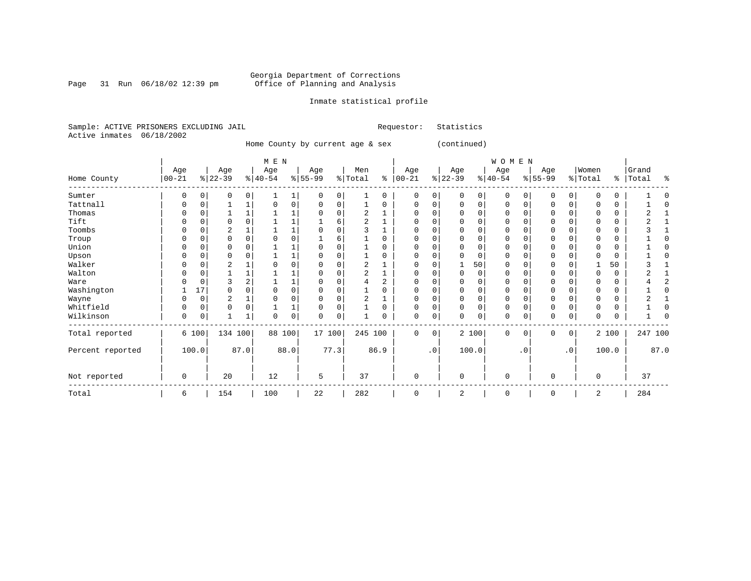Page 31 Run 06/18/02 12:39 pm

#### Inmate statistical profile

Sample: ACTIVE PRISONERS EXCLUDING JAIL Requestor: Statistics Active inmates 06/18/2002

Home County by current age & sex (continued)

|                  |            |          |                |      | M E N     |      |           |             |                |                |             |           |           |          | WOMEN       |              |          |           |             |       |           |      |
|------------------|------------|----------|----------------|------|-----------|------|-----------|-------------|----------------|----------------|-------------|-----------|-----------|----------|-------------|--------------|----------|-----------|-------------|-------|-----------|------|
|                  | Age        |          | Age            |      | Age       |      | Age       |             | Men            |                | Age         |           | Age       |          | Age         |              | Age      |           | Women       |       | Grand     |      |
| Home County      | $ 00 - 21$ |          | $ 22-39 $      |      | $ 40-54 $ |      | $8 55-99$ |             | % Total        | နွ             | $ 00 - 21$  |           | $ 22-39 $ |          | $ 40-54 $   |              | $ 55-99$ |           | % Total     |       | %   Total | ႜ    |
| Sumter           | U          |          | 0              | 0    |           |      | O         | $\Omega$    |                | 0              | $\Omega$    | 0         | $\Omega$  | 0        | 0           | <sup>0</sup> | 0        | 0         | $\Omega$    | 0     |           |      |
| Tattnall         |            |          |                |      |           | 0    |           | $\Omega$    |                | U              | $\Omega$    | 0         | $\Omega$  | 0        | 0           | $\Omega$     | $\Omega$ | 0         | $\Omega$    | 0     |           |      |
| Thomas           |            |          |                |      |           |      |           |             | 2              |                |             |           |           | $\Omega$ | U           | $\Omega$     | 0        |           |             | 0     |           |      |
| Tift             |            |          |                |      |           |      |           | 6           | $\overline{2}$ |                | $\Omega$    |           | $\Omega$  | $\Omega$ | 0           | $\cap$       | $\Omega$ |           | $\Omega$    | 0     |           |      |
| Toombs           |            |          |                |      |           |      |           |             |                |                | $\Omega$    |           | ∩         | $\Omega$ | 0           | C            | 0        |           | $\Omega$    | 0     |           |      |
| Troup            |            |          |                |      |           |      |           | 6           |                |                |             |           |           | $\Omega$ | 0           | C            |          |           |             | 0     |           |      |
| Union            |            |          |                |      |           |      |           |             |                |                | $\Omega$    |           | U         | $\Omega$ | $\Omega$    | C            | $\Omega$ |           | $\Omega$    | 0     |           |      |
| Upson            |            |          | O              |      |           |      |           |             |                | 0              | $\Omega$    | O         | U         | $\Omega$ | $\Omega$    | $\Omega$     | $\Omega$ |           | $\Omega$    | 0     |           |      |
| Walker           |            |          | $\overline{2}$ |      |           |      |           |             | 2              |                | 0           |           |           | 50       | 0           |              | 0        |           |             | 50    |           |      |
| Walton           |            |          |                |      |           |      |           |             | $\overline{2}$ |                | $\Omega$    |           | $\Omega$  | 0        | 0           | $\Omega$     | $\Omega$ |           | $\Omega$    | 0     |           |      |
| Ware             |            | U        | 3              |      |           |      |           |             |                | $\overline{2}$ | $\Omega$    |           | U         | $\Omega$ | 0           | $\Omega$     | $\Omega$ |           | $\Omega$    | 0     |           |      |
| Washington       |            | 17       |                |      |           | 0    |           |             |                |                |             |           |           | $\Omega$ | 0           | $\Omega$     |          |           | O           | 0     |           |      |
| Wayne            |            | 0        | $\overline{2}$ |      |           | 0    |           |             | $\overline{2}$ |                | $\Omega$    | 0         | $\Omega$  | 0        | $\mathbf 0$ | $\Omega$     | $\Omega$ |           | $\Omega$    | 0     |           |      |
| Whitfield        | U          | $\Omega$ | $\Omega$       | 0    |           |      |           | $\Omega$    |                | $\Omega$       | $\Omega$    | 0         | $\Omega$  | $\Omega$ | $\Omega$    | $\Omega$     | $\Omega$ | $\Omega$  | $\Omega$    | 0     |           |      |
| Wilkinson        | 0          | 0        |                |      | O         | 0    | $\Omega$  | $\mathbf 0$ |                | O              | $\mathbf 0$ | 0         | $\Omega$  | 0        | $\mathbf 0$ | $\Omega$     | 0        | 0         | $\Omega$    | 0     |           |      |
| Total reported   |            | 6 100    | 134 100        |      | 88 100    |      | 17 100    |             | 245 100        |                | $\mathbf 0$ | 0         |           | 2 100    | $\mathbf 0$ | $\mathbf 0$  | $\Omega$ | $\circ$   |             | 2 100 | 247 100   |      |
| Percent reported |            | 100.0    |                | 87.0 |           | 88.0 |           | 77.3        |                | 86.9           |             | $\cdot$ 0 |           | 100.0    |             | $\cdot$ 0    |          | $\cdot$ 0 |             | 100.0 |           | 87.0 |
| Not reported     | 0          |          | 20             |      | 12        |      | 5         |             | 37             |                | $\mathbf 0$ |           | $\Omega$  |          | $\mathbf 0$ |              | 0        |           | $\mathbf 0$ |       | 37        |      |
| Total            | 6          |          | 154            |      | 100       |      | 22        |             | 282            |                | $\mathbf 0$ |           | 2         |          | 0           |              | 0        |           | 2           |       | 284       |      |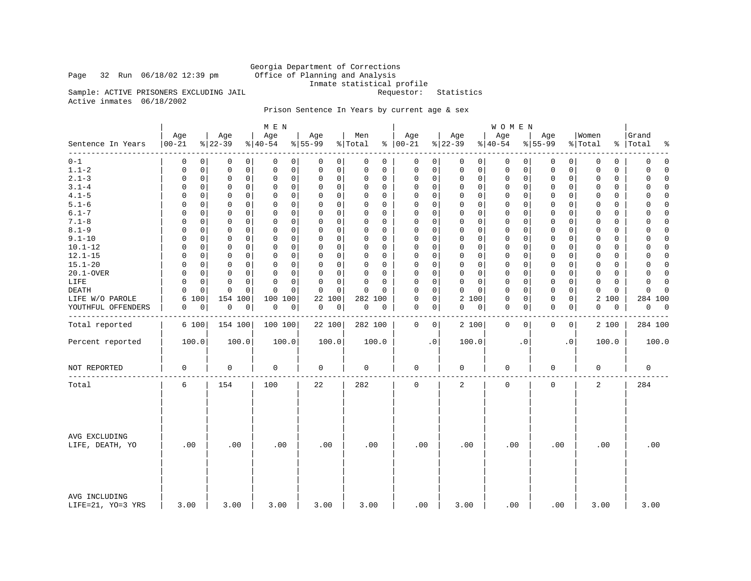### Page 32 Run  $06/18/02$  12:39 pm

Georgia Department of Corrections<br>Office of Planning and Analysis Inmate statistical profile

Sample: ACTIVE PRISONERS EXCLUDING JAIL **Requestor:** Statistics Active inmates 06/18/2002

#### Prison Sentence In Years by current age & sex

|                                    |                   |                  | M E N                        |                  |                |                         |                  | WOMEN                      |                  |                  |                          |
|------------------------------------|-------------------|------------------|------------------------------|------------------|----------------|-------------------------|------------------|----------------------------|------------------|------------------|--------------------------|
| Sentence In Years                  | Age<br>$ 00 - 21$ | Age<br>$ 22-39 $ | Age<br>$\frac{1}{6}$   40-54 | Age<br>$8 55-99$ | Men<br>% Total | Age<br>$8   00 - 21$    | Age<br>$ 22-39 $ | Age<br>$ 40-54$            | Age<br>$8 55-99$ | Women<br>% Total | Grand<br>%   Total<br>ႜ  |
| $0 - 1$                            | 0                 | 0                | 0                            | 0                | 0              | 0                       | 0                | 0                          | 0                | 0                | 0                        |
|                                    | 0                 | 0                | 0                            | 0                | 0              | 0                       | 0 <sup>1</sup>   | 0                          | 0                | 0                | 0                        |
| $1.1 - 2$                          | 0                 | $\mathsf 0$      | $\mathsf 0$                  | 0                | $\mathbf 0$    | $\mathsf 0$             | 0                | $\mathsf 0$                | $\mathsf 0$      | $\mathbf 0$      | 0                        |
|                                    | 0                 | 0                | $\mathsf 0$                  | 0                | $\mathbf 0$    | $\Omega$                | 0                | $\mathbf 0$                | 0                | $\mathbf 0$      | $\Omega$                 |
| $2.1 - 3$                          | 0                 | 0                | $\mathbf 0$                  | 0                | 0              | $\mathbf 0$             | 0                | $\mathbf 0$                | 0                | 0                | 0                        |
|                                    | 0                 | 0                | 0                            | 0                | 0              | 0                       | 0                | 0                          | 0                | 0                | $\mathbf 0$              |
| $3.1 - 4$                          | 0                 | 0                | $\mathbf 0$                  | 0                | 0              | $\mathbf 0$             | $\Omega$         | 0                          | $\Omega$         | $\Omega$         | 0                        |
|                                    | $\Omega$          | 0                | $\Omega$                     | $\mathbf 0$      | 0              | $\mathbf 0$             | $\Omega$         | $\Omega$                   | 0                | $\Omega$         | $\Omega$                 |
| $4.1 - 5$                          | $\Omega$          | $\mathbf 0$      | $\mathbf 0$                  | 0                | $\Omega$       | $\mathsf 0$             | 0                | $\mathbf 0$                | $\mathbf 0$      | $\Omega$         | $\mathbf 0$              |
|                                    | 0                 | 0                | $\mathbf 0$                  | $\mathbf 0$      | $\Omega$       | $\Omega$                | $\mathbf 0$      | 0                          | 0                | $\Omega$         | $\Omega$                 |
| $5.1 - 6$                          | $\Omega$          | 0                | $\Omega$                     | 0                | $\Omega$       | $\mathbf 0$             | $\Omega$         | $\mathbf 0$                | $\Omega$         | $\Omega$         | 0                        |
|                                    | $\Omega$          | 0                | 0                            | 0                | $\Omega$       | $\Omega$                | $\Omega$         | $\Omega$                   | 0                | $\Omega$         | $\Omega$                 |
| $6.1 - 7$                          | $\Omega$          | 0                | 0                            | 0                | $\Omega$       | $\mathbf 0$             | $\Omega$         | $\mathbf 0$                | 0                | $\Omega$         | 0                        |
|                                    | $\Omega$          | 0                | 0                            | 0                | $\Omega$       | 0                       | $\Omega$         | $\Omega$                   | $\Omega$         | $\Omega$         | $\Omega$                 |
| $7.1 - 8$                          | 0                 | $\mathbf 0$      | $\mathsf 0$                  | 0                | $\mathbf 0$    | $\mathsf 0$             | 0                | 0                          | $\mathbf 0$      | $\mathbf 0$      | $\mathbf 0$              |
|                                    | 0                 | 0                | $\mathbf 0$                  | 0                | $\Omega$       | $\Omega$                | $\mathbf 0$      | 0                          | 0                | $\Omega$         | $\Omega$                 |
| $8.1 - 9$                          | 0                 | 0                | $\mathbf 0$                  | 0                | $\Omega$       | $\mathbf 0$             | $\Omega$         | $\mathbf 0$                | 0                | $\Omega$         | 0                        |
|                                    | $\Omega$          | 0                | 0                            | 0                | $\Omega$       | $\Omega$                | $\Omega$         | $\Omega$                   | 0                | $\Omega$         | $\Omega$                 |
| $9.1 - 10$                         | $\Omega$          | $\mathsf 0$      | $\mathbf 0$                  | 0                | $\mathbf 0$    | $\mathbf 0$             | 0                | $\mathbf 0$                | $\mathbf 0$      | $\mathbf 0$      | $\mathbf 0$              |
|                                    | $\Omega$          | $\mathbf 0$      | $\mathbf 0$                  | $\mathbf 0$      | $\Omega$       | $\Omega$                | $\mathbf 0$      | $\Omega$                   | $\mathbf 0$      | $\Omega$         | $\Omega$                 |
| $10.1 - 12$                        | $\Omega$          | $\mathbf 0$      | $\mathbf 0$                  | 0                | 0              | $\mathbf 0$             | 0                | $\mathbf 0$                | $\mathbf 0$      | $\Omega$         | $\mathbf 0$              |
|                                    | 0                 | 0                | $\mathbf 0$                  | 0                | 0              | $\Omega$                | $\mathbf 0$      | 0                          | 0                | $\Omega$         | $\mathbf 0$              |
| $12.1 - 15$                        | $\Omega$          | 0                | $\mathbf 0$                  | 0                | $\Omega$       | $\mathbf 0$             | $\Omega$         | $\mathbf 0$                | $\Omega$         | $\Omega$         | $\Omega$                 |
|                                    | $\Omega$          | 0                | $\Omega$                     | 0                | $\Omega$       | $\Omega$                | $\Omega$         | $\Omega$                   | 0                | $\Omega$         | $\Omega$                 |
| $15.1 - 20$                        | $\Omega$          | $\mathbf 0$      | $\mathbf 0$                  | 0                | $\mathbf 0$    | $\mathbf 0$             | 0                | $\mathbf 0$                | $\mathbf 0$      | $\mathbf 0$      | $\mathbf 0$              |
|                                    | $\Omega$          | 0                | $\mathbf 0$                  | $\mathbf 0$      | 0              | $\Omega$                | $\mathbf 0$      | $\Omega$                   | $\mathbf 0$      | $\Omega$         | $\Omega$                 |
| 20.1-OVER                          | $\Omega$          | $\mathbf 0$      | $\mathbf 0$                  | 0                | $\mathbf 0$    | $\mathbf 0$             | 0                | $\mathbf 0$                | $\mathbf 0$      | $\mathbf 0$      | 0                        |
|                                    | 0                 | $\mathbf 0$      | $\mathbf 0$                  | 0                | 0              | $\Omega$                | $\mathbf 0$      | 0                          | $\mathbf 0$      | $\Omega$         | $\mathbf 0$              |
| LIFE                               | $\Omega$          | 0                | $\mathbf 0$                  | 0                | $\Omega$       | $\mathbf 0$             | $\Omega$         | $\mathbf 0$                | 0                | $\Omega$         | $\mathbf 0$              |
|                                    | $\Omega$          | 0                | $\Omega$                     | 0                | $\Omega$       | $\Omega$                | 0                | 0                          | 0                | $\Omega$         | $\Omega$                 |
| DEATH                              | 0                 | $\mathbf 0$      | $\Omega$                     | $\mathbf 0$      | $\Omega$       | $\Omega$                | 0                | $\mathbf 0$                | $\mathbf 0$      | $\mathbf 0$      | $\mathbf 0$              |
|                                    | 0                 | $\mathbf 0$      | $\Omega$                     | $\mathbf 0$      | $\Omega$       | $\mathbf 0$             | $\mathbf 0$      | 0                          | 0                | $\Omega$         | $\Omega$                 |
| LIFE W/O PAROLE                    | 6<br>100          | 154 100          | 100<br>100                   | 22<br>100        | 282 100        | $\mathbf 0$<br>$\Omega$ | 2 100            | $\mathbf 0$<br>0           | $\mathbf 0$<br>0 | 2 100            | 284 100                  |
| YOUTHFUL OFFENDERS                 | 0                 | 0                | 0                            | 0                | 0              | 0                       | 0                | $\mathbf 0$                | $\mathbf 0$      | 0                | 0                        |
|                                    | 0                 | 0                | 0                            | 0                | $\mathbf 0$    | 0                       | 0                | 0                          | 0                | 0                | $\overline{\phantom{0}}$ |
| Total reported                     | 6 100             | 154 100          | 100 100                      | 22 100           | 282 100        | $\mathbf 0$<br>0        | 2 100            | $\mathbf 0$<br>$\mathbf 0$ | 0<br>$\mathbf 0$ | 2 100            | 284 100                  |
| Percent reported                   | 100.0             | 100.0            | 100.0                        | 100.0            | 100.0          | $\cdot$ 0               | 100.0            | $\cdot$ 0                  | $\cdot$ 0        | 100.0            | 100.0                    |
| NOT REPORTED                       | 0                 | $\mathbf 0$      | 0                            | $\mathbf 0$      | $\mathbf 0$    | $\mathbf 0$             | 0                | $\mathbf 0$                | $\mathbf 0$      | $\mathbf 0$      | $\mathbf 0$              |
| Total                              | 6                 | 154              | 100                          | 22               | 282            | $\mathbf 0$             | 2                | $\mathbf 0$                | $\mathbf 0$      | $\overline{2}$   | 284                      |
| AVG EXCLUDING<br>LIFE, DEATH, YO   | .00               | .00              | .00                          | .00              | .00            | .00                     | .00              | .00                        | .00              | .00              | .00                      |
| AVG INCLUDING<br>LIFE=21, YO=3 YRS | 3.00              | 3.00             | 3.00                         | 3.00             | 3.00           | .00                     | 3.00             | .00                        | .00              | 3.00             | 3.00                     |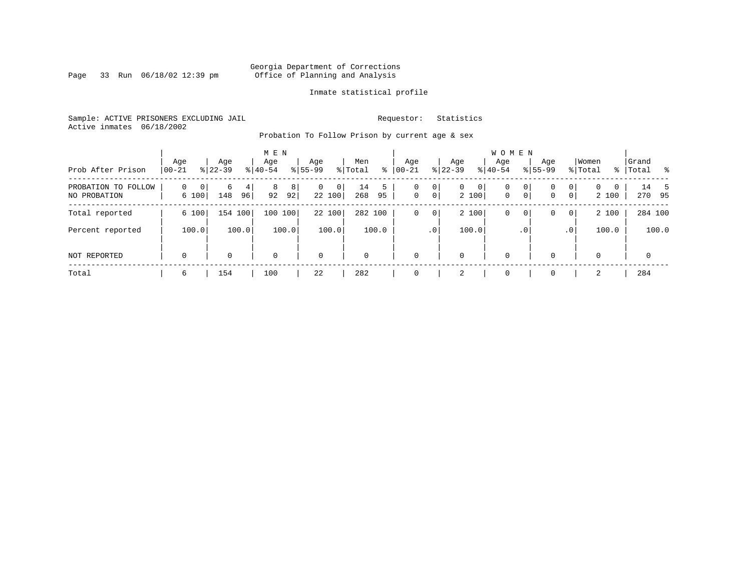Page 33 Run 06/18/02 12:39 pm

#### Inmate statistical profile

Sample: ACTIVE PRISONERS EXCLUDING JAIL **Requestor:** Statistics Active inmates 06/18/2002

Probation To Follow Prison by current age & sex

| Prob After Prison                   | Age<br>$00 - 21$                     | Age<br>$8 22-39$    | M E N<br>Age<br>$8 40-54$ | Age<br>$8155 - 99$          | Men<br>ႜ<br>% Total  | Aqe<br>$00 - 21$ | Aqe<br>$ 22-39 $                             | <b>WOMEN</b><br>Aqe<br>$8 40-54$ | Age<br>$8155 - 99$     | Women<br>% Total                              | Grand<br>ာ အေ<br>%   Total |
|-------------------------------------|--------------------------------------|---------------------|---------------------------|-----------------------------|----------------------|------------------|----------------------------------------------|----------------------------------|------------------------|-----------------------------------------------|----------------------------|
| PROBATION TO FOLLOW<br>NO PROBATION | $\mathbf 0$<br>$\mathbf{0}$<br>6 100 | 6<br>4<br>96<br>148 | 8<br>8<br>92<br>92        | $\mathbf{0}$<br>0<br>22 100 | 5<br>14<br>268<br>95 | 0<br>$\mathbf 0$ | 0<br>$\mathbf{0}$<br>0 <sup>1</sup><br>2 100 | 0<br>0<br>$\mathbf{0}$           | 0<br>0<br>$\circ$<br>0 | 0<br>$\Omega$<br>0<br>0 <sup>1</sup><br>2 100 | 14 5<br>270 95             |
| Total reported                      | 6 100                                | 154 100             | 100 100                   | 22 100                      | 282 100              | 0                | 2 100<br>$\mathbf 0$                         | $\mathbf 0$                      | 0<br>0                 | 2 100<br>$\overline{0}$                       | 284 100                    |
| Percent reported                    | 100.0                                | 100.0               | 100.0                     | 100.0                       | 100.0                |                  | 100.0<br>.0 <sup>1</sup>                     |                                  | . 0                    | 100.0<br>$\cdot$ 0                            | 100.0                      |
| NOT REPORTED                        | $\mathbf 0$                          | 0                   | 0                         | 0                           | $\mathbf 0$          | 0                | 0                                            | $\mathbf 0$                      | $\Omega$               | $\Omega$                                      | $\mathbf 0$                |
| Total                               | 6                                    | 154                 | 100                       | 22                          | 282                  | $\Omega$         | 2                                            | $\overline{0}$                   |                        | 2                                             | 284                        |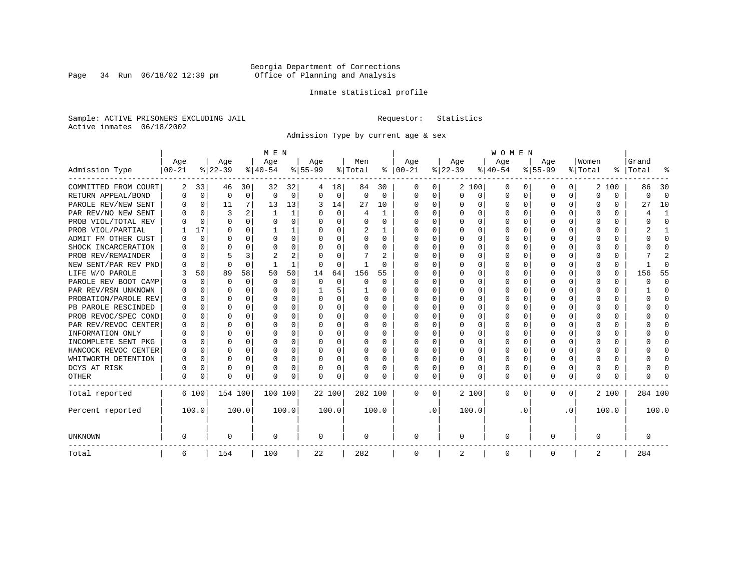Page 34 Run 06/18/02 12:39 pm

#### Inmate statistical profile

Sample: ACTIVE PRISONERS EXCLUDING JAIL **Requestor:** Statistics Active inmates 06/18/2002

Admission Type by current age & sex

|                      |           |             |           |             | M E N     |       |           |          |         |          |          |           |          |          | <b>WOMEN</b> |                  |              |              |          |          |         |              |
|----------------------|-----------|-------------|-----------|-------------|-----------|-------|-----------|----------|---------|----------|----------|-----------|----------|----------|--------------|------------------|--------------|--------------|----------|----------|---------|--------------|
|                      | Age       |             | Age       |             | Age       |       | Aqe       |          | Men     |          | Age      |           | Age      |          | Age          |                  | Aqe          |              | Women    |          | Grand   |              |
| Admission Type       | $00 - 21$ |             | $ 22-39 $ |             | $ 40-54 $ |       | $8 55-99$ |          | % Total | ႜ        | $ 00-21$ |           | $ 22-39$ |          | $ 40-54$     |                  | $8 55-99$    |              | % Total  | ွေ       | Total   | ू            |
| COMMITTED FROM COURT | 2         | 33          | 46        | 30          | 32        | 32    | 4         | 18       | 84      | 30       | 0        | 0         |          | 2 100    | 0            | $\left( \right)$ | 0            | 0            |          | 2 100    | 86      | 30           |
| RETURN APPEAL/BOND   | 0         | $\mathbf 0$ | 0         | $\mathbf 0$ | $\Omega$  | 0     | $\Omega$  | 0        | 0       | $\Omega$ | 0        | 0         | $\Omega$ | 0        | 0            | $\Omega$         | <sup>0</sup> | 0            | $\Omega$ | $\Omega$ | O       | $\Omega$     |
| PAROLE REV/NEW SENT  | O         | $\Omega$    | 11        | 7           | 13        | 13    | 3         | 14       | 27      | 10       | $\Omega$ | 0         | O        | $\Omega$ | O            | $\Omega$         | $\Omega$     | 0            | U        | U        | 27      | 10           |
| PAR REV/NO NEW SENT  | U         | $\Omega$    | ζ         |             |           | 1     |           | $\Omega$ | 4       | -1       | O        | 0         | $\Omega$ | $\Omega$ | O            | C                | ∩            | <sup>n</sup> | O        | U        |         | -1           |
| PROB VIOL/TOTAL REV  |           | $\Omega$    | $\Omega$  | $\Omega$    | $\Omega$  | 0     |           | $\Omega$ | O       | O        | $\Omega$ | 0         | $\Omega$ | $\Omega$ | U            | C                | <sup>0</sup> | 0            | O        | U        |         | $\Omega$     |
| PROB VIOL/PARTIAL    |           | 17          | O         | 0           |           |       |           | $\Omega$ | 2       |          | O        | 0         |          | $\Omega$ | U            | C                |              |              |          | U        |         |              |
| ADMIT FM OTHER CUST  | U         | 0           | O         | 0           | O         | 0     | ∩         | $\Omega$ | 0       | 0        | $\Omega$ | 0         | $\Omega$ | $\Omega$ | 0            | O                | <sup>0</sup> | 0            | O        | 0        |         | <sup>0</sup> |
| SHOCK INCARCERATION  |           | $\Omega$    | U         | $\Omega$    | O         | 0     | n         | $\Omega$ | 0       | 0        | $\Omega$ | 0         | O        | $\Omega$ | 0            | O                | O            | $\Omega$     | O        | 0        |         | ∩            |
| PROB REV/REMAINDER   |           | $\Omega$    |           | 3           | 2         | 2     |           | $\Omega$ |         | 2        | $\Omega$ | 0         | $\Omega$ | $\Omega$ | O            | O                | <sup>0</sup> | 0            | O        | 0        |         | 2            |
| NEW SENT/PAR REV PND |           | 0           | $\Omega$  | $\Omega$    |           | 1     |           | $\Omega$ | -1      | O        | O        | 0         | $\Omega$ | $\Omega$ | U            | O                | <sup>0</sup> | 0            | O        | 0        |         | ſ            |
| LIFE W/O PAROLE      |           | 50          | 89        | 58          | 50        | 50    | 14        | 64       | 156     | 55       |          | O         |          | $\Omega$ | U            | $\Omega$         |              | $\Omega$     | Ω        | 0        | 156     | 55           |
| PAROLE REV BOOT CAMP |           | 0           | O         | $\Omega$    | $\Omega$  | 0     | $\Omega$  | $\Omega$ | 0       | $\Omega$ | O        | O         |          | $\Omega$ | U            | $\Omega$         |              | 0            | O        | 0        | ი       | $\Omega$     |
| PAR REV/RSN UNKNOWN  |           | $\Omega$    | U         | $\Omega$    | O         | 0     |           | 5        |         | 0        | O        | 0         | ∩        | $\Omega$ | O            | $\Omega$         | O            | <sup>n</sup> | O        | 0        |         | ∩            |
| PROBATION/PAROLE REV |           | $\Omega$    | U         | $\Omega$    | O         | 0     | $\Omega$  | $\Omega$ | O       | 0        | O        | 0         | O        | $\Omega$ | O            | ∩                | ∩            | $\cap$       | U        | O        | U       | ∩            |
| PB PAROLE RESCINDED  | U         | $\Omega$    | U         | $\Omega$    | O         | 0     | ∩         | $\Omega$ | 0       | 0        | n        | 0         | ∩        | $\Omega$ | O            | C                | ∩            | $\Omega$     | U        | U        |         | ∩            |
| PROB REVOC/SPEC COND | O         | 0           | U         | 0           | O         | U     |           | $\Omega$ | O       | O        | n        | 0         | O        | $\Omega$ | O            | C                | n            | 0            | O        | 0        |         | n            |
| PAR REV/REVOC CENTER |           | 0           | O         | $\Omega$    | O         | 0     |           | $\Omega$ | 0       | O        | $\Omega$ | U         |          | $\Omega$ | U            | C                |              | 0            |          | 0        |         | <sup>0</sup> |
| INFORMATION ONLY     |           | 0           | O         | 0           | O         | 0     |           | $\Omega$ | 0       | 0        | $\Omega$ | 0         |          | $\Omega$ | 0            | $\Omega$         |              | 0            |          | 0        |         | <sup>0</sup> |
| INCOMPLETE SENT PKG  | O         | 0           | U         | 0           | O         | 0     |           | $\Omega$ | 0       | 0        | $\Omega$ | 0         | $\Omega$ | $\Omega$ | 0            | $\Omega$         | <sup>0</sup> | 0            |          | 0        |         | ∩            |
| HANCOCK REVOC CENTER | 0         | 0           | $\Omega$  | $\Omega$    | O         | 0     |           | $\Omega$ | 0       | 0        | $\Omega$ | 0         | $\Omega$ | $\Omega$ | 0            | $\Omega$         | ∩            | 0            | U        | 0        |         | ∩            |
| WHITWORTH DETENTION  | O         | $\Omega$    | U         | $\Omega$    | O         | 0     | ∩         | $\Omega$ | O       | 0        | $\Omega$ | 0         | O        | $\Omega$ | O            | $\Omega$         | ∩            | $\Omega$     | U        | 0        |         | $\cap$       |
| DCYS AT RISK         | N         | 0           | O         | $\Omega$    | O         | 0     |           | 0        | O       | 0        | $\Omega$ | 0         | O        | 0        | U            | $\Omega$         | <sup>0</sup> | $\Omega$     | Ω        | 0        |         | ſ            |
| <b>OTHER</b>         | O         | 0           | $\Omega$  | 0           | O         | 0     | $\Omega$  | 0        | N       | O        | $\Omega$ | 0         | $\Omega$ | 0        | 0            | U                | $\Omega$     | 0            | U        | U        |         |              |
| Total reported       |           | 6 100       | 154 100   |             | 100 100   |       | 22 100    |          | 282 100 |          | 0        | 0         |          | 2 100    | 0            | 0                | $\Omega$     | 0            |          | 2 100    | 284 100 |              |
| Percent reported     |           | 100.0       |           | 100.0       |           | 100.0 |           | 100.0    |         | 100.0    |          | $\cdot$ 0 |          | 100.0    |              | . 0              |              | $\cdot$ 0    |          | 100.0    |         | 100.0        |
| <b>UNKNOWN</b>       | 0         |             | 0         |             | 0         |       | 0         |          | 0       |          | 0        |           | 0        |          | 0            |                  | 0            |              | 0        |          | 0       |              |
| Total                | 6         |             | 154       |             | 100       |       | 22        |          | 282     |          | 0        |           | 2        |          | 0            |                  | 0            |              | 2        |          | 284     |              |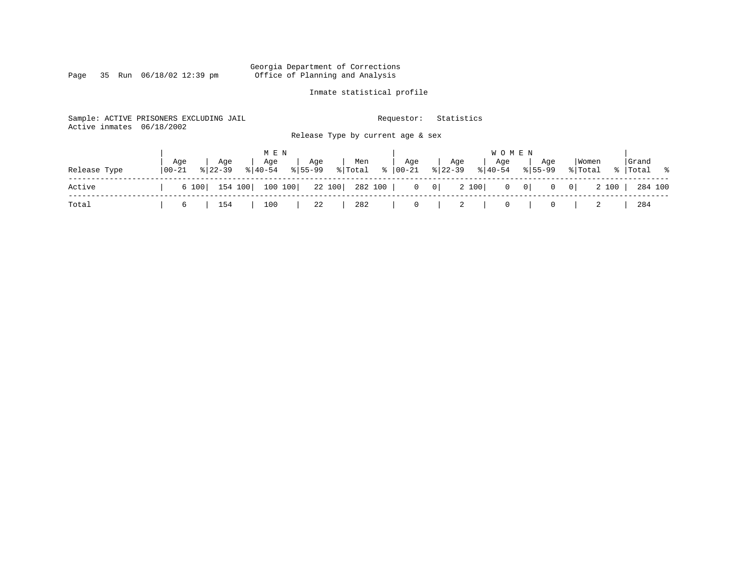Page 35 Run 06/18/02 12:39 pm

### Inmate statistical profile

| Active inmates | Sample: ACTIVE PRISONERS EXCLUDING JAIL<br>06/18/2002 | Release Type by current age & sex                                   | Statistics<br>Requestor:                                                |                                                  |                      |
|----------------|-------------------------------------------------------|---------------------------------------------------------------------|-------------------------------------------------------------------------|--------------------------------------------------|----------------------|
| Release Type   | Aqe<br>Age<br>  00-21<br>$8122 - 39$                  | M E N<br>Age<br>Men<br>Age<br>$8155 - 99$<br>% Total %<br>$ 40-54 $ | W O M E N<br>Age<br>Age<br>Aqe<br>$8 22-39$<br>$ 00 - 21 $<br>$8 40-54$ | Women<br>Age<br>$8155 - 99$<br>% Total           | Grand<br>%   Total % |
| Active         | 154 100<br>6 100                                      | 100 100<br>22 100<br>282 100                                        | 2 100<br>$\overline{0}$<br> 0                                           | 2 100<br>$0 \qquad 0 \mid$<br>$\mathbf{0}$<br> 0 | 284 100              |
| Total          | 154<br>6                                              | 282<br>100<br>22                                                    | 0<br>- 2<br>0                                                           |                                                  | 284                  |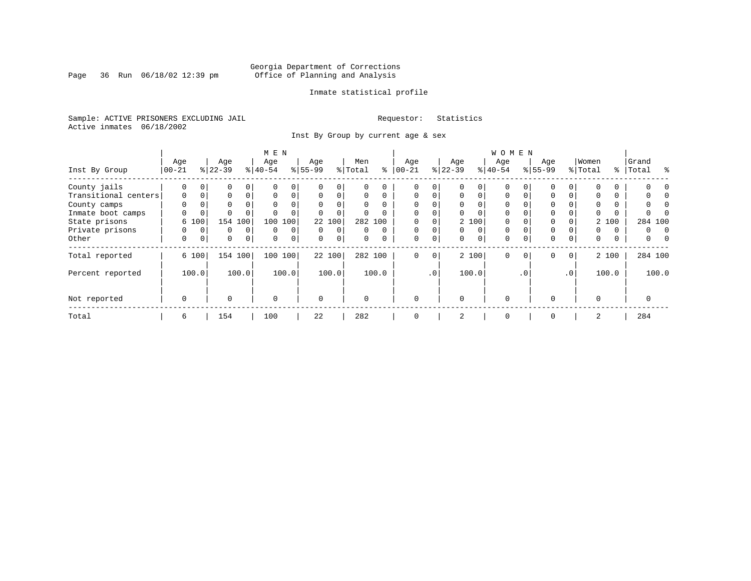Page 36 Run 06/18/02 12:39 pm

#### Inmate statistical profile

Sample: ACTIVE PRISONERS EXCLUDING JAIL **Requestor:** Statistics Active inmates 06/18/2002

Inst By Group by current age & sex

|                      |            |             |             |             | M E N     |                |           |                |          |          |           |                |           |                | WOMEN     |           |              |             |             |          |          |         |
|----------------------|------------|-------------|-------------|-------------|-----------|----------------|-----------|----------------|----------|----------|-----------|----------------|-----------|----------------|-----------|-----------|--------------|-------------|-------------|----------|----------|---------|
|                      | Age        |             | Age         |             | Age       |                | Age       |                | Men      |          | Age       |                | Age       |                | Age       |           | Age          |             | Women       |          | Grand    |         |
| Inst By Group        | $ 00 - 21$ |             | $ 22-39 $   |             | $ 40-54 $ |                | $8 55-99$ |                | % Total  | ి        | $00 - 21$ |                | $ 22-39 $ |                | $8 40-54$ |           | $8155 - 99$  |             | % Total     | ႜ        | Total    | °       |
| County jails         | 0          | 0           | $\Omega$    |             |           | $\overline{0}$ |           |                | 0        | 0        | 0         | 0              |           | $\Omega$       | 0         |           | 0            |             |             |          |          |         |
| Transitional centers | $\Omega$   | $\Omega$    | $\Omega$    | $\Omega$    | $\Omega$  | $\overline{0}$ | $\Omega$  | 0              | $\Omega$ | 0        | $\Omega$  | $\Omega$       |           | $\overline{0}$ | $\Omega$  |           | $\mathbf 0$  |             |             | $\Omega$ |          |         |
| County camps         | $\Omega$   | 0           | $\Omega$    |             | $\Omega$  | 0              |           |                | 0        | $\Omega$ | $\Omega$  | 0              |           | $\Omega$       | $\Omega$  |           | 0            |             |             | $\Omega$ |          |         |
| Inmate boot camps    | 0          | 0           |             |             |           | $\Omega$       |           |                |          |          |           | $\Omega$       |           | 0              | $\Omega$  |           | 0            |             |             | 0        |          |         |
| State prisons        | 6          | 100         | 154         | 100         | 100       | 100            |           | 22 100         |          | 282 100  |           | 0              |           | 2 100          | $\Omega$  |           | 0            |             |             | 2 100    |          | 284 100 |
| Private prisons      | U          | $\Omega$    | $\Omega$    | $\Omega$    | $\Omega$  | $\Omega$       | $\Omega$  | $\Omega$       | 0        | $\Omega$ | $\Omega$  | $\Omega$       |           | $\Omega$       | $\Omega$  |           | $\mathbf 0$  |             | $\Omega$    | $\Omega$ | 0        |         |
| Other                | 0          | $\mathbf 0$ | $\mathbf 0$ | $\mathbf 0$ | $\Omega$  | $\overline{0}$ | $\Omega$  | 0 <sup>1</sup> | 0        | 0        | $\Omega$  | $\overline{0}$ | 0         | $\overline{0}$ | 0         |           | $\mathbf 0$  | 0           | $\mathbf 0$ | 0        | 0        |         |
| Total reported       |            | 6 100       |             | 154 100     | 100       | 100            |           | 22 100         |          | 282 100  | $\Omega$  | $\overline{0}$ |           | 2 100          | $\Omega$  | $\Omega$  | $\mathbf{0}$ | $\mathbf 0$ |             | 2 100    |          | 284 100 |
| Percent reported     |            | 100.0       |             | 100.0       |           | 100.0          |           | 100.0          |          | 100.0    |           | .0'            |           | 100.0          |           | $\cdot$ 0 |              | .0'         |             | 100.0    |          | 100.0   |
| Not reported         | 0          |             | $\Omega$    |             | $\Omega$  |                | $\Omega$  |                | 0        |          | $\Omega$  |                |           |                | $\Omega$  |           | $\Omega$     |             | $\Omega$    |          | $\Omega$ |         |
| Total                | 6          |             | 154         |             | 100       |                | 22        |                | 282      |          | $\Omega$  |                | 2         |                | 0         |           | 0            |             | 2           |          | 284      |         |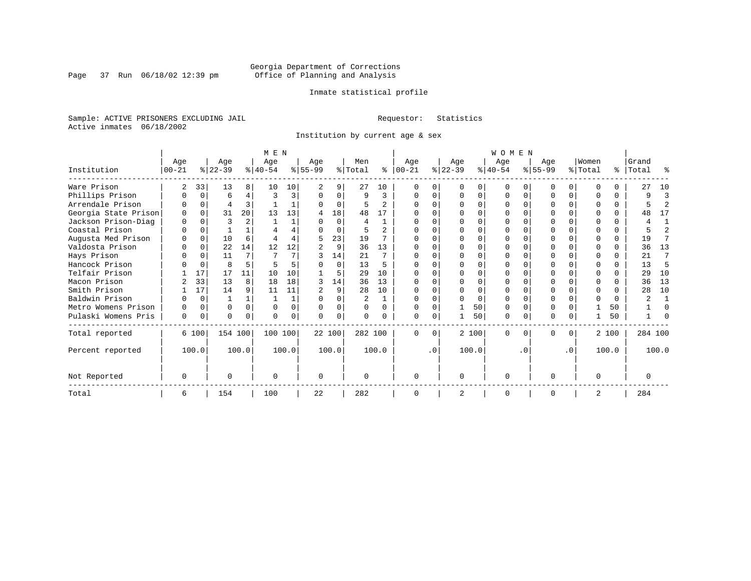Page 37 Run 06/18/02 12:39 pm

#### Inmate statistical profile

Sample: ACTIVE PRISONERS EXCLUDING JAIL **Requestor:** Statistics Active inmates 06/18/2002

Institution by current age & sex

|                      | M E N       |          |           |                |           |       |           |          |         |                |           | WOMEN     |                |          |           |              |           |           |                |          |           |                |  |  |
|----------------------|-------------|----------|-----------|----------------|-----------|-------|-----------|----------|---------|----------------|-----------|-----------|----------------|----------|-----------|--------------|-----------|-----------|----------------|----------|-----------|----------------|--|--|
|                      | Age         |          | Age       |                | Age       |       | Age       |          | Men     |                | Age       |           | Age            |          | Age       |              | Age       |           | Women          |          | Grand     |                |  |  |
| Institution          | $00 - 21$   |          | $ 22-39 $ |                | $ 40-54 $ |       | $8 55-99$ |          | % Total | ႜႂ             | $ 00-21 $ |           | $ 22-39 $      |          | $ 40-54 $ |              | $ 55-99 $ |           | % Total        |          | %   Total | ፠              |  |  |
| Ware Prison          |             | 33       | 13        | 8              | 10        | 10    |           | 9        | 27      | 10             |           |           | $\Omega$       | O        | $\Omega$  | <sup>0</sup> |           | $\Omega$  | ∩              |          | 27        | 10             |  |  |
| Phillips Prison      |             | 0        | 6         | 4              | 3         |       | 0         | $\Omega$ | 9       | 3              | 0         | $\Omega$  | $\Omega$       | 0        | $\Omega$  | $\Omega$     |           | $\Omega$  | $\Omega$       | $\Omega$ | 9         | 3              |  |  |
| Arrendale Prison     |             | $\Omega$ | 4         | ζ              |           |       |           | 0        |         | 2              | ∩         |           | $\Omega$       | O        | $\Omega$  | O            |           | $\Omega$  |                | $\Omega$ |           | 2              |  |  |
| Georgia State Prison |             |          | 31        | 20             | 13        | 13    |           | 18       | 48      | 17             |           |           |                |          | O         |              |           |           |                |          | 48        | 17             |  |  |
| Jackson Prison-Diag  | $\Omega$    |          | ζ         | $\mathfrak{D}$ |           |       |           | $\Omega$ |         |                |           |           | ∩              | U        | $\Omega$  |              |           | U         |                | 0        |           | 1              |  |  |
| Coastal Prison       |             | $\Omega$ |           |                |           |       |           | $\Omega$ |         | $\mathfrak{D}$ |           |           | $\cap$         | U        | $\Omega$  |              |           | U         |                | 0        |           | $\overline{a}$ |  |  |
| Augusta Med Prison   |             | $\Omega$ | 10        | 6              |           |       | 5         | 23       | 19      |                |           |           | <sup>0</sup>   |          | ∩         |              |           | U         |                | $\Omega$ | 19        | 7              |  |  |
| Valdosta Prison      |             | $\Omega$ | 22        | 14             | 12        | 12    |           | 9        | 36      | 13             | U         |           | ∩              |          | $\Omega$  |              | U         | U         | ∩              | $\Omega$ | 36        | 13             |  |  |
| Hays Prison          |             | $\Omega$ | 11        | 7              |           |       |           | 14       | 21      | 7              |           |           | $\Omega$       | U        | $\Omega$  | 0            |           | $\Omega$  | ∩              | $\Omega$ | 21        | 7              |  |  |
| Hancock Prison       |             | $\Omega$ | 8         | 5              |           |       |           | $\Omega$ | 13      |                |           |           | $\Omega$       | U        | $\Omega$  | $\Omega$     |           | $\Omega$  |                | $\Omega$ | 13        | 5              |  |  |
| Telfair Prison       |             | 17       | 17        | 11             | 10        | 10    |           | 5        | 29      | 10             |           |           |                | U        |           |              |           | U         |                |          | 29        | 10             |  |  |
| Macon Prison         |             | 33       | 13        | 8              | 18        | 18    | 3         | 14       | 36      | 13             | $\Omega$  |           | $\Omega$       | O        | $\Omega$  | $\Omega$     |           | $\Omega$  | $\Omega$       | $\Omega$ | 36        | 13             |  |  |
| Smith Prison         |             | 17       | 14        | 9              | 11        | 11    |           | 9        | 28      | 10             |           |           | $\Omega$       | O        | $\Omega$  | $\Omega$     |           | U         | $\Omega$       |          | 28        | 10             |  |  |
| Baldwin Prison       |             | $\Omega$ |           |                |           |       |           |          | 2       |                | $\Omega$  |           | $\Omega$       | $\Omega$ | $\Omega$  | $\Omega$     |           | O         | $\Omega$       | $\Omega$ | $\sim$    |                |  |  |
| Metro Womens Prison  |             | $\Omega$ | $\Omega$  | $\Omega$       |           |       |           | $\Omega$ |         | U              | U         |           |                | 50       | $\Omega$  | $\Omega$     |           | O         |                | 50       |           | $\Omega$       |  |  |
| Pulaski Womens Pris  | $\mathbf 0$ | 0        | 0         | $\Omega$       |           |       |           | 0        |         |                | U         | 0         |                | 50       | 0         | 0            | N         | 0         |                | 50       |           | U              |  |  |
| Total reported       |             | 6 100    | 154 100   |                | 100 100   |       |           | 22 100   | 282 100 |                | $\Omega$  | $\Omega$  |                | 2 100    | $\Omega$  | 0            | 0         | 0         |                | 2 100    | 284 100   |                |  |  |
| Percent reported     |             | 100.0    |           | 100.0          |           | 100.0 |           | 100.0    |         | 100.0          |           | $\cdot$ 0 |                | 100.0    |           | . 0          |           | $\cdot$ 0 |                | 100.0    |           | 100.0          |  |  |
| Not Reported         | $\Omega$    |          |           |                |           |       | $\Omega$  |          |         |                | $\Omega$  |           | $\Omega$       |          | $\Omega$  |              | U         |           | $\Omega$       |          | $\Omega$  |                |  |  |
| Total                | 6           |          | 154       |                | 100       |       | 22        |          | 282     |                | $\Omega$  |           | $\overline{2}$ |          | $\Omega$  |              | O         |           | $\overline{2}$ |          | 284       |                |  |  |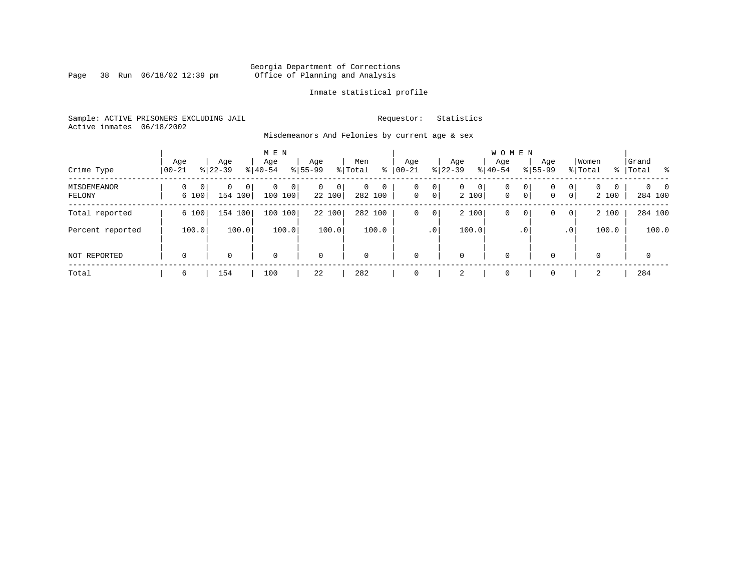Page 38 Run 06/18/02 12:39 pm

#### Inmate statistical profile

Sample: ACTIVE PRISONERS EXCLUDING JAIL **Requestor:** Statistics Active inmates 06/18/2002

Misdemeanors And Felonies by current age & sex

| Crime Type            | Age<br>  00-21                      | Age<br>$8 22-39$  | M E N<br>Age<br>$8 40-54$   | Age<br>$8155 - 99$      | Men<br>ႜ<br>% Total      | Age<br>$00 - 21$  | Age<br>$ 22-39 $                             | <b>WOMEN</b><br>Aqe<br>$ 40-54 $ | $8155 - 99$       | Age                             | Women<br>% Total       | Grand<br>%   Total         |
|-----------------------|-------------------------------------|-------------------|-----------------------------|-------------------------|--------------------------|-------------------|----------------------------------------------|----------------------------------|-------------------|---------------------------------|------------------------|----------------------------|
| MISDEMEANOR<br>FELONY | $\Omega$<br>0 <sup>1</sup><br>6 100 | 0<br>0<br>154 100 | $\mathbf 0$<br>0<br>100 100 | $\Omega$<br>0<br>22 100 | $\Omega$<br>0<br>282 100 | 0<br>$\mathbf{0}$ | 0<br>$\mathbf{0}$<br>$\overline{0}$<br>2 100 | 0 <br>0<br>$\mathbf 0$           | 0<br>$\mathbf{0}$ | $\overline{0}$<br>0<br> 0 <br>0 | $\Omega$<br>0<br>2 100 | $\Omega$<br>- 0<br>284 100 |
| Total reported        | 6 100                               | 154 100           | 100<br>100                  | 22 100                  | 282 100                  | 0                 | 2 100<br>0                                   | 0                                | 0                 | $\overline{0}$<br>0             | 2 100                  | 284 100                    |
| Percent reported      | 100.0                               | 100.0             | 100.0                       | 100.0                   | 100.0                    |                   | 100.0<br>.0'                                 |                                  | .0 <sup>7</sup>   | .0 <sup>1</sup>                 | 100.0                  | 100.0                      |
| NOT REPORTED          | $\mathbf 0$                         | 0                 | $\mathbf 0$                 | $\mathbf 0$             | $\Omega$                 | $\mathbf{0}$      | $\mathbf 0$                                  | 0                                |                   | $\Omega$                        | $\Omega$               | $\mathbf 0$                |
| Total                 | 6                                   | 154               | 100                         | 22                      | 282                      | $\mathbf{0}$      | 2                                            | 0                                |                   | $\Omega$                        | 2                      | 284                        |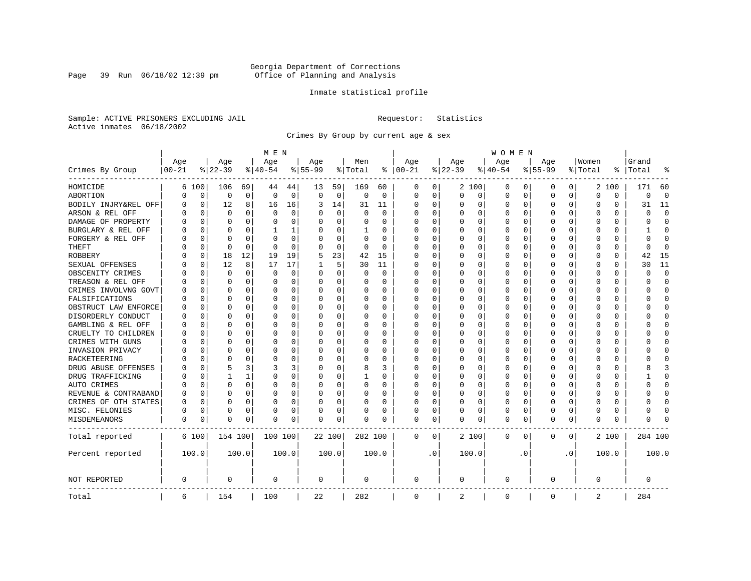Page 39 Run 06/18/02 12:39 pm

#### Inmate statistical profile

Sample: ACTIVE PRISONERS EXCLUDING JAIL **Requestor:** Statistics Active inmates 06/18/2002

Crimes By Group by current age & sex

|                      | M E N              |          |                    |          |                 |          |                  |             |                |          |                 | W O M E N |                    |          |                  |           |                  |              |                  |          |                |                |
|----------------------|--------------------|----------|--------------------|----------|-----------------|----------|------------------|-------------|----------------|----------|-----------------|-----------|--------------------|----------|------------------|-----------|------------------|--------------|------------------|----------|----------------|----------------|
| Crimes By Group      | Age<br>$ 00 - 21 $ |          | Age<br>$8$   22-39 |          | Age<br>$ 40-54$ |          | Age<br>$8 55-99$ |             | Men<br>% Total | ႜ        | Age<br>$ 00-21$ |           | Age<br>$8$   22-39 |          | Age<br>$8 40-54$ |           | Age<br>$8 55-99$ |              | Women<br>% Total | ⊱        | Grand<br>Total |                |
| HOMICIDE             | 6                  | 100      | 106                | 69       | 44              | 44       | 13               | 59          | 169            | 60       | 0               | 0         |                    | 2 100    | 0                | 0         | 0                | $\circ$      |                  | 2 100    | 171            | 60             |
| ABORTION             | N                  | 0        | $\mathbf 0$        | 0        | 0               | 0        | $\mathbf 0$      | 0           | $\mathsf 0$    | 0        | $\Omega$        | 0         | $\Omega$           | 0        | 0                | 0         | $\mathbf 0$      | 0            | 0                | 0        | 0              | $\overline{0}$ |
| BODILY INJRY&REL OFF | U                  | 0        | 12                 | 8        | 16              | 16       | 3                | 14          | 31             | 11       | 0               | 0         | 0                  | 0        | 0                | 0         | $\Omega$         | 0            | 0                | 0        | 31             | 11             |
| ARSON & REL OFF      |                    | 0        | $\Omega$           | $\Omega$ | $\Omega$        | 0        | U                | $\mathbf 0$ | $\Omega$       | $\Omega$ | C               | $\Omega$  |                    | $\Omega$ | 0                | O         |                  | $\Omega$     | $\Omega$         | $\Omega$ | U              | $\Omega$       |
| DAMAGE OF PROPERTY   |                    | O        | $\Omega$           | 0        | O               | $\Omega$ | O                | $\Omega$    | 0              | U        | C               | $\Omega$  | <sup>0</sup>       | $\Omega$ | 0                | O         | U                | 0            | U                | 0        | U              | $\Omega$       |
| BURGLARY & REL OFF   |                    | 0        | O                  | $\Omega$ | 1               | 1        |                  | 0           | 1              | 0        | C               | $\Omega$  |                    | $\Omega$ | 0                | 0         | O                | 0            | 0                | $\Omega$ |                | <sup>0</sup>   |
| FORGERY & REL OFF    |                    | 0        | $\Omega$           | $\Omega$ | $\Omega$        | $\Omega$ |                  | $\mathbf 0$ | $\Omega$       | O        |                 | $\Omega$  |                    | $\Omega$ | 0                | 0         | $\Omega$         | $\Omega$     | $\Omega$         | $\Omega$ | U              | $\Omega$       |
| THEFT                |                    | 0        | $\cap$             | $\Omega$ | U               | 0        | U                | 0           | 0              | $\Omega$ | C               | 0         |                    | $\Omega$ | O                | O         | ∩                | 0            | U                | 0        | U              | $\Omega$       |
| <b>ROBBERY</b>       |                    | 0        | 18                 | 12       | 19              | 19       | 5                | 23          | 42             | 15       | C               | 0         |                    | $\Omega$ | 0                | O         | O                | 0            | U                | 0        | 42             | 15             |
| SEXUAL OFFENSES      |                    | 0        | 12                 | 8        | 17              | 17       |                  | 5           | 30             | 11       | C               | 0         |                    | $\Omega$ | 0                | O         | U                | <sup>0</sup> | U                | 0        | 30             | 11             |
| OBSCENITY CRIMES     |                    | O        | $\Omega$           | $\Omega$ | 0               | 0        | O                | 0           | 0              | $\Omega$ | 0               | 0         | ∩                  | $\Omega$ | 0                | O         | ∩                | 0            | U                | 0        | U              | $\Omega$       |
| TREASON & REL OFF    |                    | 0        | $\Omega$           | 0        | 0               | 0        | U                | 0           | 0              | $\Omega$ | C               | 0         |                    | 0        | 0                | 0         |                  | 0            | 0                | 0        | U              | 0              |
| CRIMES INVOLVNG GOVT |                    | $\Omega$ | $\Omega$           | $\Omega$ | $\Omega$        | 0        | O                | 0           | 0              | O        | C               | 0         |                    | $\Omega$ | 0                | 0         |                  | $\Omega$     | 0                | 0        | በ              | $\Omega$       |
| FALSIFICATIONS       |                    | O        | $\Omega$           | $\Omega$ | 0               | 0        | O                | 0           | 0              | $\Omega$ | C               | 0         |                    | $\Omega$ | 0                | 0         | $\Omega$         | $\Omega$     | 0                | 0        | U              | $\Omega$       |
| OBSTRUCT LAW ENFORCE |                    | 0        |                    | $\Omega$ | $\Omega$        | 0        | U                | $\mathbf 0$ | 0              | 0        | C               | 0         |                    | $\Omega$ | 0                | 0         |                  | 0            | 0                | 0        |                | <sup>0</sup>   |
| DISORDERLY CONDUCT   |                    | O        | O                  | $\Omega$ | $\Omega$        | $\Omega$ | O                | $\Omega$    | 0              | U        | C               | $\Omega$  |                    | $\Omega$ | 0                | O         | O                | $\Omega$     | U                | 0        |                | ∩              |
| GAMBLING & REL OFF   |                    | O        | O                  | $\Omega$ | O               | $\Omega$ | O                | $\Omega$    | 0              | $\Omega$ | C               | $\Omega$  | <sup>0</sup>       | $\Omega$ | O                | O         | O                | $\Omega$     | U                | 0        |                | ∩              |
| CRUELTY TO CHILDREN  |                    | O        | O                  | $\Omega$ | O               | 0        |                  | $\mathbf 0$ | 0              | U        | C               | 0         |                    | $\Omega$ | U                | O         | O                | $\Omega$     | U                | O        |                | Ω              |
| CRIMES WITH GUNS     |                    | O        | O                  | 0        | U               | 0        |                  | $\mathbf 0$ | U              | U        | C               | $\Omega$  |                    | $\Omega$ | O                | O         | O                | 0            | U                | $\Omega$ |                | $\Omega$       |
| INVASION PRIVACY     |                    | O        | n                  | 0        | U               | 0        | U                | 0           | 0              | U        | C               | 0         | O                  | $\Omega$ | 0                | O         | n                | 0            | ∩                | 0        |                | ∩              |
| RACKETEERING         |                    | O        |                    | O        | O               | 0        | U                | 0           | 0              | U        | C               | 0         |                    | $\Omega$ | 0                | 0         |                  | 0            | O                | 0        |                | ∩              |
| DRUG ABUSE OFFENSES  |                    | $\Omega$ |                    | 3        | 3               | 3        | $\Omega$         | $\mathbf 0$ | 8              | 3        | C               | $\Omega$  |                    | $\Omega$ | $\Omega$         | $\Omega$  | O                | $\Omega$     | $\Omega$         | 0        |                | κ              |
| DRUG TRAFFICKING     |                    | 0        |                    | 1        | O               | 0        | $\Omega$         | 0           | $\mathbf{1}$   | 0        | C               | 0         | <sup>0</sup>       | $\Omega$ | 0                | O         | O                | $\Omega$     | 0                | 0        |                | $\Omega$       |
| AUTO CRIMES          |                    | 0        | $\Omega$           | 0        | $\Omega$        | 0        | 0                | 0           | 0              | 0        | C               | 0         |                    | 0        | 0                | 0         | 0                | 0            | 0                | 0        | ი              | O              |
| REVENUE & CONTRABAND | N                  | 0        | $\Omega$           | 0        | $\Omega$        | 0        | $\Omega$         | 0           | 0              | 0        | O               | 0         |                    | $\Omega$ | 0                | 0         | $\Omega$         | 0            | $\Omega$         | 0        | በ              | $\Omega$       |
| CRIMES OF OTH STATES | N                  | 0        | O                  | $\Omega$ | 0               | 0        | $\Omega$         | 0           | 0              | 0        | 0               | 0         | 0                  | $\Omega$ | 0                | O         | $\Omega$         | $\Omega$     | U                | 0        | U              | 0              |
| MISC. FELONIES       | 0                  | 0        | $\Omega$           | $\Omega$ | 0               | 0        | 0                | $\mathbf 0$ | 0              | 0        | 0               | 0         |                    | $\Omega$ | $\Omega$         | 0         | $\Omega$         | 0            | $\Omega$         | 0        |                | ſ              |
| <b>MISDEMEANORS</b>  | 0                  | 0        | $\Omega$           | 0        | U               | 0        | O                | 0           | 0              | U        | $\Omega$        | 0         | O                  | 0        | 0                | 0         | $\Omega$         | 0            | U                | 0        | ი              |                |
| Total reported       |                    | 6 100    | 154 100            |          | 100 100         |          |                  | 22 100      | 282 100        |          | 0               | 0         |                    | 2 100    | $\mathbf 0$      | 0         | 0                | 0            |                  | 2 100    | 284 100        |                |
| Percent reported     |                    | 100.0    |                    | 100.0    |                 | 100.0    |                  | 100.0       |                | 100.0    |                 | $\cdot$ 0 |                    | 100.0    |                  | $\cdot$ 0 |                  | $\cdot$ 0    |                  | 100.0    |                | 100.0          |
| NOT REPORTED         | 0                  |          | $\mathbf 0$        |          | 0               |          | $\mathbf 0$      |             | 0              |          | 0               |           | 0                  |          | 0                |           | $\mathbf 0$      |              | $\Omega$         |          | 0              |                |
| Total                | 6                  |          | 154                |          | 100             |          | 22               |             | 282            |          | $\mathbf 0$     |           | 2                  |          | 0                |           | $\mathbf{0}$     |              | 2                |          | 284            |                |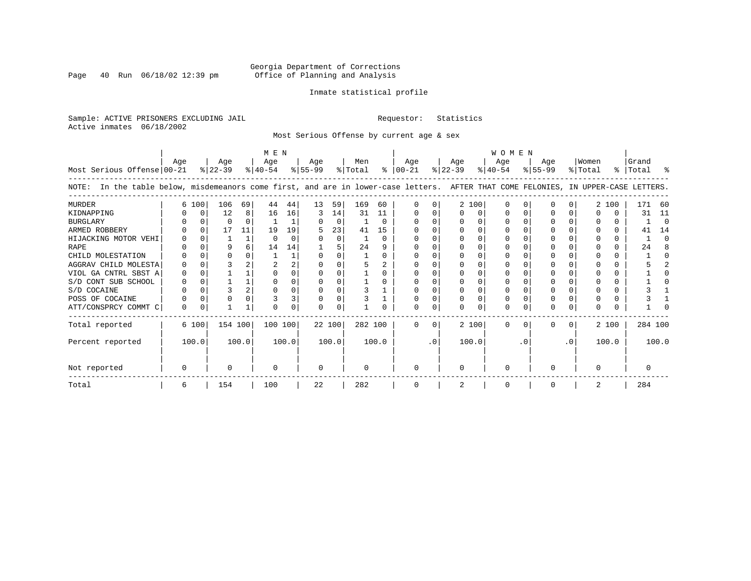Page 40 Run 06/18/02 12:39 pm

#### Inmate statistical profile

Sample: ACTIVE PRISONERS EXCLUDING JAIL **Requestor:** Statistics Active inmates 06/18/2002

Most Serious Offense by current age & sex

|                                                                                                                                       |          |          |                  |              | M E N            |       |                  |          |                |          | W O M E N            |           |                  |       |                  |          |                  |           |                  |       |                    |          |
|---------------------------------------------------------------------------------------------------------------------------------------|----------|----------|------------------|--------------|------------------|-------|------------------|----------|----------------|----------|----------------------|-----------|------------------|-------|------------------|----------|------------------|-----------|------------------|-------|--------------------|----------|
| Most Serious Offense 00-21                                                                                                            | Aqe      |          | Age<br>$ 22-39 $ |              | Age<br>$ 40-54 $ |       | Age<br>$ 55-99 $ |          | Men<br>% Total |          | Age<br>$8   00 - 21$ |           | Age<br>$ 22-39 $ |       | Aqe<br>$8 40-54$ |          | Aqe<br>$ 55-99 $ |           | Women<br>% Total |       | Grand<br>%   Total | း        |
| In the table below, misdemeanors come first, and are in lower-case letters. AFTER THAT COME FELONIES, IN UPPER-CASE LETTERS.<br>NOTE: |          |          |                  |              |                  |       |                  |          |                |          |                      |           |                  |       |                  |          |                  |           |                  |       |                    |          |
| MURDER                                                                                                                                |          | 6 100    | 106              | 69           | 44               | 44    | 13               | 59       | 169            | 60       |                      |           |                  | 2 100 | $\Omega$         |          | O                |           |                  | 2 100 | 171                | -60      |
| KIDNAPPING                                                                                                                            |          | $\Omega$ | 12               | 8            | 16               | 16    | 3                | 14       | 31             | 11       |                      |           | $\Omega$         | U     |                  |          |                  |           |                  | 0     | 31                 | 11       |
| <b>BURGLARY</b>                                                                                                                       |          |          | $\Omega$         |              |                  |       |                  | $\Omega$ |                | $\Omega$ |                      |           |                  |       |                  |          |                  |           |                  |       |                    | $\Omega$ |
| ARMED ROBBERY                                                                                                                         |          |          | 17               | 11           | 19               | 19    | 5                | 23       | 41             | 15       |                      |           |                  |       |                  |          |                  |           |                  | 0     | 41                 | 14       |
| HIJACKING MOTOR VEHI                                                                                                                  |          |          |                  | $\mathbf{1}$ | $\Omega$         |       |                  | $\Omega$ |                | $\Omega$ |                      |           |                  |       |                  |          |                  |           |                  | 0     |                    | ∩        |
| <b>RAPE</b>                                                                                                                           |          |          |                  |              | 14               | 14    |                  |          | 24             | q        |                      |           |                  |       |                  |          |                  |           |                  |       | 24                 |          |
| CHILD MOLESTATION                                                                                                                     |          |          |                  |              |                  |       |                  |          |                | 0        |                      |           |                  |       |                  |          |                  |           |                  | 0     |                    |          |
| AGGRAV CHILD MOLESTA                                                                                                                  |          |          |                  |              |                  |       |                  |          | 5              |          |                      |           |                  |       |                  |          |                  |           |                  | U     |                    |          |
| VIOL GA CNTRL SBST A                                                                                                                  |          |          |                  |              |                  |       |                  |          |                |          |                      |           |                  |       |                  |          |                  |           |                  |       |                    |          |
| S/D CONT SUB SCHOOL                                                                                                                   |          |          |                  |              |                  |       |                  |          |                |          |                      |           |                  |       |                  |          |                  |           |                  |       |                    |          |
| S/D COCAINE                                                                                                                           |          |          |                  |              |                  |       |                  |          |                |          |                      |           |                  |       |                  |          |                  |           |                  | U     |                    |          |
| POSS OF COCAINE                                                                                                                       |          |          |                  |              |                  | 3     |                  |          |                |          |                      |           |                  |       |                  |          |                  |           |                  | 0     |                    |          |
| ATT/CONSPRCY COMMT C                                                                                                                  | $\Omega$ |          |                  |              |                  |       | U                | 0        |                |          |                      |           |                  |       | $\Omega$         |          |                  |           |                  |       |                    |          |
| Total reported                                                                                                                        |          | 6 100    | 154 100          |              | 100 100          |       | 22 100           |          | 282 100        |          | <sup>n</sup>         | $\Omega$  |                  | 2 100 | $\Omega$         | $\Omega$ | 0                | $\Omega$  |                  | 2 100 | 284 100            |          |
| Percent reported                                                                                                                      |          | 100.0    |                  | 100.0        |                  | 100.0 |                  | 100.0    |                | 100.0    |                      | $\cdot$ 0 |                  | 100.0 |                  | . 0      |                  | $\cdot$ 0 |                  | 100.0 |                    | 100.0    |
| Not reported                                                                                                                          | 0        |          | $\Omega$         |              | $\Omega$         |       | $\Omega$         |          | $\Omega$       |          | $\Omega$             |           | $\Omega$         |       | $\Omega$         |          | O                |           | $\Omega$         |       |                    |          |
| Total                                                                                                                                 | 6        |          | 154              |              | 100              |       | 22               |          | 282            |          |                      |           |                  |       | $\Omega$         |          | O                |           | 2                |       | 284                |          |